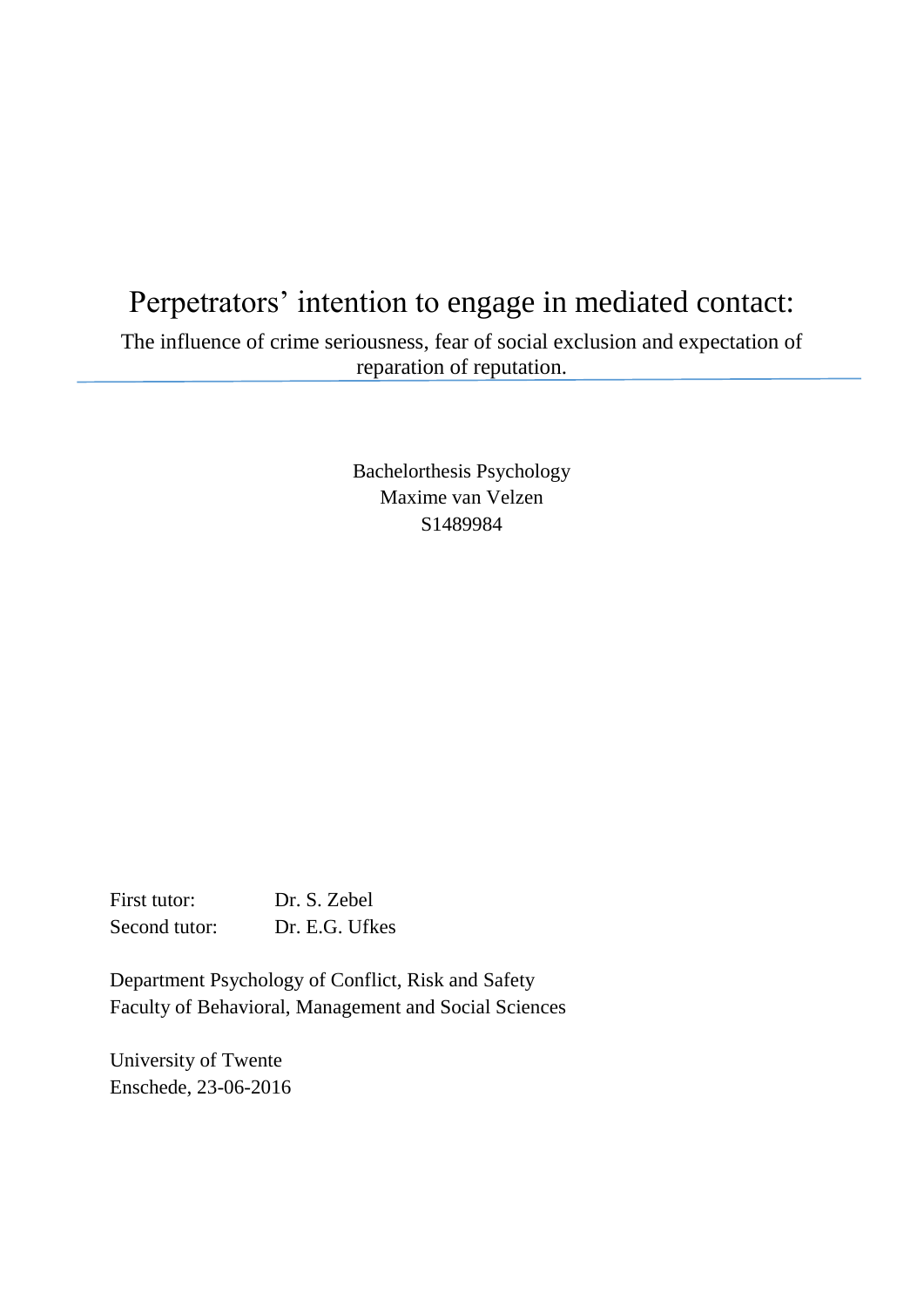# Perpetrators' intention to engage in mediated contact: The influence of crime seriousness, fear of social exclusion and expectation of reparation of reputation.

Bachelorthesis Psychology Maxime van Velzen S1489984

First tutor: Dr. S. Zebel Second tutor: Dr. E.G. Ufkes

Department Psychology of Conflict, Risk and Safety Faculty of Behavioral, Management and Social Sciences

University of Twente Enschede, 23-06-2016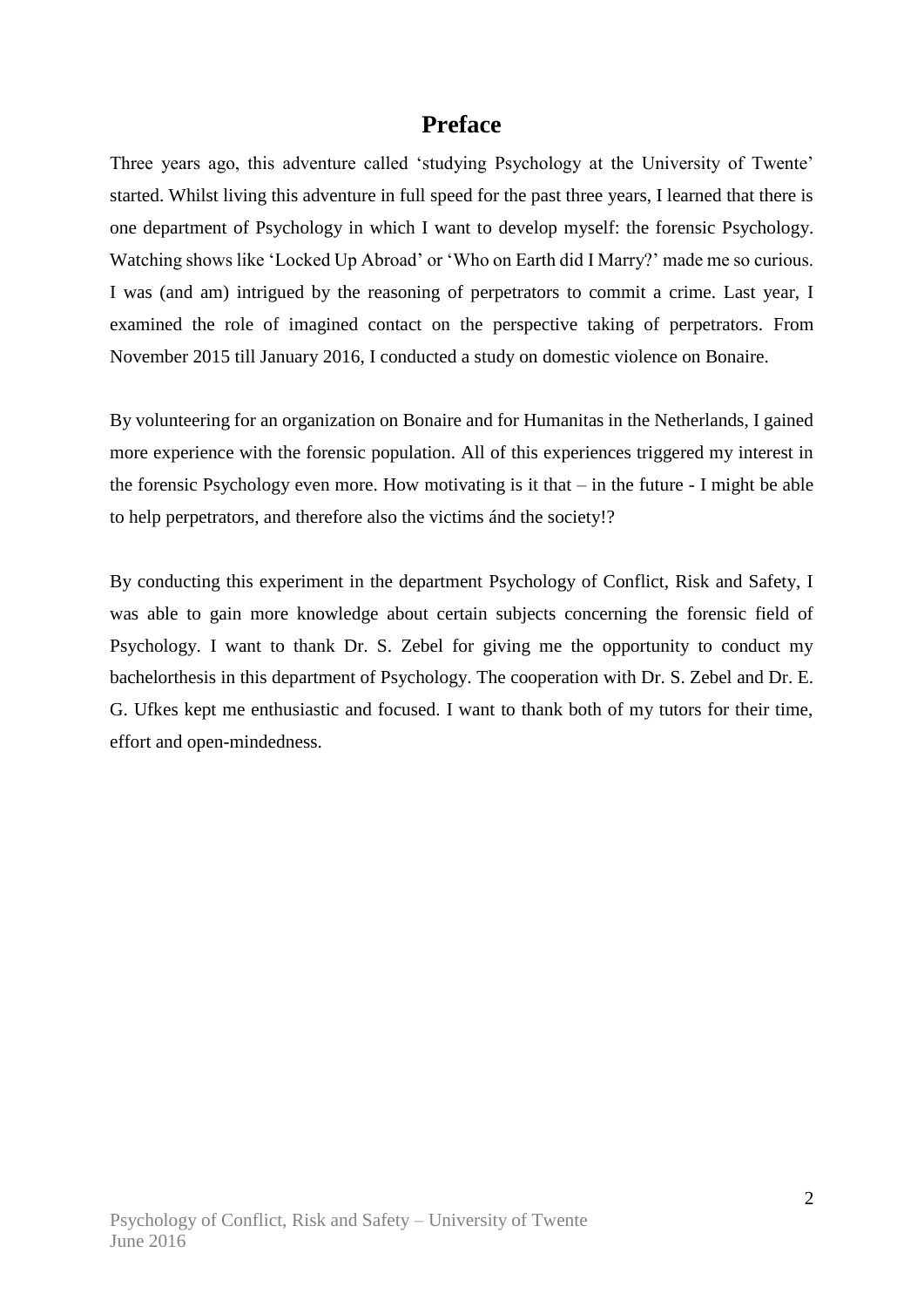### **Preface**

Three years ago, this adventure called 'studying Psychology at the University of Twente' started. Whilst living this adventure in full speed for the past three years, I learned that there is one department of Psychology in which I want to develop myself: the forensic Psychology. Watching shows like 'Locked Up Abroad' or 'Who on Earth did I Marry?' made me so curious. I was (and am) intrigued by the reasoning of perpetrators to commit a crime. Last year, I examined the role of imagined contact on the perspective taking of perpetrators. From November 2015 till January 2016, I conducted a study on domestic violence on Bonaire.

By volunteering for an organization on Bonaire and for Humanitas in the Netherlands, I gained more experience with the forensic population. All of this experiences triggered my interest in the forensic Psychology even more. How motivating is it that – in the future - I might be able to help perpetrators, and therefore also the victims ánd the society!?

By conducting this experiment in the department Psychology of Conflict, Risk and Safety, I was able to gain more knowledge about certain subjects concerning the forensic field of Psychology. I want to thank Dr. S. Zebel for giving me the opportunity to conduct my bachelorthesis in this department of Psychology. The cooperation with Dr. S. Zebel and Dr. E. G. Ufkes kept me enthusiastic and focused. I want to thank both of my tutors for their time, effort and open-mindedness.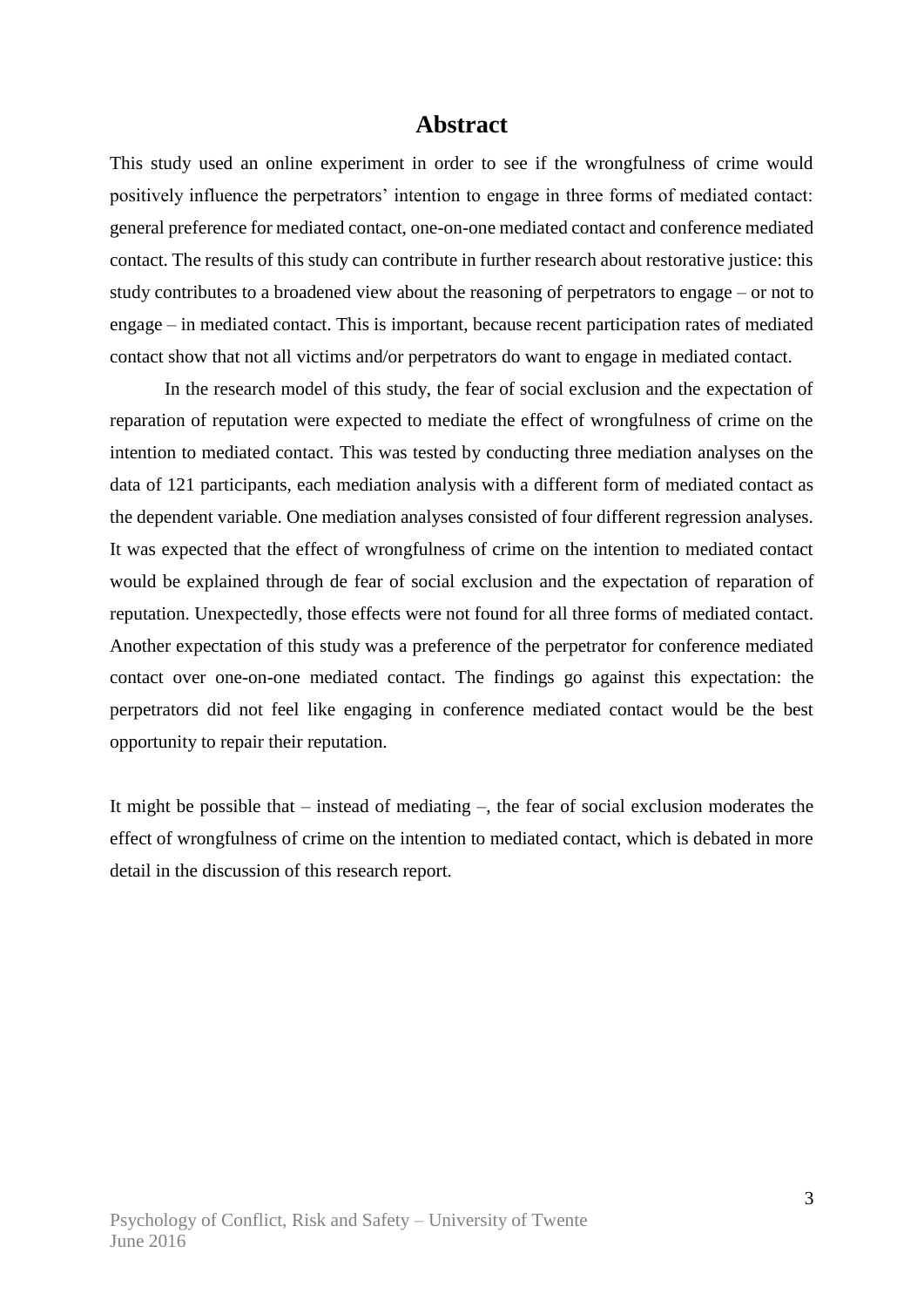### **Abstract**

This study used an online experiment in order to see if the wrongfulness of crime would positively influence the perpetrators' intention to engage in three forms of mediated contact: general preference for mediated contact, one-on-one mediated contact and conference mediated contact. The results of this study can contribute in further research about restorative justice: this study contributes to a broadened view about the reasoning of perpetrators to engage – or not to engage – in mediated contact. This is important, because recent participation rates of mediated contact show that not all victims and/or perpetrators do want to engage in mediated contact.

In the research model of this study, the fear of social exclusion and the expectation of reparation of reputation were expected to mediate the effect of wrongfulness of crime on the intention to mediated contact. This was tested by conducting three mediation analyses on the data of 121 participants, each mediation analysis with a different form of mediated contact as the dependent variable. One mediation analyses consisted of four different regression analyses. It was expected that the effect of wrongfulness of crime on the intention to mediated contact would be explained through de fear of social exclusion and the expectation of reparation of reputation. Unexpectedly, those effects were not found for all three forms of mediated contact. Another expectation of this study was a preference of the perpetrator for conference mediated contact over one-on-one mediated contact. The findings go against this expectation: the perpetrators did not feel like engaging in conference mediated contact would be the best opportunity to repair their reputation.

It might be possible that – instead of mediating –, the fear of social exclusion moderates the effect of wrongfulness of crime on the intention to mediated contact, which is debated in more detail in the discussion of this research report.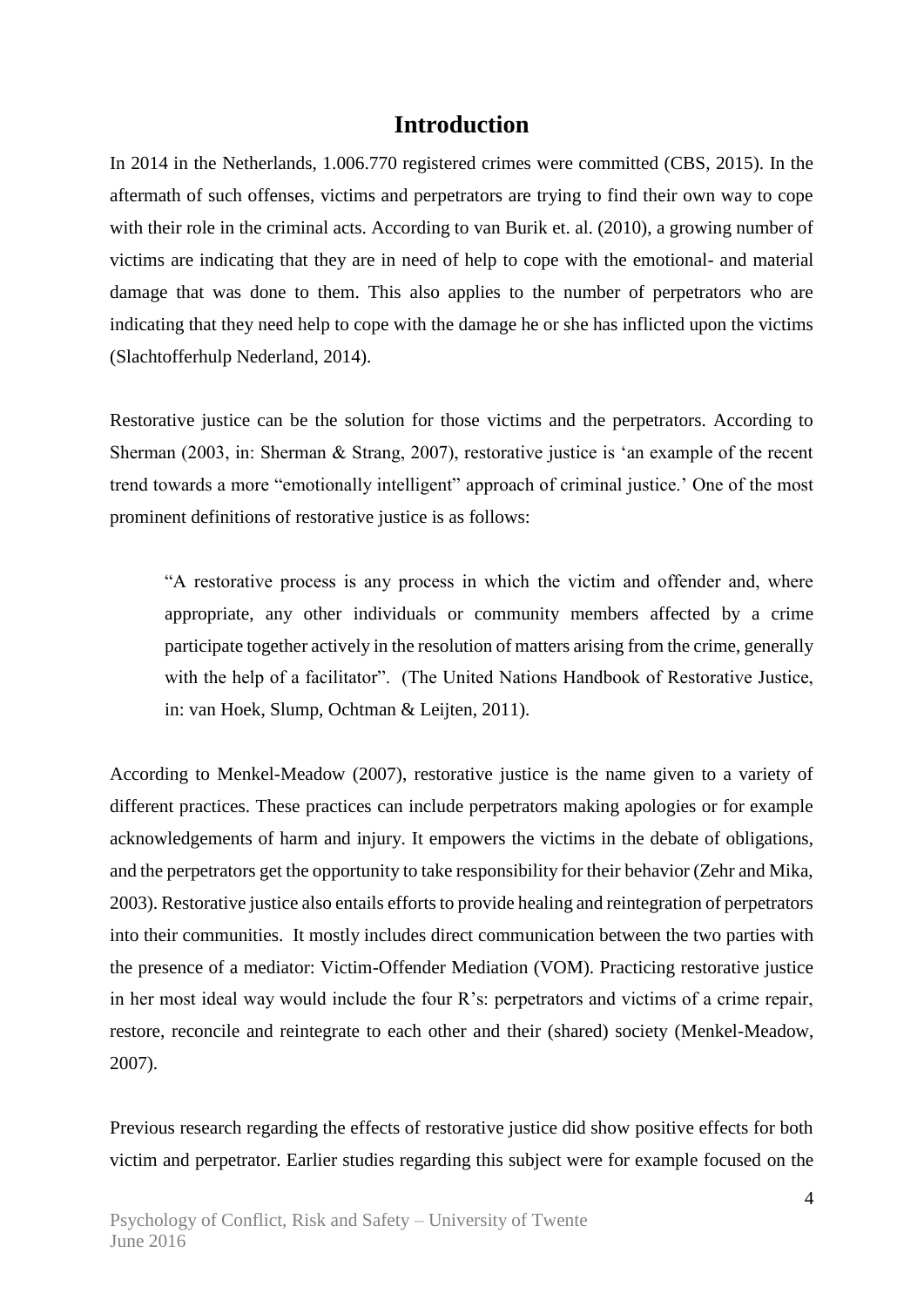### **Introduction**

In 2014 in the Netherlands, 1.006.770 registered crimes were committed (CBS, 2015). In the aftermath of such offenses, victims and perpetrators are trying to find their own way to cope with their role in the criminal acts. According to van Burik et. al. (2010), a growing number of victims are indicating that they are in need of help to cope with the emotional- and material damage that was done to them. This also applies to the number of perpetrators who are indicating that they need help to cope with the damage he or she has inflicted upon the victims (Slachtofferhulp Nederland, 2014).

Restorative justice can be the solution for those victims and the perpetrators. According to Sherman (2003, in: Sherman & Strang, 2007), restorative justice is 'an example of the recent trend towards a more "emotionally intelligent" approach of criminal justice.' One of the most prominent definitions of restorative justice is as follows:

"A restorative process is any process in which the victim and offender and, where appropriate, any other individuals or community members affected by a crime participate together actively in the resolution of matters arising from the crime, generally with the help of a facilitator". (The United Nations Handbook of Restorative Justice, in: van Hoek, Slump, Ochtman & Leijten, 2011).

According to Menkel-Meadow (2007), restorative justice is the name given to a variety of different practices. These practices can include perpetrators making apologies or for example acknowledgements of harm and injury. It empowers the victims in the debate of obligations, and the perpetrators get the opportunity to take responsibility for their behavior (Zehr and Mika, 2003). Restorative justice also entails efforts to provide healing and reintegration of perpetrators into their communities. It mostly includes direct communication between the two parties with the presence of a mediator: Victim-Offender Mediation (VOM). Practicing restorative justice in her most ideal way would include the four R's: perpetrators and victims of a crime repair, restore, reconcile and reintegrate to each other and their (shared) society (Menkel-Meadow, 2007).

Previous research regarding the effects of restorative justice did show positive effects for both victim and perpetrator. Earlier studies regarding this subject were for example focused on the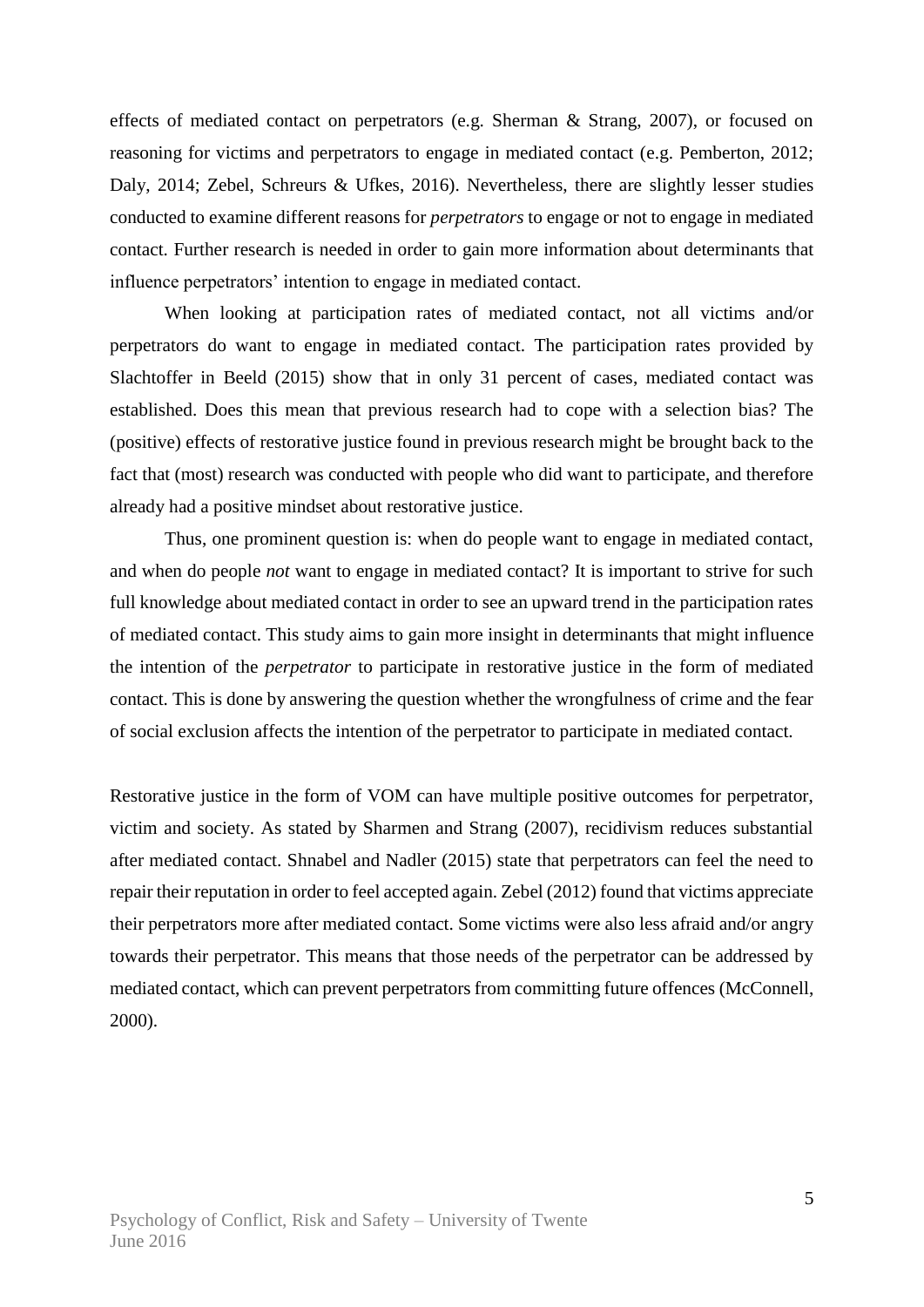effects of mediated contact on perpetrators (e.g. Sherman & Strang, 2007), or focused on reasoning for victims and perpetrators to engage in mediated contact (e.g. Pemberton, 2012; Daly, 2014; Zebel, Schreurs & Ufkes, 2016). Nevertheless, there are slightly lesser studies conducted to examine different reasons for *perpetrators* to engage or not to engage in mediated contact. Further research is needed in order to gain more information about determinants that influence perpetrators' intention to engage in mediated contact.

When looking at participation rates of mediated contact, not all victims and/or perpetrators do want to engage in mediated contact. The participation rates provided by Slachtoffer in Beeld (2015) show that in only 31 percent of cases, mediated contact was established. Does this mean that previous research had to cope with a selection bias? The (positive) effects of restorative justice found in previous research might be brought back to the fact that (most) research was conducted with people who did want to participate, and therefore already had a positive mindset about restorative justice.

Thus, one prominent question is: when do people want to engage in mediated contact, and when do people *not* want to engage in mediated contact? It is important to strive for such full knowledge about mediated contact in order to see an upward trend in the participation rates of mediated contact. This study aims to gain more insight in determinants that might influence the intention of the *perpetrator* to participate in restorative justice in the form of mediated contact. This is done by answering the question whether the wrongfulness of crime and the fear of social exclusion affects the intention of the perpetrator to participate in mediated contact.

Restorative justice in the form of VOM can have multiple positive outcomes for perpetrator, victim and society. As stated by Sharmen and Strang (2007), recidivism reduces substantial after mediated contact. Shnabel and Nadler (2015) state that perpetrators can feel the need to repair their reputation in order to feel accepted again. Zebel (2012) found that victims appreciate their perpetrators more after mediated contact. Some victims were also less afraid and/or angry towards their perpetrator. This means that those needs of the perpetrator can be addressed by mediated contact, which can prevent perpetrators from committing future offences (McConnell, 2000).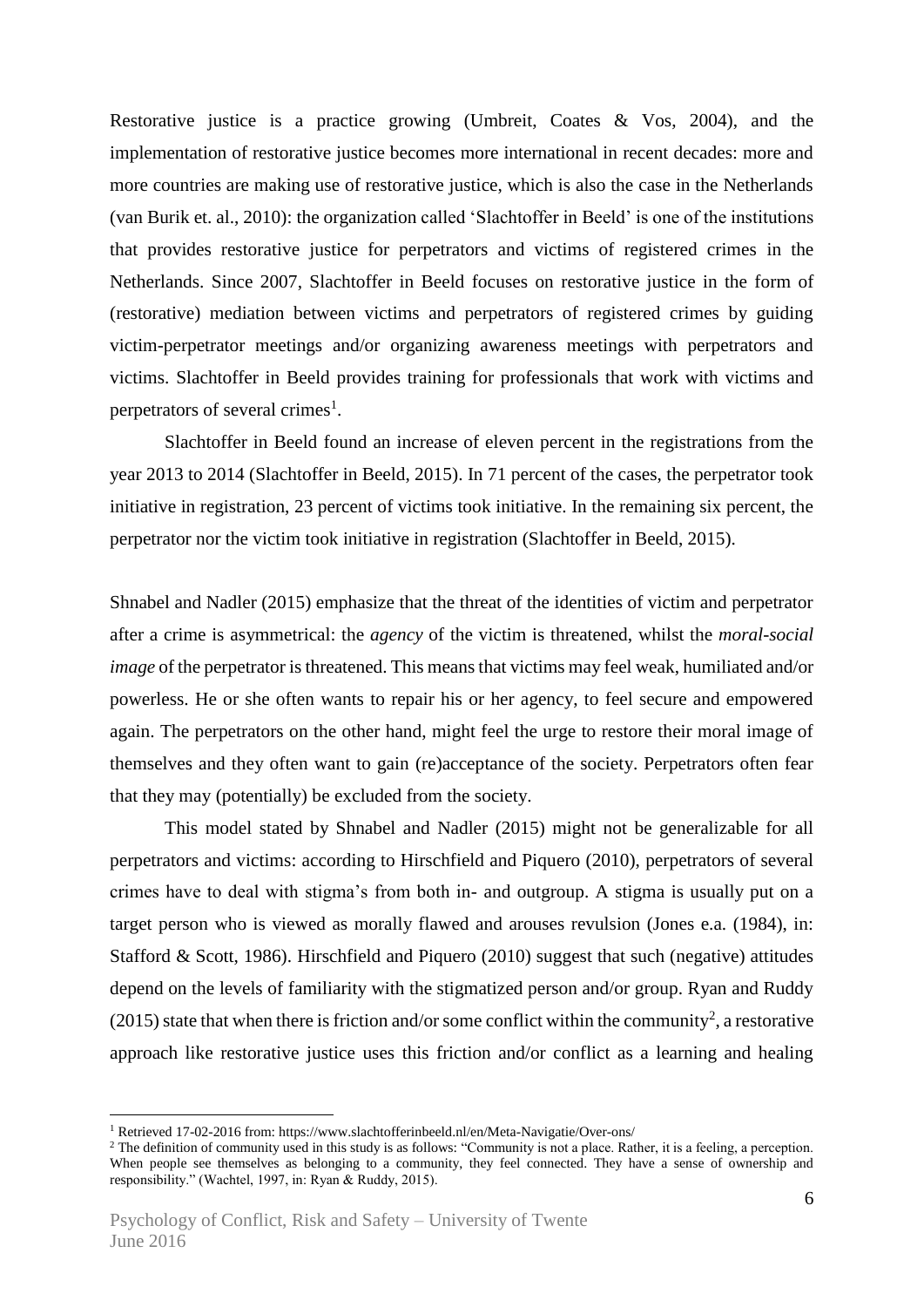Restorative justice is a practice growing (Umbreit, Coates & Vos, 2004), and the implementation of restorative justice becomes more international in recent decades: more and more countries are making use of restorative justice, which is also the case in the Netherlands (van Burik et. al., 2010): the organization called 'Slachtoffer in Beeld' is one of the institutions that provides restorative justice for perpetrators and victims of registered crimes in the Netherlands. Since 2007, Slachtoffer in Beeld focuses on restorative justice in the form of (restorative) mediation between victims and perpetrators of registered crimes by guiding victim-perpetrator meetings and/or organizing awareness meetings with perpetrators and victims. Slachtoffer in Beeld provides training for professionals that work with victims and perpetrators of several crimes<sup>1</sup>.

Slachtoffer in Beeld found an increase of eleven percent in the registrations from the year 2013 to 2014 (Slachtoffer in Beeld, 2015). In 71 percent of the cases, the perpetrator took initiative in registration, 23 percent of victims took initiative. In the remaining six percent, the perpetrator nor the victim took initiative in registration (Slachtoffer in Beeld, 2015).

Shnabel and Nadler (2015) emphasize that the threat of the identities of victim and perpetrator after a crime is asymmetrical: the *agency* of the victim is threatened, whilst the *moral-social image* of the perpetrator is threatened. This means that victims may feel weak, humiliated and/or powerless. He or she often wants to repair his or her agency, to feel secure and empowered again. The perpetrators on the other hand, might feel the urge to restore their moral image of themselves and they often want to gain (re)acceptance of the society. Perpetrators often fear that they may (potentially) be excluded from the society.

This model stated by Shnabel and Nadler (2015) might not be generalizable for all perpetrators and victims: according to Hirschfield and Piquero (2010), perpetrators of several crimes have to deal with stigma's from both in- and outgroup. A stigma is usually put on a target person who is viewed as morally flawed and arouses revulsion (Jones e.a. (1984), in: Stafford & Scott, 1986). Hirschfield and Piquero (2010) suggest that such (negative) attitudes depend on the levels of familiarity with the stigmatized person and/or group. Ryan and Ruddy (2015) state that when there is friction and/or some conflict within the community<sup>2</sup>, a restorative approach like restorative justice uses this friction and/or conflict as a learning and healing

<u>.</u>

<sup>1</sup> Retrieved 17-02-2016 from: https://www.slachtofferinbeeld.nl/en/Meta-Navigatie/Over-ons/

<sup>&</sup>lt;sup>2</sup> The definition of community used in this study is as follows: "Community is not a place. Rather, it is a feeling, a perception. When people see themselves as belonging to a community, they feel connected. They have a sense of ownership and responsibility." (Wachtel, 1997, in: Ryan & Ruddy, 2015).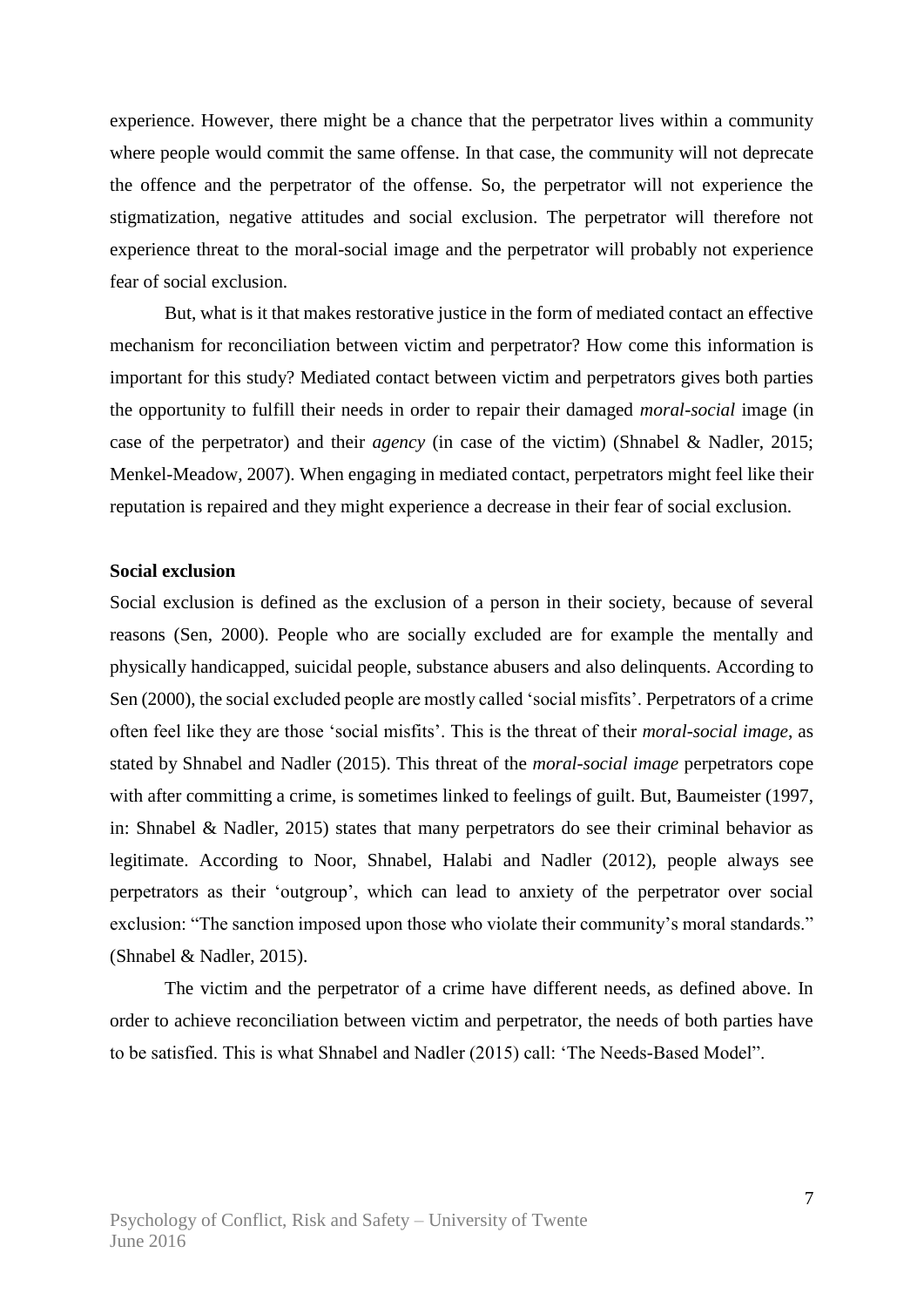experience. However, there might be a chance that the perpetrator lives within a community where people would commit the same offense. In that case, the community will not deprecate the offence and the perpetrator of the offense. So, the perpetrator will not experience the stigmatization, negative attitudes and social exclusion. The perpetrator will therefore not experience threat to the moral-social image and the perpetrator will probably not experience fear of social exclusion.

But, what is it that makes restorative justice in the form of mediated contact an effective mechanism for reconciliation between victim and perpetrator? How come this information is important for this study? Mediated contact between victim and perpetrators gives both parties the opportunity to fulfill their needs in order to repair their damaged *moral-social* image (in case of the perpetrator) and their *agency* (in case of the victim) (Shnabel & Nadler, 2015; Menkel-Meadow, 2007). When engaging in mediated contact, perpetrators might feel like their reputation is repaired and they might experience a decrease in their fear of social exclusion.

#### **Social exclusion**

Social exclusion is defined as the exclusion of a person in their society, because of several reasons (Sen, 2000). People who are socially excluded are for example the mentally and physically handicapped, suicidal people, substance abusers and also delinquents. According to Sen (2000), the social excluded people are mostly called 'social misfits'. Perpetrators of a crime often feel like they are those 'social misfits'. This is the threat of their *moral-social image*, as stated by Shnabel and Nadler (2015). This threat of the *moral-social image* perpetrators cope with after committing a crime, is sometimes linked to feelings of guilt. But, Baumeister (1997, in: Shnabel & Nadler, 2015) states that many perpetrators do see their criminal behavior as legitimate. According to Noor, Shnabel, Halabi and Nadler (2012), people always see perpetrators as their 'outgroup', which can lead to anxiety of the perpetrator over social exclusion: "The sanction imposed upon those who violate their community's moral standards." (Shnabel & Nadler, 2015).

The victim and the perpetrator of a crime have different needs, as defined above. In order to achieve reconciliation between victim and perpetrator, the needs of both parties have to be satisfied. This is what Shnabel and Nadler (2015) call: 'The Needs-Based Model".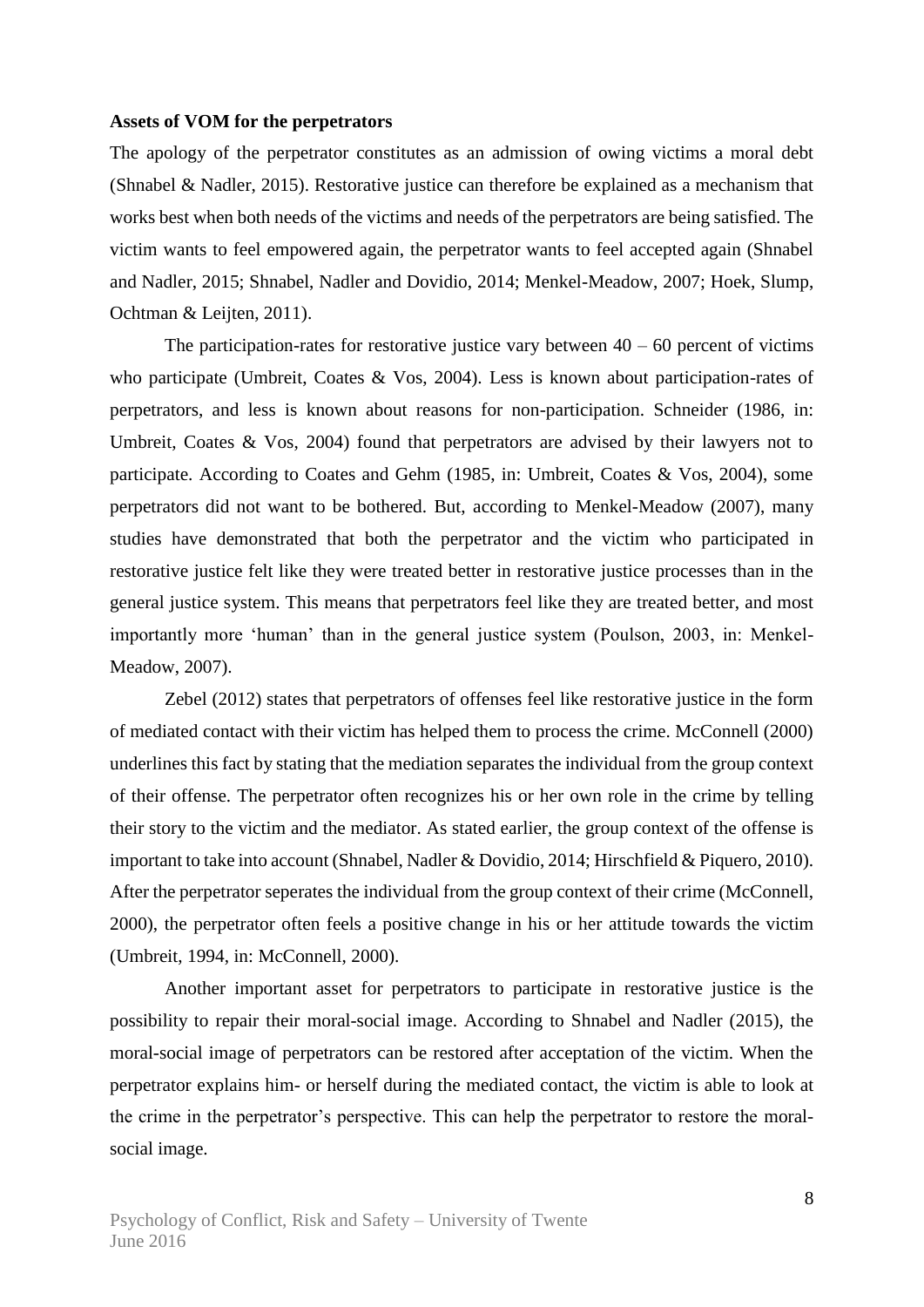#### **Assets of VOM for the perpetrators**

The apology of the perpetrator constitutes as an admission of owing victims a moral debt (Shnabel & Nadler, 2015). Restorative justice can therefore be explained as a mechanism that works best when both needs of the victims and needs of the perpetrators are being satisfied. The victim wants to feel empowered again, the perpetrator wants to feel accepted again (Shnabel and Nadler, 2015; Shnabel, Nadler and Dovidio, 2014; Menkel-Meadow, 2007; Hoek, Slump, Ochtman & Leijten, 2011).

The participation-rates for restorative justice vary between  $40 - 60$  percent of victims who participate (Umbreit, Coates & Vos, 2004). Less is known about participation-rates of perpetrators, and less is known about reasons for non-participation. Schneider (1986, in: Umbreit, Coates & Vos, 2004) found that perpetrators are advised by their lawyers not to participate. According to Coates and Gehm (1985, in: Umbreit, Coates & Vos, 2004), some perpetrators did not want to be bothered. But, according to Menkel-Meadow (2007), many studies have demonstrated that both the perpetrator and the victim who participated in restorative justice felt like they were treated better in restorative justice processes than in the general justice system. This means that perpetrators feel like they are treated better, and most importantly more 'human' than in the general justice system (Poulson, 2003, in: Menkel-Meadow, 2007).

Zebel (2012) states that perpetrators of offenses feel like restorative justice in the form of mediated contact with their victim has helped them to process the crime. McConnell (2000) underlines this fact by stating that the mediation separates the individual from the group context of their offense. The perpetrator often recognizes his or her own role in the crime by telling their story to the victim and the mediator. As stated earlier, the group context of the offense is important to take into account (Shnabel, Nadler & Dovidio, 2014; Hirschfield & Piquero, 2010). After the perpetrator seperates the individual from the group context of their crime (McConnell, 2000), the perpetrator often feels a positive change in his or her attitude towards the victim (Umbreit, 1994, in: McConnell, 2000).

Another important asset for perpetrators to participate in restorative justice is the possibility to repair their moral-social image. According to Shnabel and Nadler (2015), the moral-social image of perpetrators can be restored after acceptation of the victim. When the perpetrator explains him- or herself during the mediated contact, the victim is able to look at the crime in the perpetrator's perspective. This can help the perpetrator to restore the moralsocial image.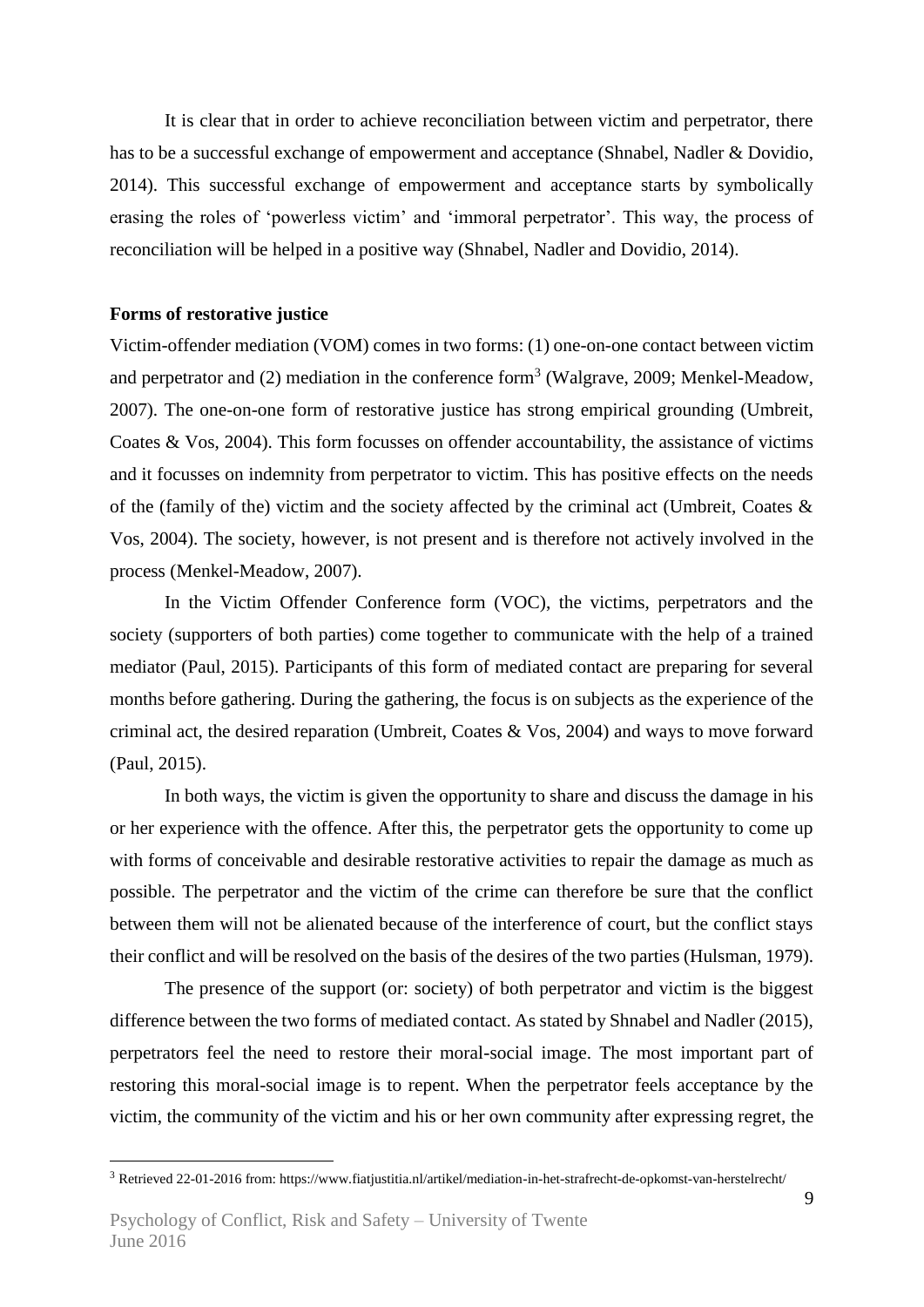It is clear that in order to achieve reconciliation between victim and perpetrator, there has to be a successful exchange of empowerment and acceptance (Shnabel, Nadler & Dovidio, 2014). This successful exchange of empowerment and acceptance starts by symbolically erasing the roles of 'powerless victim' and 'immoral perpetrator'. This way, the process of reconciliation will be helped in a positive way (Shnabel, Nadler and Dovidio, 2014).

#### **Forms of restorative justice**

Victim-offender mediation (VOM) comes in two forms: (1) one-on-one contact between victim and perpetrator and  $(2)$  mediation in the conference form<sup>3</sup> (Walgrave, 2009; Menkel-Meadow, 2007). The one-on-one form of restorative justice has strong empirical grounding (Umbreit, Coates & Vos, 2004). This form focusses on offender accountability, the assistance of victims and it focusses on indemnity from perpetrator to victim. This has positive effects on the needs of the (family of the) victim and the society affected by the criminal act (Umbreit, Coates & Vos, 2004). The society, however, is not present and is therefore not actively involved in the process (Menkel-Meadow, 2007).

In the Victim Offender Conference form (VOC), the victims, perpetrators and the society (supporters of both parties) come together to communicate with the help of a trained mediator (Paul, 2015). Participants of this form of mediated contact are preparing for several months before gathering. During the gathering, the focus is on subjects as the experience of the criminal act, the desired reparation (Umbreit, Coates & Vos, 2004) and ways to move forward (Paul, 2015).

In both ways, the victim is given the opportunity to share and discuss the damage in his or her experience with the offence. After this, the perpetrator gets the opportunity to come up with forms of conceivable and desirable restorative activities to repair the damage as much as possible. The perpetrator and the victim of the crime can therefore be sure that the conflict between them will not be alienated because of the interference of court, but the conflict stays their conflict and will be resolved on the basis of the desires of the two parties (Hulsman, 1979).

The presence of the support (or: society) of both perpetrator and victim is the biggest difference between the two forms of mediated contact. As stated by Shnabel and Nadler (2015), perpetrators feel the need to restore their moral-social image. The most important part of restoring this moral-social image is to repent. When the perpetrator feels acceptance by the victim, the community of the victim and his or her own community after expressing regret, the

1

<sup>3</sup> Retrieved 22-01-2016 from: https://www.fiatjustitia.nl/artikel/mediation-in-het-strafrecht-de-opkomst-van-herstelrecht/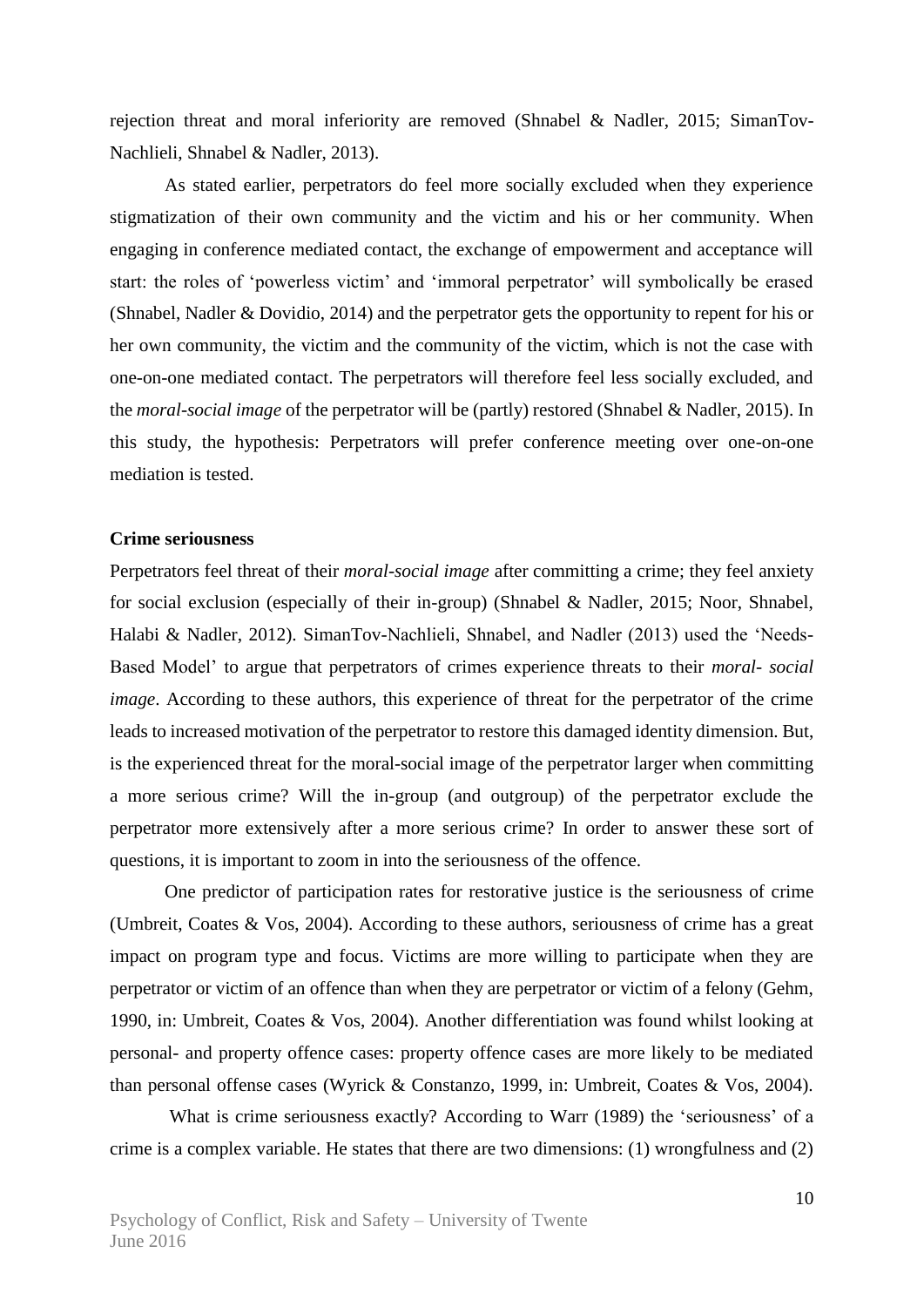rejection threat and moral inferiority are removed (Shnabel & Nadler, 2015; SimanTov-Nachlieli, Shnabel & Nadler, 2013).

As stated earlier, perpetrators do feel more socially excluded when they experience stigmatization of their own community and the victim and his or her community. When engaging in conference mediated contact, the exchange of empowerment and acceptance will start: the roles of 'powerless victim' and 'immoral perpetrator' will symbolically be erased (Shnabel, Nadler & Dovidio, 2014) and the perpetrator gets the opportunity to repent for his or her own community, the victim and the community of the victim, which is not the case with one-on-one mediated contact. The perpetrators will therefore feel less socially excluded, and the *moral-social image* of the perpetrator will be (partly) restored (Shnabel & Nadler, 2015). In this study, the hypothesis: Perpetrators will prefer conference meeting over one-on-one mediation is tested.

#### **Crime seriousness**

Perpetrators feel threat of their *moral-social image* after committing a crime; they feel anxiety for social exclusion (especially of their in-group) (Shnabel & Nadler, 2015; Noor, Shnabel, Halabi & Nadler, 2012). SimanTov-Nachlieli, Shnabel, and Nadler (2013) used the 'Needs-Based Model' to argue that perpetrators of crimes experience threats to their *moral- social image*. According to these authors, this experience of threat for the perpetrator of the crime leads to increased motivation of the perpetrator to restore this damaged identity dimension. But, is the experienced threat for the moral-social image of the perpetrator larger when committing a more serious crime? Will the in-group (and outgroup) of the perpetrator exclude the perpetrator more extensively after a more serious crime? In order to answer these sort of questions, it is important to zoom in into the seriousness of the offence.

One predictor of participation rates for restorative justice is the seriousness of crime (Umbreit, Coates & Vos, 2004). According to these authors, seriousness of crime has a great impact on program type and focus. Victims are more willing to participate when they are perpetrator or victim of an offence than when they are perpetrator or victim of a felony (Gehm, 1990, in: Umbreit, Coates & Vos, 2004). Another differentiation was found whilst looking at personal- and property offence cases: property offence cases are more likely to be mediated than personal offense cases (Wyrick & Constanzo, 1999, in: Umbreit, Coates & Vos, 2004).

What is crime seriousness exactly? According to Warr (1989) the 'seriousness' of a crime is a complex variable. He states that there are two dimensions: (1) wrongfulness and (2)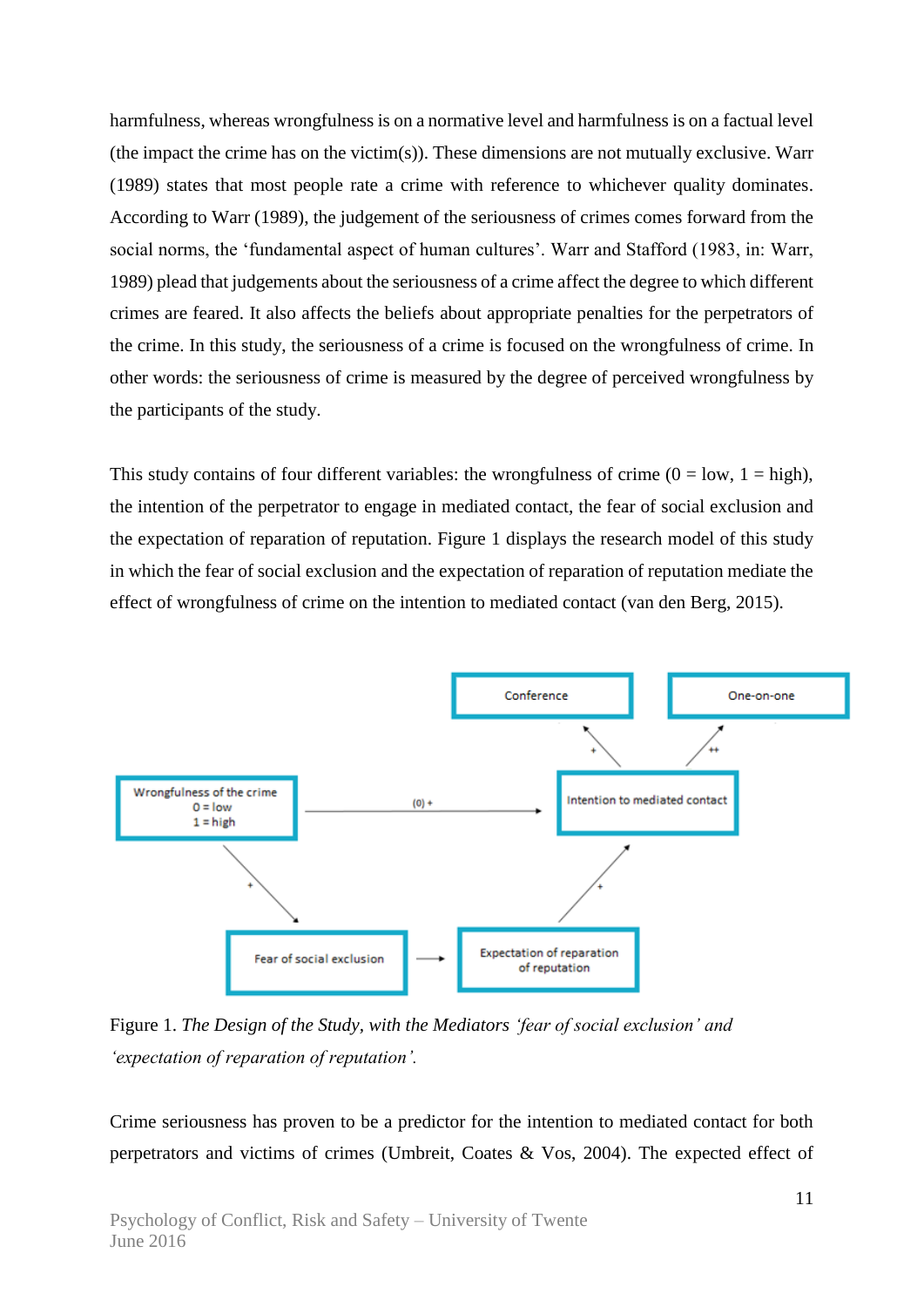harmfulness, whereas wrongfulness is on a normative level and harmfulness is on a factual level (the impact the crime has on the victim(s)). These dimensions are not mutually exclusive. Warr (1989) states that most people rate a crime with reference to whichever quality dominates. According to Warr (1989), the judgement of the seriousness of crimes comes forward from the social norms, the 'fundamental aspect of human cultures'. Warr and Stafford (1983, in: Warr, 1989) plead that judgements about the seriousness of a crime affect the degree to which different crimes are feared. It also affects the beliefs about appropriate penalties for the perpetrators of the crime. In this study, the seriousness of a crime is focused on the wrongfulness of crime. In other words: the seriousness of crime is measured by the degree of perceived wrongfulness by the participants of the study.

This study contains of four different variables: the wrongfulness of crime  $(0 = low, 1 = high)$ , the intention of the perpetrator to engage in mediated contact, the fear of social exclusion and the expectation of reparation of reputation. Figure 1 displays the research model of this study in which the fear of social exclusion and the expectation of reparation of reputation mediate the effect of wrongfulness of crime on the intention to mediated contact (van den Berg, 2015).



Figure 1. *The Design of the Study, with the Mediators 'fear of social exclusion' and 'expectation of reparation of reputation'.*

Crime seriousness has proven to be a predictor for the intention to mediated contact for both perpetrators and victims of crimes (Umbreit, Coates & Vos, 2004). The expected effect of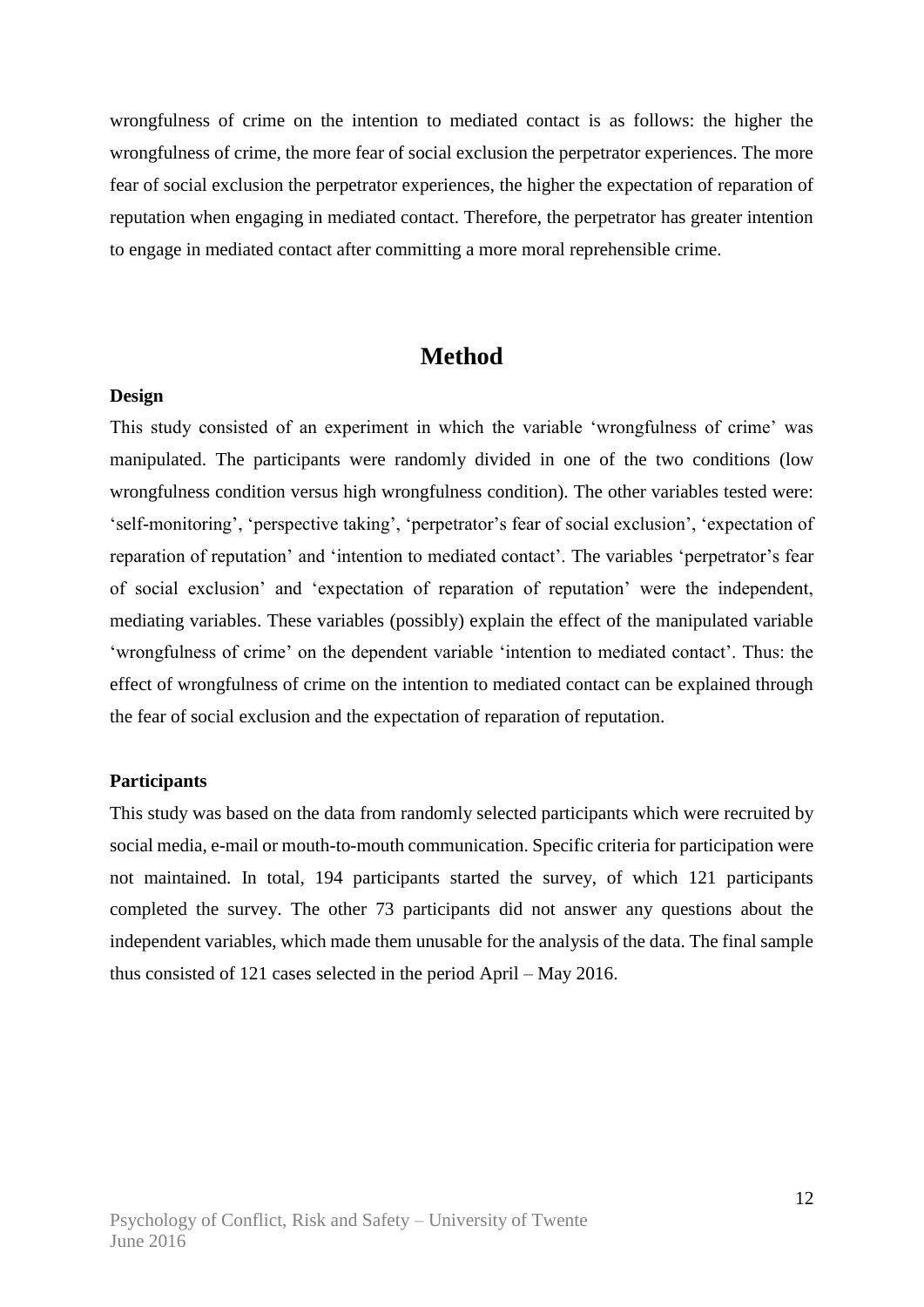wrongfulness of crime on the intention to mediated contact is as follows: the higher the wrongfulness of crime, the more fear of social exclusion the perpetrator experiences. The more fear of social exclusion the perpetrator experiences, the higher the expectation of reparation of reputation when engaging in mediated contact. Therefore, the perpetrator has greater intention to engage in mediated contact after committing a more moral reprehensible crime.

### **Method**

#### **Design**

This study consisted of an experiment in which the variable 'wrongfulness of crime' was manipulated. The participants were randomly divided in one of the two conditions (low wrongfulness condition versus high wrongfulness condition). The other variables tested were: 'self-monitoring', 'perspective taking', 'perpetrator's fear of social exclusion', 'expectation of reparation of reputation' and 'intention to mediated contact'. The variables 'perpetrator's fear of social exclusion' and 'expectation of reparation of reputation' were the independent, mediating variables. These variables (possibly) explain the effect of the manipulated variable 'wrongfulness of crime' on the dependent variable 'intention to mediated contact'. Thus: the effect of wrongfulness of crime on the intention to mediated contact can be explained through the fear of social exclusion and the expectation of reparation of reputation.

#### **Participants**

This study was based on the data from randomly selected participants which were recruited by social media, e-mail or mouth-to-mouth communication. Specific criteria for participation were not maintained. In total, 194 participants started the survey, of which 121 participants completed the survey. The other 73 participants did not answer any questions about the independent variables, which made them unusable for the analysis of the data. The final sample thus consisted of 121 cases selected in the period April – May 2016.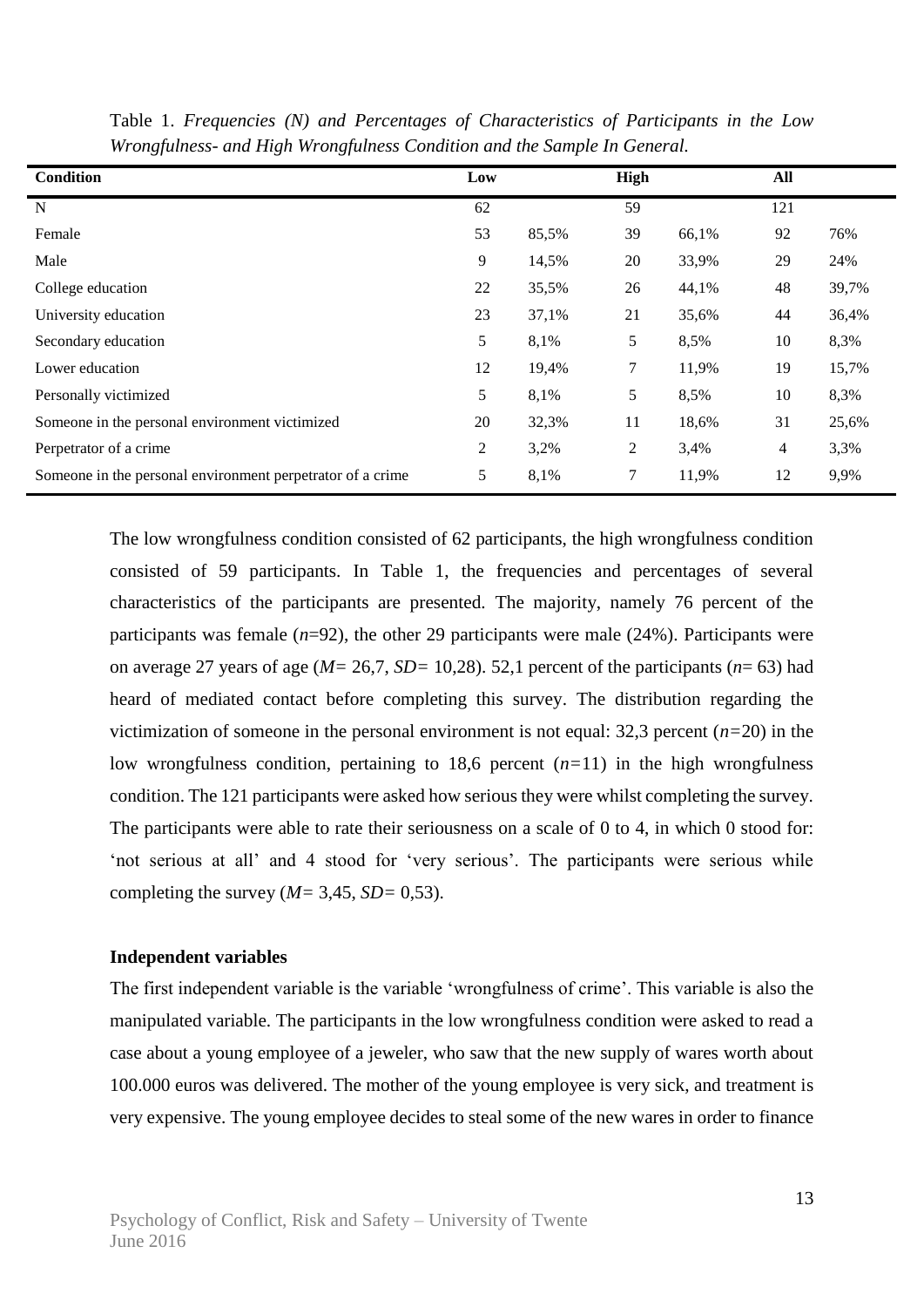| <b>Condition</b>                                           | Low |       | High |       | All |       |
|------------------------------------------------------------|-----|-------|------|-------|-----|-------|
| N                                                          | 62  |       | 59   |       | 121 |       |
| Female                                                     | 53  | 85,5% | 39   | 66,1% | 92  | 76%   |
| Male                                                       | 9   | 14,5% | 20   | 33,9% | 29  | 24%   |
| College education                                          | 22  | 35,5% | 26   | 44,1% | 48  | 39,7% |
| University education                                       | 23  | 37,1% | 21   | 35,6% | 44  | 36,4% |
| Secondary education                                        | 5   | 8,1%  | 5    | 8,5%  | 10  | 8,3%  |
| Lower education                                            | 12  | 19,4% | 7    | 11,9% | 19  | 15,7% |
| Personally victimized                                      | 5   | 8,1%  | 5    | 8,5%  | 10  | 8,3%  |
| Someone in the personal environment victimized             | 20  | 32,3% | 11   | 18,6% | 31  | 25,6% |
| Perpetrator of a crime                                     | 2   | 3,2%  | 2    | 3,4%  | 4   | 3,3%  |
| Someone in the personal environment perpetrator of a crime | 5   | 8,1%  | 7    | 11,9% | 12  | 9,9%  |

Table 1. *Frequencies (N) and Percentages of Characteristics of Participants in the Low Wrongfulness- and High Wrongfulness Condition and the Sample In General.*

The low wrongfulness condition consisted of 62 participants, the high wrongfulness condition consisted of 59 participants. In Table 1, the frequencies and percentages of several characteristics of the participants are presented. The majority, namely 76 percent of the participants was female (*n*=92), the other 29 participants were male (24%). Participants were on average 27 years of age (*M=* 26,7, *SD=* 10,28). 52,1 percent of the participants (*n*= 63) had heard of mediated contact before completing this survey. The distribution regarding the victimization of someone in the personal environment is not equal:  $32.3$  percent ( $n=20$ ) in the low wrongfulness condition, pertaining to 18,6 percent  $(n=11)$  in the high wrongfulness condition. The 121 participants were asked how serious they were whilst completing the survey. The participants were able to rate their seriousness on a scale of 0 to 4, in which 0 stood for: 'not serious at all' and 4 stood for 'very serious'. The participants were serious while completing the survey  $(M= 3,45, SD= 0,53)$ .

#### **Independent variables**

The first independent variable is the variable 'wrongfulness of crime'. This variable is also the manipulated variable. The participants in the low wrongfulness condition were asked to read a case about a young employee of a jeweler, who saw that the new supply of wares worth about 100.000 euros was delivered. The mother of the young employee is very sick, and treatment is very expensive. The young employee decides to steal some of the new wares in order to finance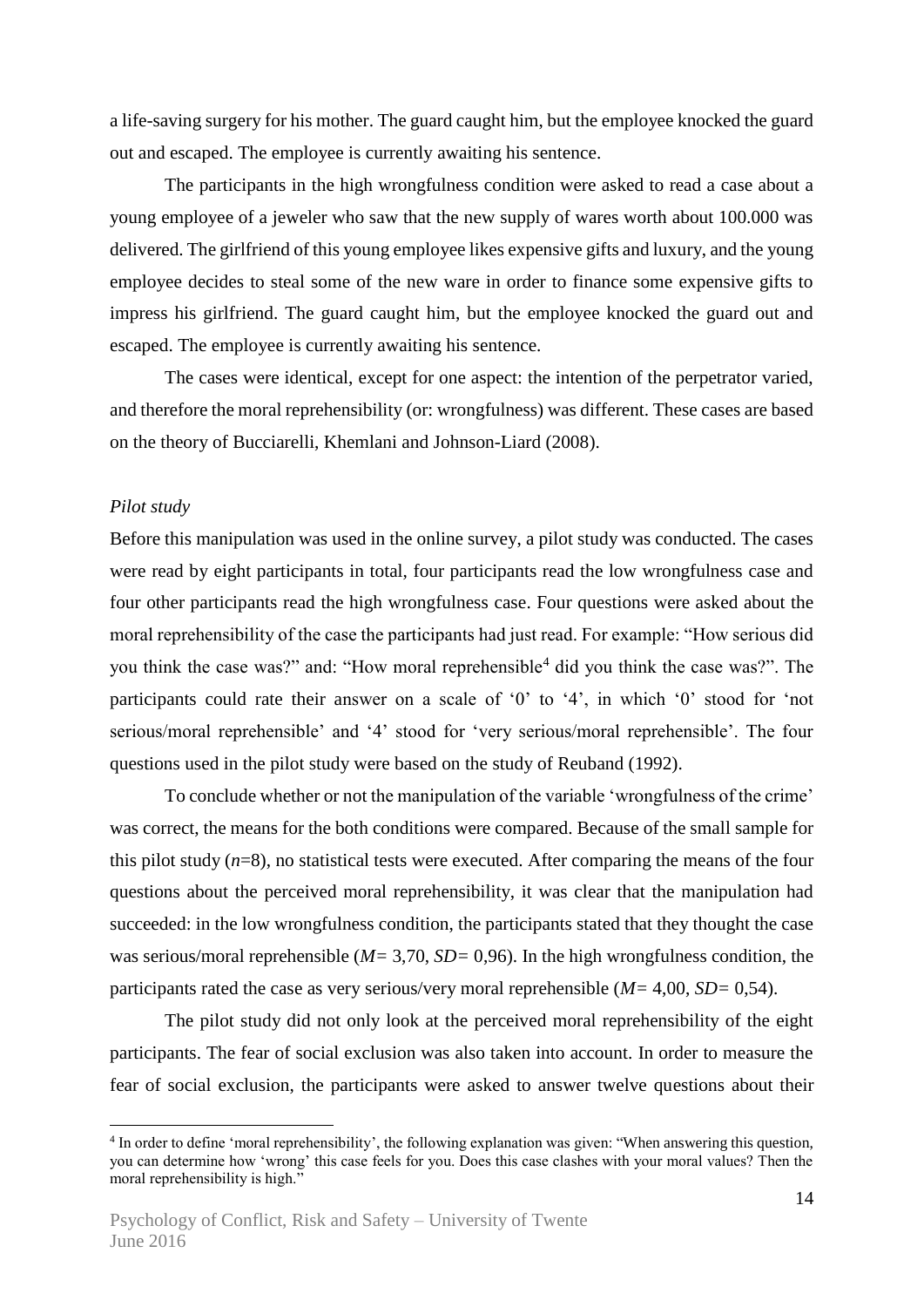a life-saving surgery for his mother. The guard caught him, but the employee knocked the guard out and escaped. The employee is currently awaiting his sentence.

The participants in the high wrongfulness condition were asked to read a case about a young employee of a jeweler who saw that the new supply of wares worth about 100.000 was delivered. The girlfriend of this young employee likes expensive gifts and luxury, and the young employee decides to steal some of the new ware in order to finance some expensive gifts to impress his girlfriend. The guard caught him, but the employee knocked the guard out and escaped. The employee is currently awaiting his sentence.

The cases were identical, except for one aspect: the intention of the perpetrator varied, and therefore the moral reprehensibility (or: wrongfulness) was different. These cases are based on the theory of Bucciarelli, Khemlani and Johnson-Liard (2008).

#### *Pilot study*

1

Before this manipulation was used in the online survey, a pilot study was conducted. The cases were read by eight participants in total, four participants read the low wrongfulness case and four other participants read the high wrongfulness case. Four questions were asked about the moral reprehensibility of the case the participants had just read. For example: "How serious did you think the case was?" and: "How moral reprehensible<sup>4</sup> did you think the case was?". The participants could rate their answer on a scale of '0' to '4', in which '0' stood for 'not serious/moral reprehensible' and '4' stood for 'very serious/moral reprehensible'. The four questions used in the pilot study were based on the study of Reuband (1992).

To conclude whether or not the manipulation of the variable 'wrongfulness of the crime' was correct, the means for the both conditions were compared. Because of the small sample for this pilot study  $(n=8)$ , no statistical tests were executed. After comparing the means of the four questions about the perceived moral reprehensibility, it was clear that the manipulation had succeeded: in the low wrongfulness condition, the participants stated that they thought the case was serious/moral reprehensible (*M=* 3,70, *SD=* 0,96). In the high wrongfulness condition, the participants rated the case as very serious/very moral reprehensible (*M=* 4,00, *SD=* 0,54).

The pilot study did not only look at the perceived moral reprehensibility of the eight participants. The fear of social exclusion was also taken into account. In order to measure the fear of social exclusion, the participants were asked to answer twelve questions about their

<sup>4</sup> In order to define 'moral reprehensibility', the following explanation was given: "When answering this question, you can determine how 'wrong' this case feels for you. Does this case clashes with your moral values? Then the moral reprehensibility is high."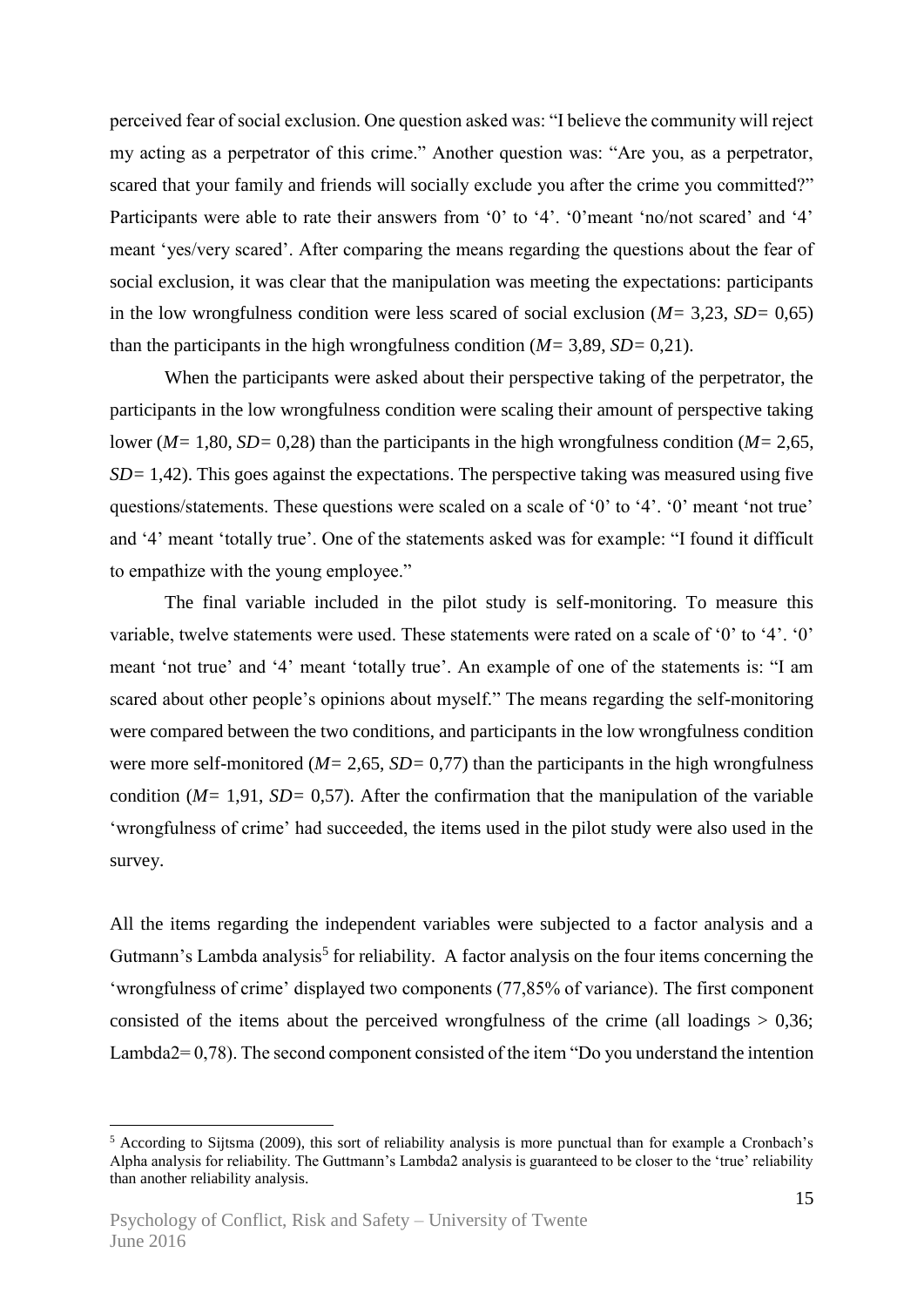perceived fear of social exclusion. One question asked was: "I believe the community will reject my acting as a perpetrator of this crime." Another question was: "Are you, as a perpetrator, scared that your family and friends will socially exclude you after the crime you committed?" Participants were able to rate their answers from '0' to '4'. '0'meant 'no/not scared' and '4' meant 'yes/very scared'. After comparing the means regarding the questions about the fear of social exclusion, it was clear that the manipulation was meeting the expectations: participants in the low wrongfulness condition were less scared of social exclusion (*M=* 3,23, *SD=* 0,65) than the participants in the high wrongfulness condition (*M=* 3,89, *SD=* 0,21).

When the participants were asked about their perspective taking of the perpetrator, the participants in the low wrongfulness condition were scaling their amount of perspective taking lower (*M=* 1,80, *SD=* 0,28) than the participants in the high wrongfulness condition (*M=* 2,65, *SD*= 1,42). This goes against the expectations. The perspective taking was measured using five questions/statements. These questions were scaled on a scale of '0' to '4'. '0' meant 'not true' and '4' meant 'totally true'. One of the statements asked was for example: "I found it difficult to empathize with the young employee."

The final variable included in the pilot study is self-monitoring. To measure this variable, twelve statements were used. These statements were rated on a scale of '0' to '4'. '0' meant 'not true' and '4' meant 'totally true'. An example of one of the statements is: "I am scared about other people's opinions about myself." The means regarding the self-monitoring were compared between the two conditions, and participants in the low wrongfulness condition were more self-monitored ( $M = 2,65$ ,  $SD = 0,77$ ) than the participants in the high wrongfulness condition (*M=* 1,91, *SD=* 0,57). After the confirmation that the manipulation of the variable 'wrongfulness of crime' had succeeded, the items used in the pilot study were also used in the survey.

All the items regarding the independent variables were subjected to a factor analysis and a Gutmann's Lambda analysis<sup>5</sup> for reliability. A factor analysis on the four items concerning the 'wrongfulness of crime' displayed two components (77,85% of variance). The first component consisted of the items about the perceived wrongfulness of the crime (all loadings  $> 0.36$ ; Lambda2= 0,78). The second component consisted of the item "Do you understand the intention

1

<sup>5</sup> According to Sijtsma (2009), this sort of reliability analysis is more punctual than for example a Cronbach's Alpha analysis for reliability. The Guttmann's Lambda2 analysis is guaranteed to be closer to the 'true' reliability than another reliability analysis.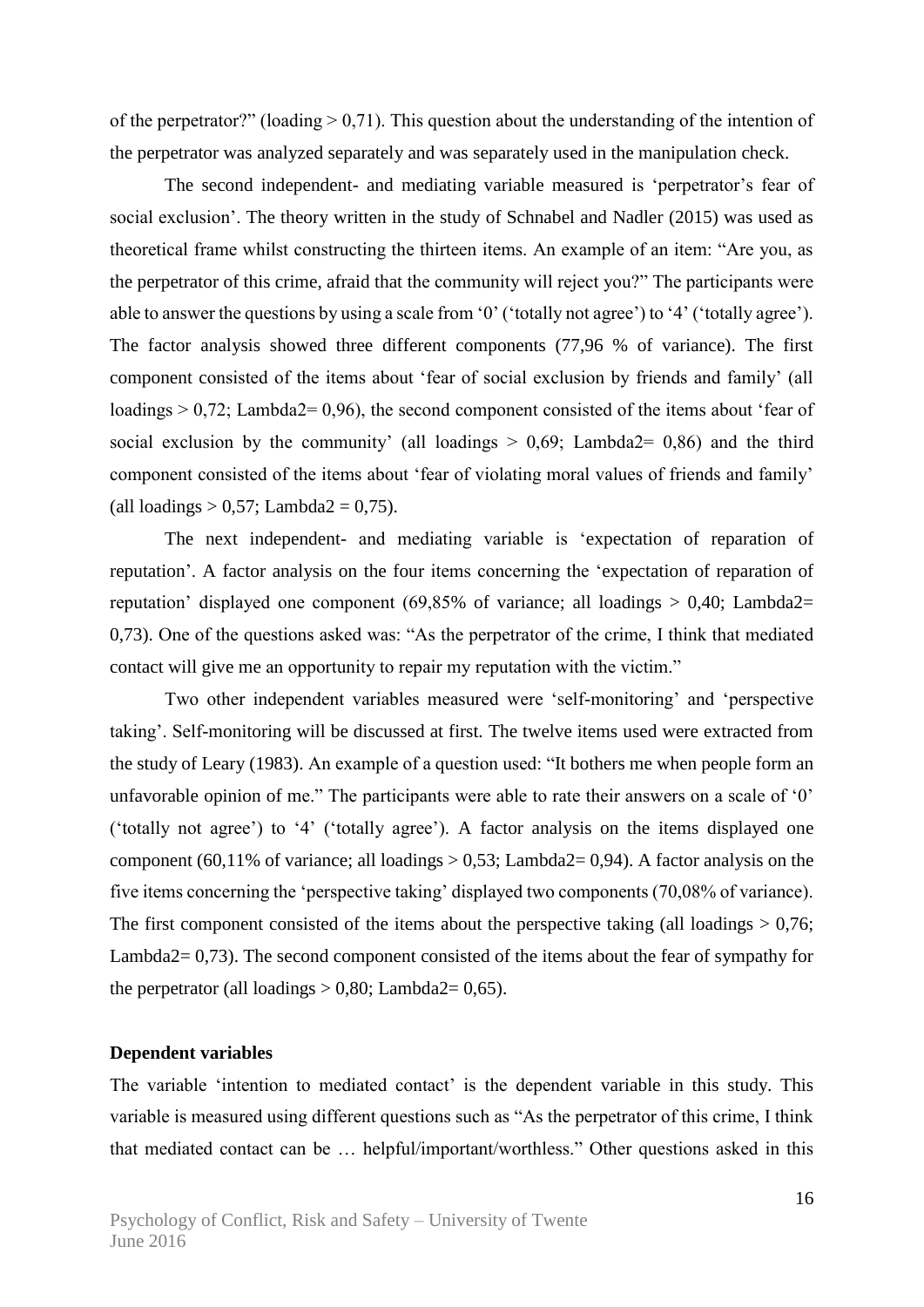of the perpetrator?" (loading  $> 0.71$ ). This question about the understanding of the intention of the perpetrator was analyzed separately and was separately used in the manipulation check.

The second independent- and mediating variable measured is 'perpetrator's fear of social exclusion'. The theory written in the study of Schnabel and Nadler (2015) was used as theoretical frame whilst constructing the thirteen items. An example of an item: "Are you, as the perpetrator of this crime, afraid that the community will reject you?" The participants were able to answer the questions by using a scale from '0' ('totally not agree') to '4' ('totally agree'). The factor analysis showed three different components (77,96 % of variance). The first component consisted of the items about 'fear of social exclusion by friends and family' (all loadings  $> 0.72$ ; Lambda2= 0.96), the second component consisted of the items about 'fear of social exclusion by the community' (all loadings  $> 0.69$ ; Lambda2= 0.86) and the third component consisted of the items about 'fear of violating moral values of friends and family' (all loadings  $> 0.57$ ; Lambda2 = 0.75).

The next independent- and mediating variable is 'expectation of reparation of reputation'. A factor analysis on the four items concerning the 'expectation of reparation of reputation' displayed one component (69,85% of variance; all loadings  $> 0.40$ ; Lambda2= 0,73). One of the questions asked was: "As the perpetrator of the crime, I think that mediated contact will give me an opportunity to repair my reputation with the victim."

Two other independent variables measured were 'self-monitoring' and 'perspective taking'. Self-monitoring will be discussed at first. The twelve items used were extracted from the study of Leary (1983). An example of a question used: "It bothers me when people form an unfavorable opinion of me." The participants were able to rate their answers on a scale of '0' ('totally not agree') to '4' ('totally agree'). A factor analysis on the items displayed one component (60,11% of variance; all loadings  $> 0.53$ ; Lambda2= 0,94). A factor analysis on the five items concerning the 'perspective taking' displayed two components (70,08% of variance). The first component consisted of the items about the perspective taking (all loadings  $> 0.76$ ; Lambda2= 0,73). The second component consisted of the items about the fear of sympathy for the perpetrator (all loadings  $> 0.80$ ; Lambda2= 0.65).

#### **Dependent variables**

The variable 'intention to mediated contact' is the dependent variable in this study. This variable is measured using different questions such as "As the perpetrator of this crime, I think that mediated contact can be … helpful/important/worthless." Other questions asked in this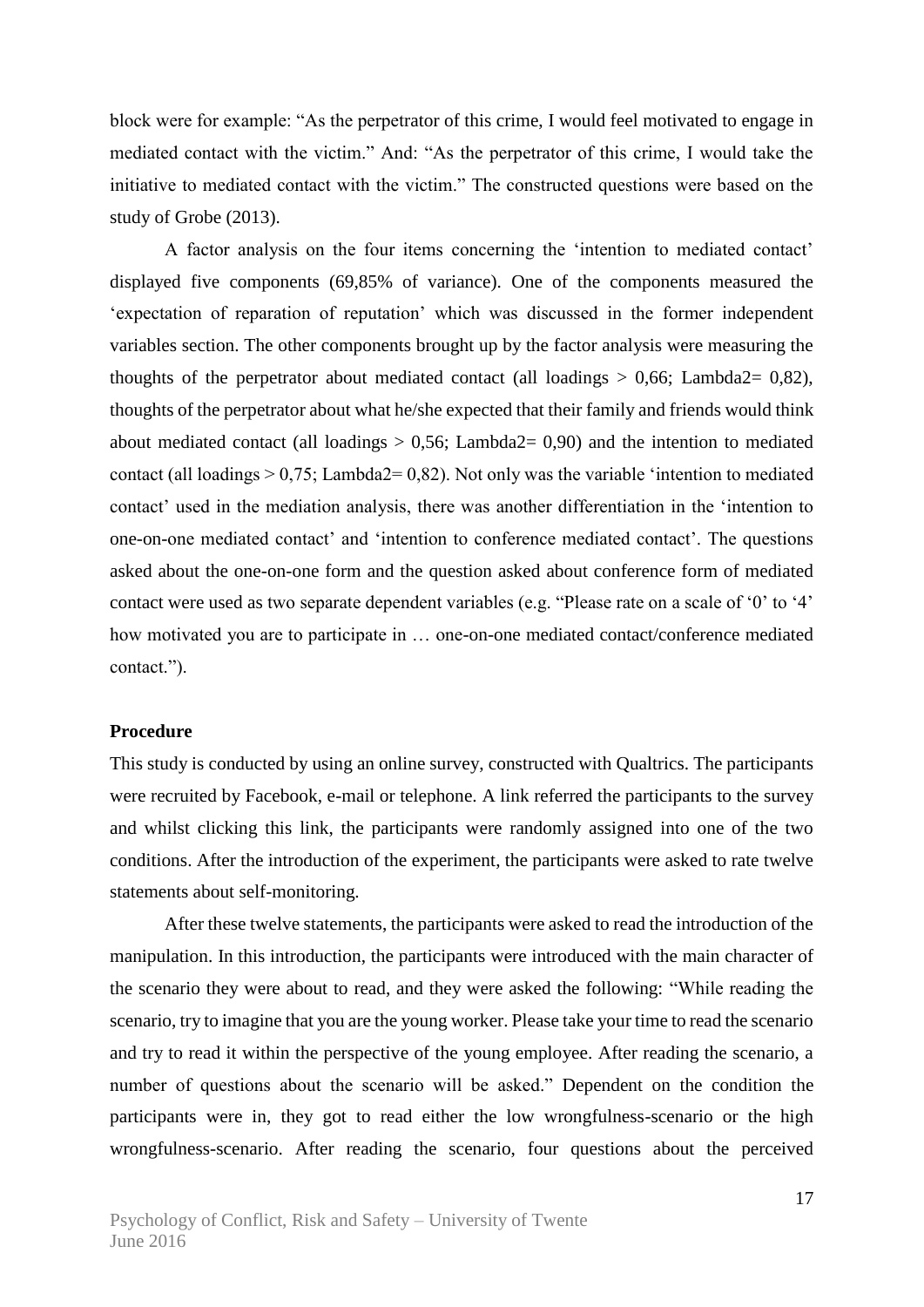block were for example: "As the perpetrator of this crime, I would feel motivated to engage in mediated contact with the victim." And: "As the perpetrator of this crime, I would take the initiative to mediated contact with the victim." The constructed questions were based on the study of Grobe (2013).

A factor analysis on the four items concerning the 'intention to mediated contact' displayed five components (69,85% of variance). One of the components measured the 'expectation of reparation of reputation' which was discussed in the former independent variables section. The other components brought up by the factor analysis were measuring the thoughts of the perpetrator about mediated contact (all loadings  $> 0.66$ ; Lambda2= 0.82), thoughts of the perpetrator about what he/she expected that their family and friends would think about mediated contact (all loadings  $> 0.56$ ; Lambda2= 0,90) and the intention to mediated contact (all loadings  $> 0.75$ ; Lambda2= 0.82). Not only was the variable 'intention to mediated contact' used in the mediation analysis, there was another differentiation in the 'intention to one-on-one mediated contact' and 'intention to conference mediated contact'. The questions asked about the one-on-one form and the question asked about conference form of mediated contact were used as two separate dependent variables (e.g. "Please rate on a scale of '0' to '4' how motivated you are to participate in … one-on-one mediated contact/conference mediated contact.").

#### **Procedure**

This study is conducted by using an online survey, constructed with Qualtrics. The participants were recruited by Facebook, e-mail or telephone. A link referred the participants to the survey and whilst clicking this link, the participants were randomly assigned into one of the two conditions. After the introduction of the experiment, the participants were asked to rate twelve statements about self-monitoring.

After these twelve statements, the participants were asked to read the introduction of the manipulation. In this introduction, the participants were introduced with the main character of the scenario they were about to read, and they were asked the following: "While reading the scenario, try to imagine that you are the young worker. Please take your time to read the scenario and try to read it within the perspective of the young employee. After reading the scenario, a number of questions about the scenario will be asked." Dependent on the condition the participants were in, they got to read either the low wrongfulness-scenario or the high wrongfulness-scenario. After reading the scenario, four questions about the perceived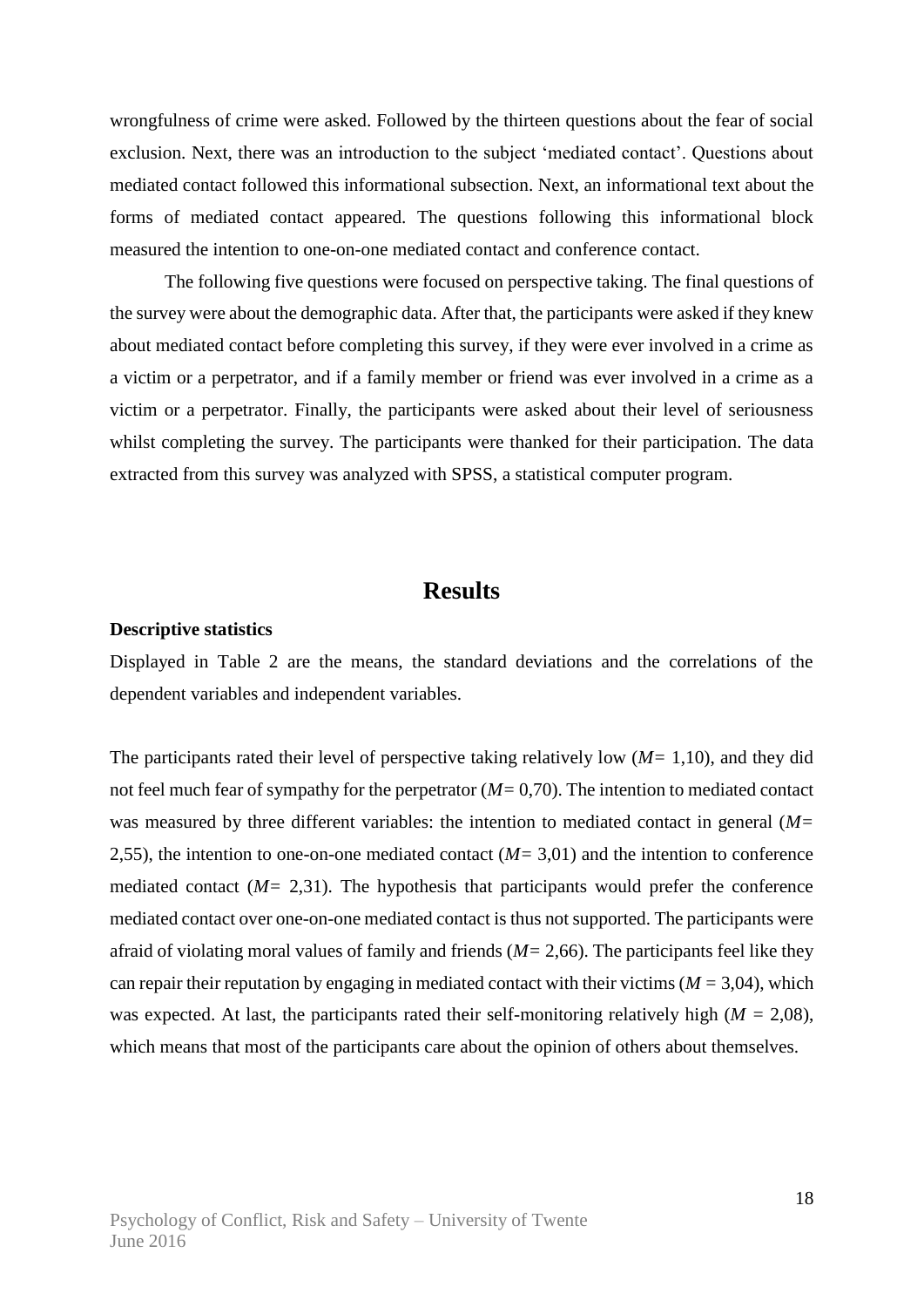wrongfulness of crime were asked. Followed by the thirteen questions about the fear of social exclusion. Next, there was an introduction to the subject 'mediated contact'. Questions about mediated contact followed this informational subsection. Next, an informational text about the forms of mediated contact appeared. The questions following this informational block measured the intention to one-on-one mediated contact and conference contact.

The following five questions were focused on perspective taking. The final questions of the survey were about the demographic data. After that, the participants were asked if they knew about mediated contact before completing this survey, if they were ever involved in a crime as a victim or a perpetrator, and if a family member or friend was ever involved in a crime as a victim or a perpetrator. Finally, the participants were asked about their level of seriousness whilst completing the survey. The participants were thanked for their participation. The data extracted from this survey was analyzed with SPSS, a statistical computer program.

### **Results**

#### **Descriptive statistics**

Displayed in Table 2 are the means, the standard deviations and the correlations of the dependent variables and independent variables.

The participants rated their level of perspective taking relatively low (*M=* 1,10), and they did not feel much fear of sympathy for the perpetrator (*M=* 0,70). The intention to mediated contact was measured by three different variables: the intention to mediated contact in general (*M=* 2,55), the intention to one-on-one mediated contact (*M=* 3,01) and the intention to conference mediated contact  $(M= 2,31)$ . The hypothesis that participants would prefer the conference mediated contact over one-on-one mediated contact is thus not supported. The participants were afraid of violating moral values of family and friends (*M=* 2,66). The participants feel like they can repair their reputation by engaging in mediated contact with their victims ( $M = 3,04$ ), which was expected. At last, the participants rated their self-monitoring relatively high (*M =* 2,08), which means that most of the participants care about the opinion of others about themselves.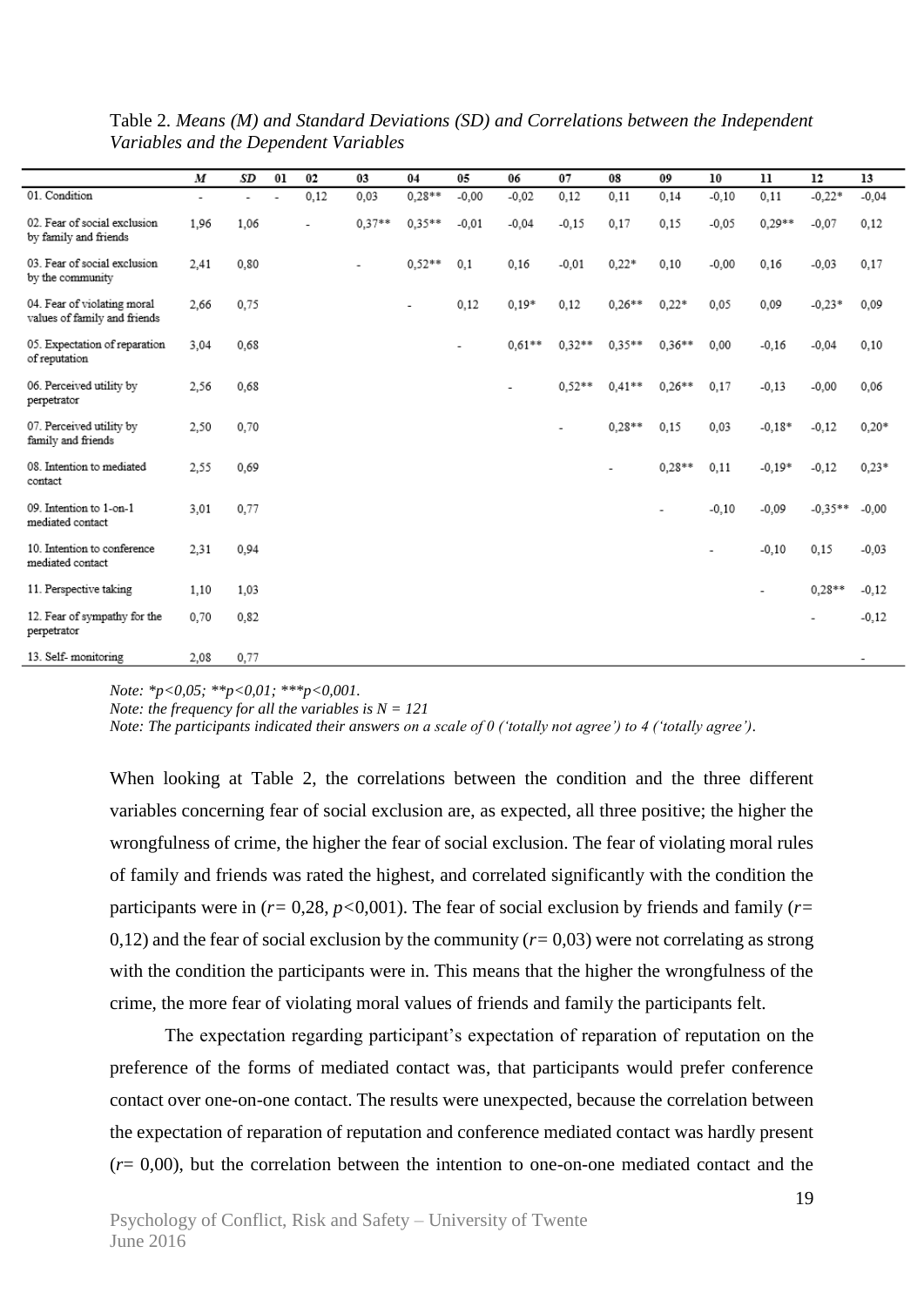|                                                             | M                        | SD   | 01 | 02   | 03                       | 04       | 05                       | 06       | 07       | 08       | 09       | 10      | 11       | 12                       | 13      |
|-------------------------------------------------------------|--------------------------|------|----|------|--------------------------|----------|--------------------------|----------|----------|----------|----------|---------|----------|--------------------------|---------|
| 01. Condition                                               | $\overline{\phantom{a}}$ |      |    | 0,12 | 0,03                     | $0,28**$ | $-0,00$                  | $-0,02$  | 0,12     | 0.11     | 0,14     | $-0,10$ | 0,11     | $-0,22*$                 | $-0,04$ |
| 02. Fear of social exclusion<br>by family and friends       | 1,96                     | 1.06 |    |      | $0.37**$                 | $0.35**$ | $-0.01$                  | $-0.04$  | $-0.15$  | 0.17     | 0,15     | $-0,05$ | $0,29**$ | $-0.07$                  | 0,12    |
| 03. Fear of social exclusion<br>by the community            | 2,41                     | 0.80 |    |      | $\overline{\phantom{a}}$ | $0.52**$ | 0,1                      | 0,16     | $-0.01$  | $0.22*$  | 0,10     | $-0,00$ | 0,16     | $-0.03$                  | 0,17    |
| 04. Fear of violating moral<br>values of family and friends | 2.66                     | 0.75 |    |      |                          | ٠        | 0,12                     | $0.19*$  | 0,12     | $0.26**$ | $0.22*$  | 0.05    | 0,09     | $-0,23*$                 | 0,09    |
| 05. Expectation of reparation<br>of reputation              | 3,04                     | 0.68 |    |      |                          |          | $\overline{\phantom{a}}$ | $0.61**$ | $0.32**$ | $0.35**$ | $0.36**$ | 0,00    | $-0,16$  | $-0,04$                  | 0,10    |
| 06. Perceived utility by<br>perpetrator                     | 2,56                     | 0.68 |    |      |                          |          |                          |          | $0.52**$ | $0.41**$ | $0.26**$ | 0,17    | $-0,13$  | $-0.00$                  | 0,06    |
| 07. Perceived utility by<br>family and friends              | 2,50                     | 0,70 |    |      |                          |          |                          |          |          | $0.28**$ | 0,15     | 0,03    | $-0.18*$ | $-0,12$                  | $0,20*$ |
| 08. Intention to mediated<br>contact                        | 2,55                     | 0.69 |    |      |                          |          |                          |          |          |          | $0.28**$ | 0.11    | $-0.19*$ | $-0.12$                  | $0,23*$ |
| 09. Intention to 1-on-1<br>mediated contact                 | 3,01                     | 0.77 |    |      |                          |          |                          |          |          |          |          | $-0,10$ | $-0,09$  | $-0.35**$                | $-0,00$ |
| 10. Intention to conference<br>mediated contact             | 2,31                     | 0.94 |    |      |                          |          |                          |          |          |          |          |         | $-0,10$  | 0,15                     | $-0,03$ |
| 11. Perspective taking                                      | 1,10                     | 1.03 |    |      |                          |          |                          |          |          |          |          |         |          | $0.28**$                 | $-0,12$ |
| 12. Fear of sympathy for the<br>perpetrator                 | 0,70                     | 0.82 |    |      |                          |          |                          |          |          |          |          |         |          | $\overline{\phantom{a}}$ | $-0,12$ |
| 13. Self-monitoring                                         | 2.08                     | 0.77 |    |      |                          |          |                          |          |          |          |          |         |          |                          |         |

Table 2. *Means (M) and Standard Deviations (SD) and Correlations between the Independent Variables and the Dependent Variables*

*Note: \*p<0,05; \*\*p<0,01; \*\*\*p<0,001.*

*Note: the frequency for all the variables is N = 121*

*Note: The participants indicated their answers on a scale of 0 ('totally not agree') to 4 ('totally agree').*

When looking at Table 2, the correlations between the condition and the three different variables concerning fear of social exclusion are, as expected, all three positive; the higher the wrongfulness of crime, the higher the fear of social exclusion. The fear of violating moral rules of family and friends was rated the highest, and correlated significantly with the condition the participants were in (*r=* 0,28, *p<*0,001). The fear of social exclusion by friends and family (*r=*  0,12) and the fear of social exclusion by the community  $(r=0.03)$  were not correlating as strong with the condition the participants were in. This means that the higher the wrongfulness of the crime, the more fear of violating moral values of friends and family the participants felt.

The expectation regarding participant's expectation of reparation of reputation on the preference of the forms of mediated contact was, that participants would prefer conference contact over one-on-one contact. The results were unexpected, because the correlation between the expectation of reparation of reputation and conference mediated contact was hardly present  $(r= 0.00)$ , but the correlation between the intention to one-on-one mediated contact and the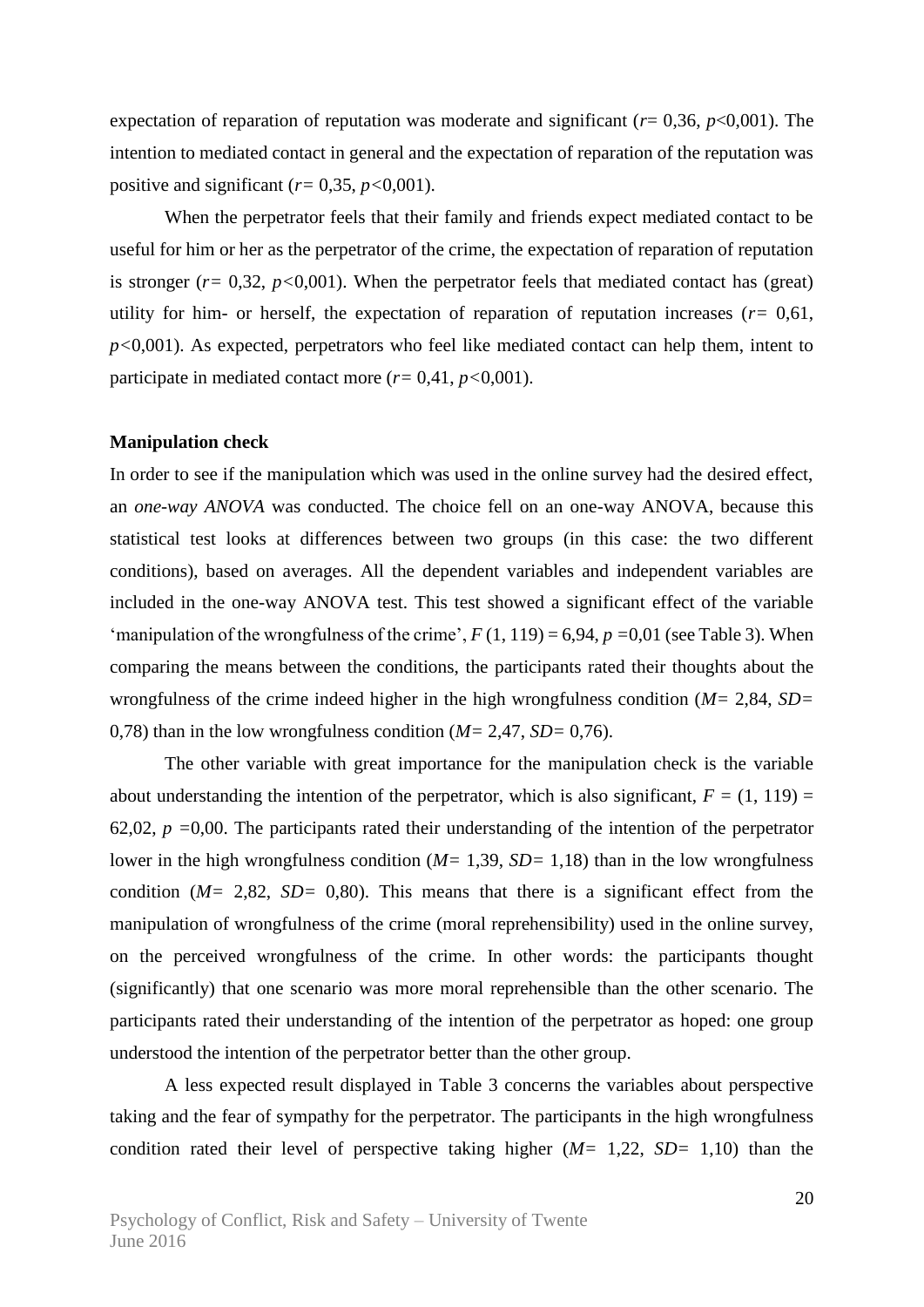expectation of reparation of reputation was moderate and significant ( $r= 0.36$ ,  $p<0.001$ ). The intention to mediated contact in general and the expectation of reparation of the reputation was positive and significant  $(r=0.35, p<0.001)$ .

When the perpetrator feels that their family and friends expect mediated contact to be useful for him or her as the perpetrator of the crime, the expectation of reparation of reputation is stronger  $(r=0.32, p<0.001)$ . When the perpetrator feels that mediated contact has (great) utility for him- or herself, the expectation of reparation of reputation increases  $(r= 0.61,$ *p<*0,001). As expected, perpetrators who feel like mediated contact can help them, intent to participate in mediated contact more  $(r=0.41, p<0.001)$ .

#### **Manipulation check**

In order to see if the manipulation which was used in the online survey had the desired effect, an *one-way ANOVA* was conducted. The choice fell on an one-way ANOVA, because this statistical test looks at differences between two groups (in this case: the two different conditions), based on averages. All the dependent variables and independent variables are included in the one-way ANOVA test. This test showed a significant effect of the variable 'manipulation of the wrongfulness of the crime',  $F(1, 119) = 6,94$ ,  $p = 0,01$  (see Table 3). When comparing the means between the conditions, the participants rated their thoughts about the wrongfulness of the crime indeed higher in the high wrongfulness condition (*M=* 2,84, *SD=*  0,78) than in the low wrongfulness condition (*M=* 2,47, *SD=* 0,76).

The other variable with great importance for the manipulation check is the variable about understanding the intention of the perpetrator, which is also significant,  $F = (1, 119) =$ 62,02, *p =*0,00. The participants rated their understanding of the intention of the perpetrator lower in the high wrongfulness condition (*M=* 1,39, *SD=* 1,18) than in the low wrongfulness condition (*M=* 2,82, *SD=* 0,80). This means that there is a significant effect from the manipulation of wrongfulness of the crime (moral reprehensibility) used in the online survey, on the perceived wrongfulness of the crime. In other words: the participants thought (significantly) that one scenario was more moral reprehensible than the other scenario. The participants rated their understanding of the intention of the perpetrator as hoped: one group understood the intention of the perpetrator better than the other group.

A less expected result displayed in Table 3 concerns the variables about perspective taking and the fear of sympathy for the perpetrator. The participants in the high wrongfulness condition rated their level of perspective taking higher (*M=* 1,22, *SD=* 1,10) than the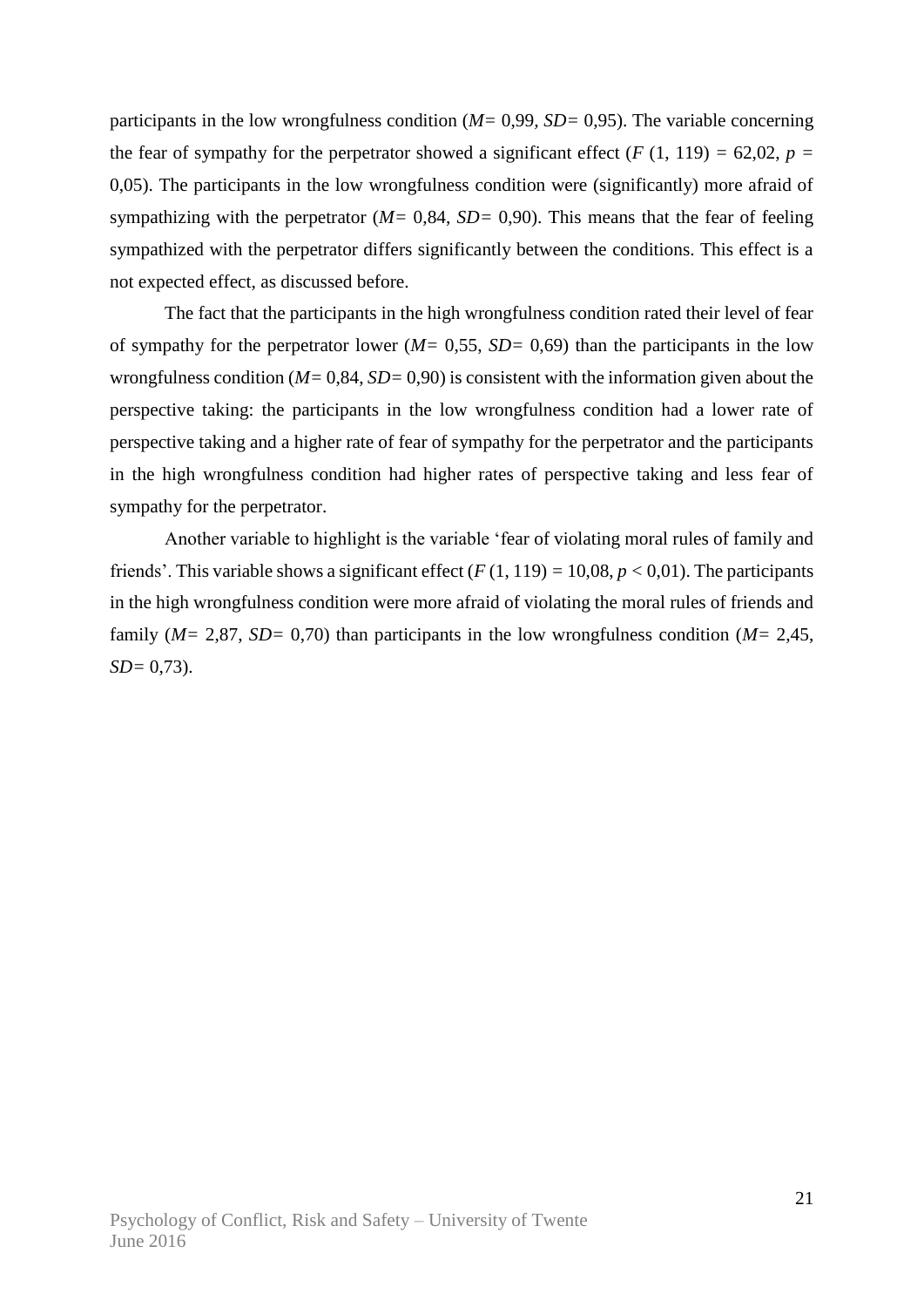participants in the low wrongfulness condition (*M=* 0,99*, SD=* 0,95). The variable concerning the fear of sympathy for the perpetrator showed a significant effect  $(F (1, 119) = 62,02, p =$ 0,05). The participants in the low wrongfulness condition were (significantly) more afraid of sympathizing with the perpetrator ( $M = 0.84$ ,  $SD = 0.90$ ). This means that the fear of feeling sympathized with the perpetrator differs significantly between the conditions. This effect is a not expected effect, as discussed before.

The fact that the participants in the high wrongfulness condition rated their level of fear of sympathy for the perpetrator lower (*M=* 0,55, *SD=* 0,69) than the participants in the low wrongfulness condition (*M=* 0,84, *SD=* 0,90) is consistent with the information given about the perspective taking: the participants in the low wrongfulness condition had a lower rate of perspective taking and a higher rate of fear of sympathy for the perpetrator and the participants in the high wrongfulness condition had higher rates of perspective taking and less fear of sympathy for the perpetrator.

Another variable to highlight is the variable 'fear of violating moral rules of family and friends'. This variable shows a significant effect  $(F(1, 119) = 10,08, p < 0,01)$ . The participants in the high wrongfulness condition were more afraid of violating the moral rules of friends and family (*M=* 2,87, *SD=* 0,70) than participants in the low wrongfulness condition (*M=* 2,45, *SD=* 0,73).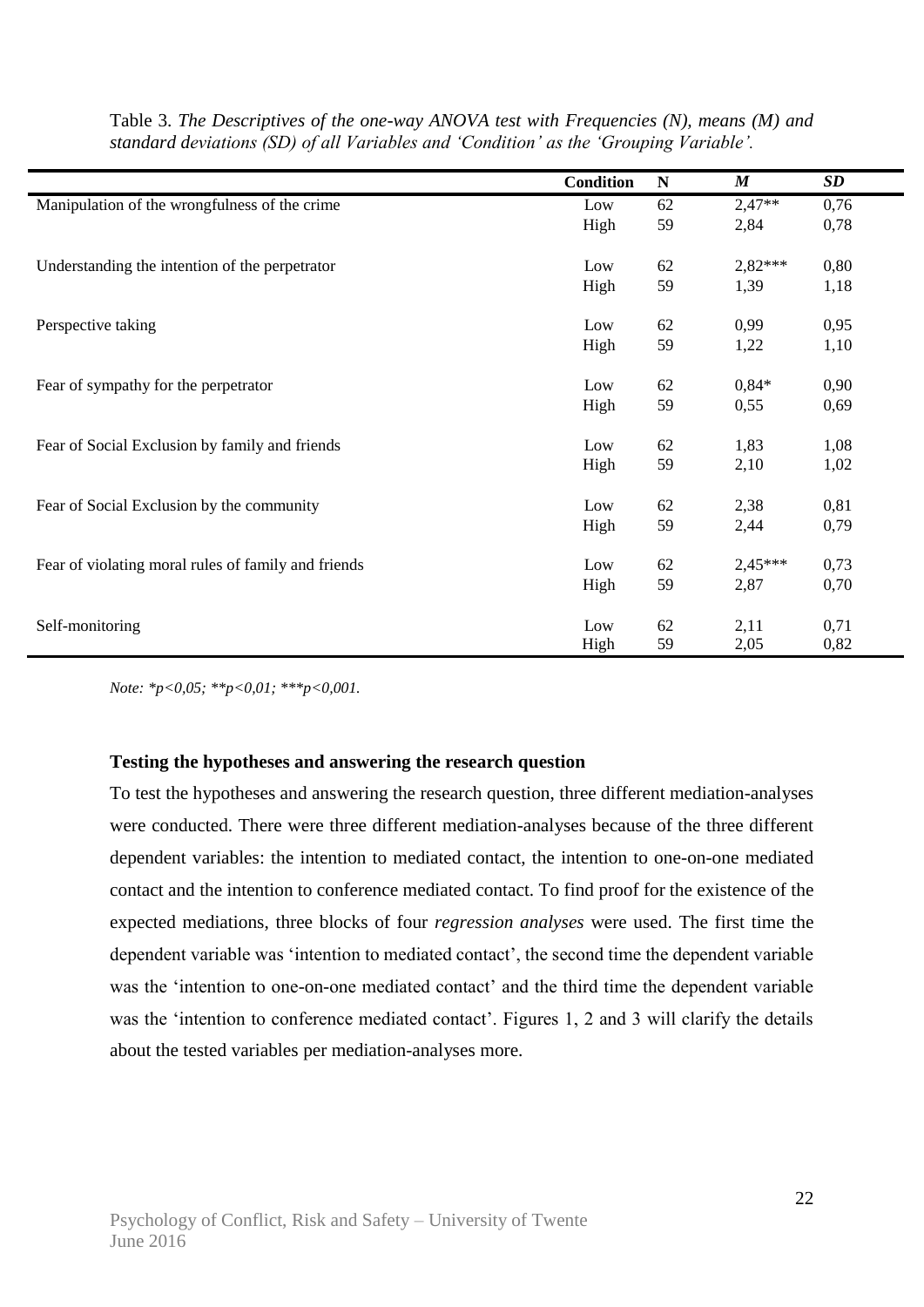|                                                     | <b>Condition</b> | N  | $\boldsymbol{M}$ | <b>SD</b> |
|-----------------------------------------------------|------------------|----|------------------|-----------|
| Manipulation of the wrongfulness of the crime       | Low              | 62 | $2,47**$         | 0,76      |
|                                                     | High             | 59 | 2,84             | 0,78      |
|                                                     |                  |    |                  |           |
| Understanding the intention of the perpetrator      | Low              | 62 | 2,82***          | 0,80      |
|                                                     | High             | 59 | 1,39             | 1,18      |
|                                                     |                  |    |                  |           |
| Perspective taking                                  | Low              | 62 | 0,99             | 0,95      |
|                                                     | High             | 59 | 1,22             | 1,10      |
|                                                     |                  |    |                  |           |
| Fear of sympathy for the perpetrator                | Low              | 62 | $0,84*$          | 0,90      |
|                                                     | High             | 59 | 0,55             | 0,69      |
|                                                     |                  |    |                  |           |
| Fear of Social Exclusion by family and friends      | Low              | 62 | 1,83             | 1,08      |
|                                                     | High             | 59 | 2,10             | 1,02      |
| Fear of Social Exclusion by the community           | Low              | 62 | 2,38             | 0,81      |
|                                                     | High             | 59 | 2,44             | 0,79      |
|                                                     |                  |    |                  |           |
| Fear of violating moral rules of family and friends | Low              | 62 | 2,45***          | 0,73      |
|                                                     | High             | 59 | 2,87             | 0,70      |
|                                                     |                  |    |                  |           |
| Self-monitoring                                     | Low              | 62 | 2,11             | 0,71      |
|                                                     | High             | 59 | 2,05             | 0,82      |

Table 3. *The Descriptives of the one-way ANOVA test with Frequencies (N), means (M) and standard deviations (SD) of all Variables and 'Condition' as the 'Grouping Variable'.*

*Note: \*p<0,05; \*\*p<0,01; \*\*\*p<0,001.*

#### **Testing the hypotheses and answering the research question**

To test the hypotheses and answering the research question, three different mediation-analyses were conducted. There were three different mediation-analyses because of the three different dependent variables: the intention to mediated contact, the intention to one-on-one mediated contact and the intention to conference mediated contact. To find proof for the existence of the expected mediations, three blocks of four *regression analyses* were used. The first time the dependent variable was 'intention to mediated contact', the second time the dependent variable was the 'intention to one-on-one mediated contact' and the third time the dependent variable was the 'intention to conference mediated contact'. Figures 1, 2 and 3 will clarify the details about the tested variables per mediation-analyses more.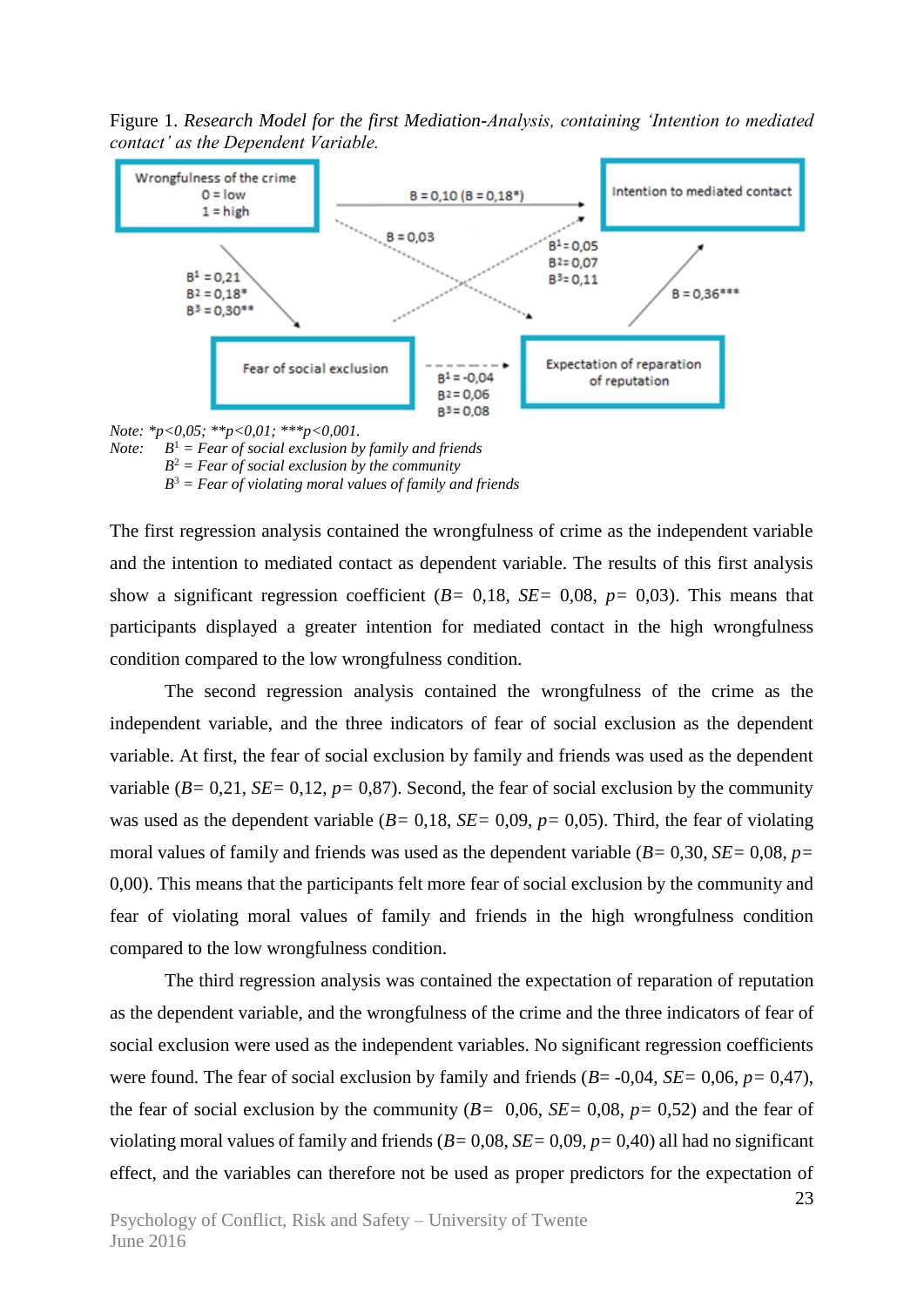Figure 1. *Research Model for the first Mediation-Analysis, containing 'Intention to mediated contact' as the Dependent Variable.*



*Note: B* <sup>1</sup> *= Fear of social exclusion by family and friends B* <sup>2</sup> *= Fear of social exclusion by the community B* <sup>3</sup> *= Fear of violating moral values of family and friends*

The first regression analysis contained the wrongfulness of crime as the independent variable and the intention to mediated contact as dependent variable. The results of this first analysis show a significant regression coefficient (*B=* 0,18, *SE=* 0,08, *p=* 0,03). This means that participants displayed a greater intention for mediated contact in the high wrongfulness condition compared to the low wrongfulness condition.

The second regression analysis contained the wrongfulness of the crime as the independent variable, and the three indicators of fear of social exclusion as the dependent variable. At first, the fear of social exclusion by family and friends was used as the dependent variable  $(B=0,21, SE=0,12, p=0,87)$ . Second, the fear of social exclusion by the community was used as the dependent variable (*B=* 0,18, *SE=* 0,09, *p=* 0,05). Third, the fear of violating moral values of family and friends was used as the dependent variable (*B=* 0,30*, SE=* 0,08, *p=*  0,00). This means that the participants felt more fear of social exclusion by the community and fear of violating moral values of family and friends in the high wrongfulness condition compared to the low wrongfulness condition.

The third regression analysis was contained the expectation of reparation of reputation as the dependent variable, and the wrongfulness of the crime and the three indicators of fear of social exclusion were used as the independent variables. No significant regression coefficients were found. The fear of social exclusion by family and friends (*B*= -0,04, *SE=* 0,06, *p=* 0,47), the fear of social exclusion by the community  $(B= 0.06, SE= 0.08, p= 0.52)$  and the fear of violating moral values of family and friends (*B=* 0,08, *SE=* 0,09, *p=* 0,40) all had no significant effect, and the variables can therefore not be used as proper predictors for the expectation of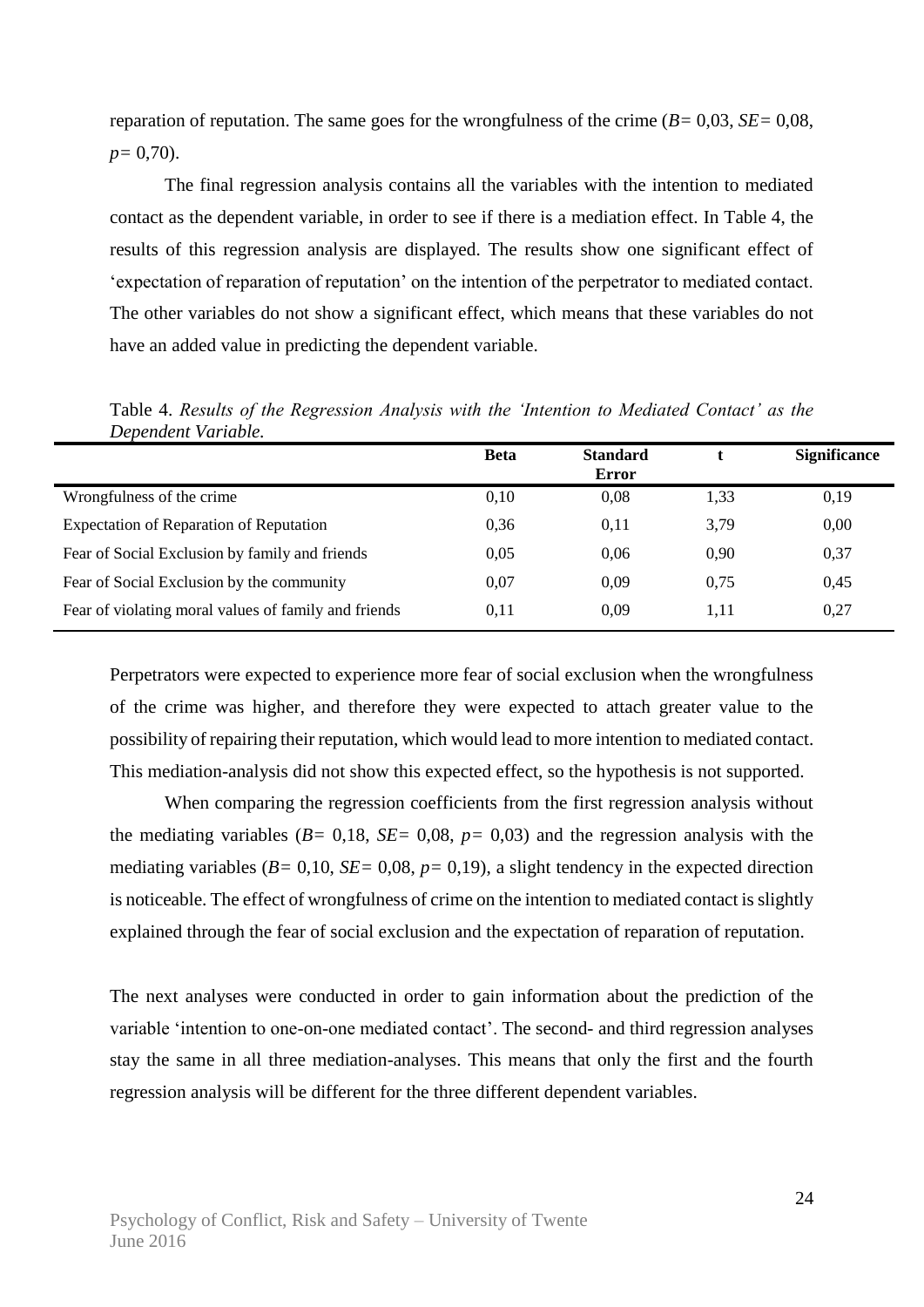reparation of reputation. The same goes for the wrongfulness of the crime (*B=* 0,03, *SE=* 0,08, *p=* 0,70).

The final regression analysis contains all the variables with the intention to mediated contact as the dependent variable, in order to see if there is a mediation effect. In Table 4, the results of this regression analysis are displayed. The results show one significant effect of 'expectation of reparation of reputation' on the intention of the perpetrator to mediated contact. The other variables do not show a significant effect, which means that these variables do not have an added value in predicting the dependent variable.

|                                                      | <b>Beta</b> | <b>Standard</b><br><b>Error</b> |      | <b>Significance</b> |
|------------------------------------------------------|-------------|---------------------------------|------|---------------------|
| Wrongfulness of the crime.                           | 0,10        | 0,08                            | 1,33 | 0,19                |
| Expectation of Reparation of Reputation              | 0.36        | 0.11                            | 3,79 | 0,00                |
| Fear of Social Exclusion by family and friends       | 0,05        | 0.06                            | 0.90 | 0,37                |
| Fear of Social Exclusion by the community            | 0.07        | 0.09                            | 0.75 | 0,45                |
| Fear of violating moral values of family and friends | 0,11        | 0.09                            | 1.11 | 0,27                |

Table 4. *Results of the Regression Analysis with the 'Intention to Mediated Contact' as the Dependent Variable.*

Perpetrators were expected to experience more fear of social exclusion when the wrongfulness of the crime was higher, and therefore they were expected to attach greater value to the possibility of repairing their reputation, which would lead to more intention to mediated contact. This mediation-analysis did not show this expected effect, so the hypothesis is not supported.

When comparing the regression coefficients from the first regression analysis without the mediating variables (*B=* 0,18, *SE=* 0,08, *p=* 0,03) and the regression analysis with the mediating variables  $(B= 0, 10, SE= 0, 08, p= 0, 19)$ , a slight tendency in the expected direction is noticeable. The effect of wrongfulness of crime on the intention to mediated contact is slightly explained through the fear of social exclusion and the expectation of reparation of reputation.

The next analyses were conducted in order to gain information about the prediction of the variable 'intention to one-on-one mediated contact'. The second- and third regression analyses stay the same in all three mediation-analyses. This means that only the first and the fourth regression analysis will be different for the three different dependent variables.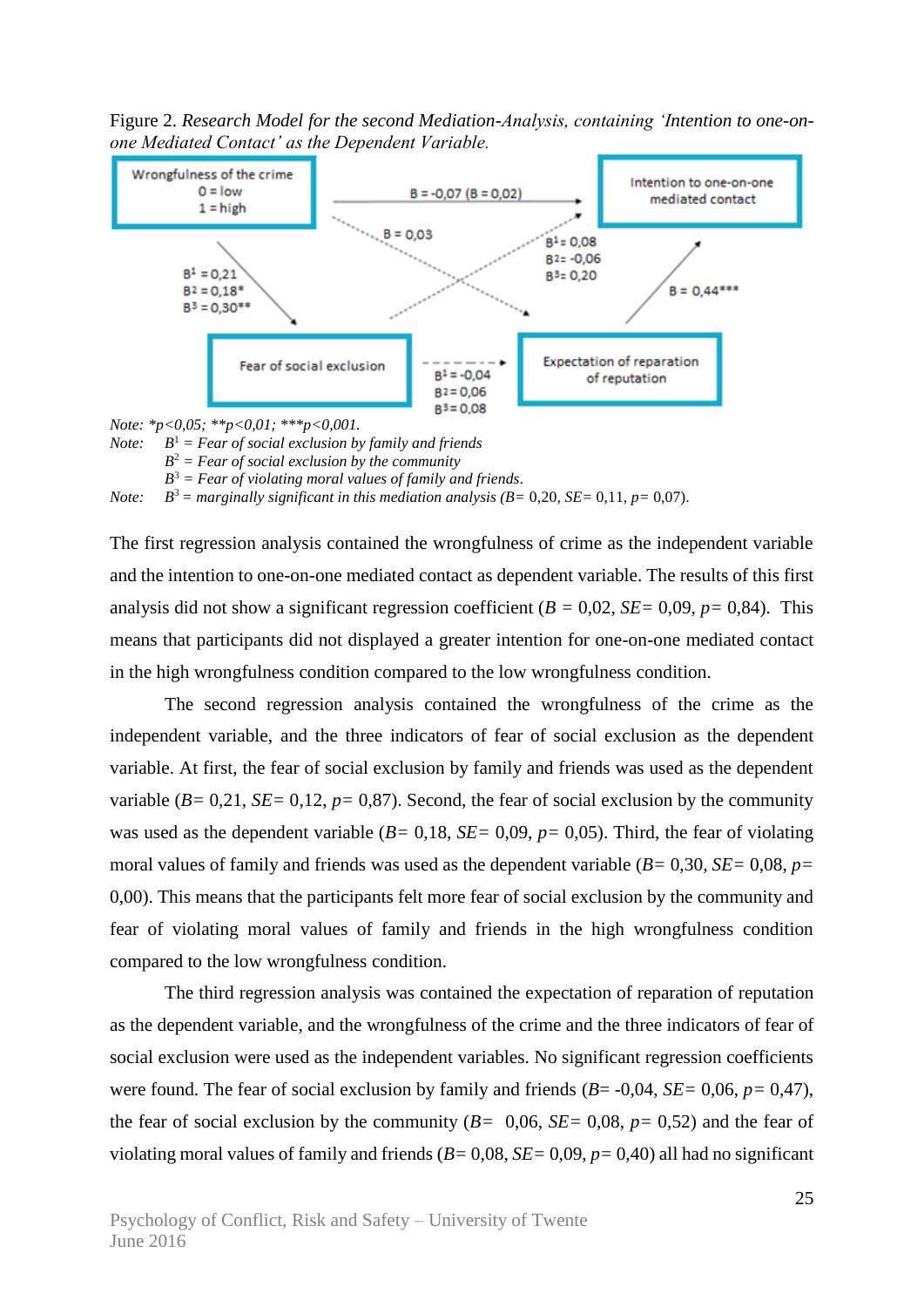Figure 2. *Research Model for the second Mediation-Analysis, containing 'Intention to one-onone Mediated Contact' as the Dependent Variable.*



*Note: \*p<0,05; \*\*p<0,01; \*\*\*p<0,001.*

*Note:*  $B<sup>1</sup>$  = Fear of social exclusion by family and friends

*B* <sup>2</sup> *= Fear of social exclusion by the community*

*B* <sup>3</sup> *= Fear of violating moral values of family and friends.*

*Note:*  $B^3$  = marginally significant in this mediation analysis ( $B=0.20$ ,  $SE=0.11$ ,  $p=0.07$ ).

The first regression analysis contained the wrongfulness of crime as the independent variable and the intention to one-on-one mediated contact as dependent variable. The results of this first analysis did not show a significant regression coefficient ( $B = 0.02$ ,  $SE = 0.09$ ,  $p = 0.84$ ). This means that participants did not displayed a greater intention for one-on-one mediated contact in the high wrongfulness condition compared to the low wrongfulness condition.

The second regression analysis contained the wrongfulness of the crime as the independent variable, and the three indicators of fear of social exclusion as the dependent variable. At first, the fear of social exclusion by family and friends was used as the dependent variable  $(B=0,21, SE=0,12, p=0,87)$ . Second, the fear of social exclusion by the community was used as the dependent variable (*B=* 0,18, *SE=* 0,09, *p=* 0,05). Third, the fear of violating moral values of family and friends was used as the dependent variable (*B=* 0,30*, SE=* 0,08, *p=*  0,00). This means that the participants felt more fear of social exclusion by the community and fear of violating moral values of family and friends in the high wrongfulness condition compared to the low wrongfulness condition.

The third regression analysis was contained the expectation of reparation of reputation as the dependent variable, and the wrongfulness of the crime and the three indicators of fear of social exclusion were used as the independent variables. No significant regression coefficients were found. The fear of social exclusion by family and friends (*B*= -0,04, *SE=* 0,06, *p=* 0,47), the fear of social exclusion by the community  $(B= 0.06, SE= 0.08, p= 0.52)$  and the fear of violating moral values of family and friends (*B=* 0,08, *SE=* 0,09, *p=* 0,40) all had no significant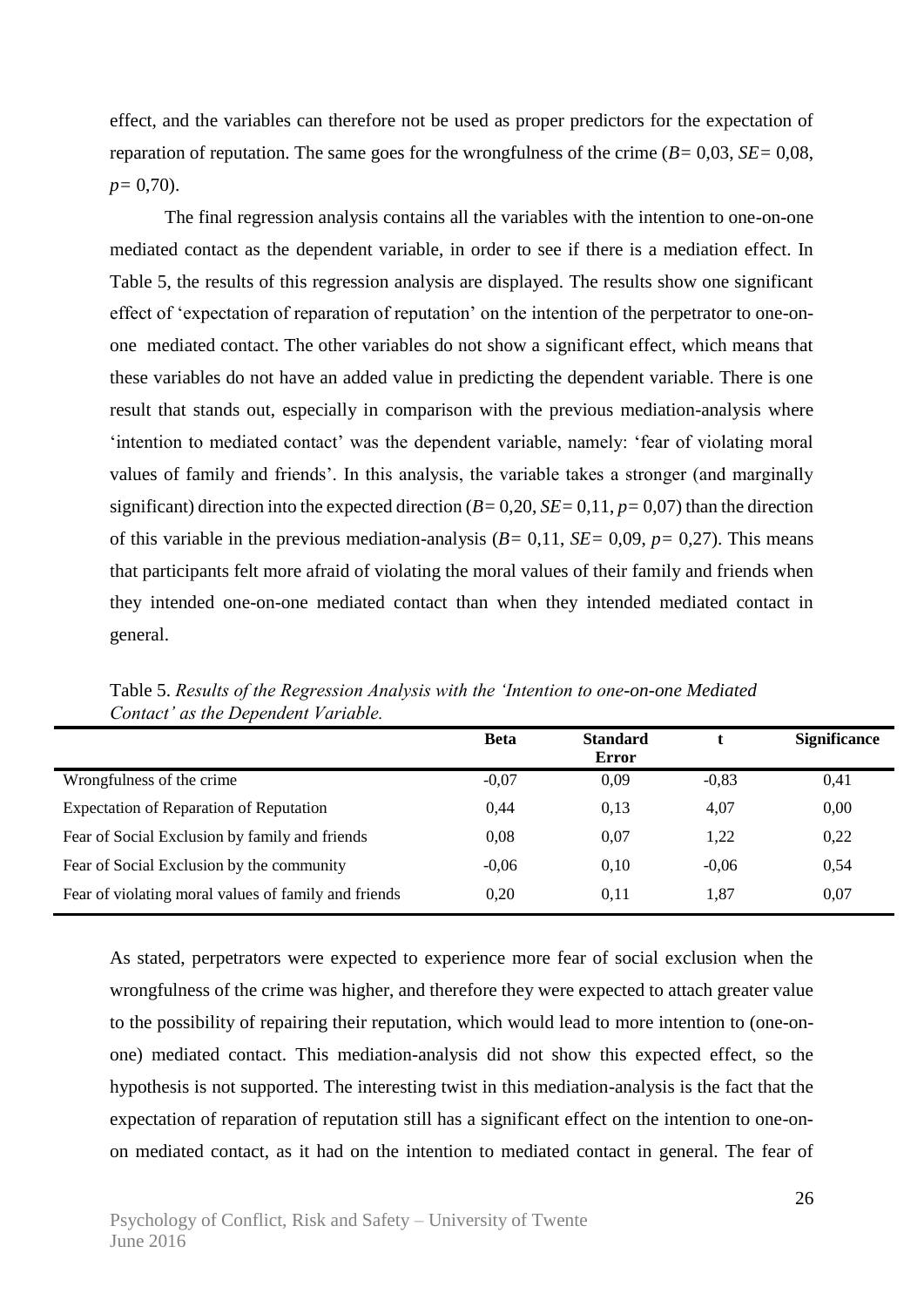effect, and the variables can therefore not be used as proper predictors for the expectation of reparation of reputation. The same goes for the wrongfulness of the crime (*B=* 0,03, *SE=* 0,08, *p=* 0,70).

The final regression analysis contains all the variables with the intention to one-on-one mediated contact as the dependent variable, in order to see if there is a mediation effect. In Table 5, the results of this regression analysis are displayed. The results show one significant effect of 'expectation of reparation of reputation' on the intention of the perpetrator to one-onone mediated contact. The other variables do not show a significant effect, which means that these variables do not have an added value in predicting the dependent variable. There is one result that stands out, especially in comparison with the previous mediation-analysis where 'intention to mediated contact' was the dependent variable, namely: 'fear of violating moral values of family and friends'. In this analysis, the variable takes a stronger (and marginally significant) direction into the expected direction  $(B= 0,20, SE= 0,11, p= 0,07)$  than the direction of this variable in the previous mediation-analysis (*B=* 0,11, *SE=* 0,09, *p=* 0,27). This means that participants felt more afraid of violating the moral values of their family and friends when they intended one-on-one mediated contact than when they intended mediated contact in general.

|                                                      | <b>Beta</b> | <b>Standard</b><br><b>Error</b> |         | <b>Significance</b> |
|------------------------------------------------------|-------------|---------------------------------|---------|---------------------|
| Wrongfulness of the crime.                           | $-0,07$     | 0,09                            | $-0,83$ | 0,41                |
| <b>Expectation of Reparation of Reputation</b>       | 0.44        | 0.13                            | 4,07    | 0,00                |
| Fear of Social Exclusion by family and friends       | 0,08        | 0,07                            | 1,22    | 0,22                |
| Fear of Social Exclusion by the community            | $-0.06$     | 0.10                            | $-0.06$ | 0,54                |
| Fear of violating moral values of family and friends | 0.20        | 0,11                            | 1,87    | 0,07                |

Table 5. *Results of the Regression Analysis with the 'Intention to one-on-one Mediated Contact' as the Dependent Variable.*

As stated, perpetrators were expected to experience more fear of social exclusion when the wrongfulness of the crime was higher, and therefore they were expected to attach greater value to the possibility of repairing their reputation, which would lead to more intention to (one-onone) mediated contact. This mediation-analysis did not show this expected effect, so the hypothesis is not supported. The interesting twist in this mediation-analysis is the fact that the expectation of reparation of reputation still has a significant effect on the intention to one-onon mediated contact, as it had on the intention to mediated contact in general. The fear of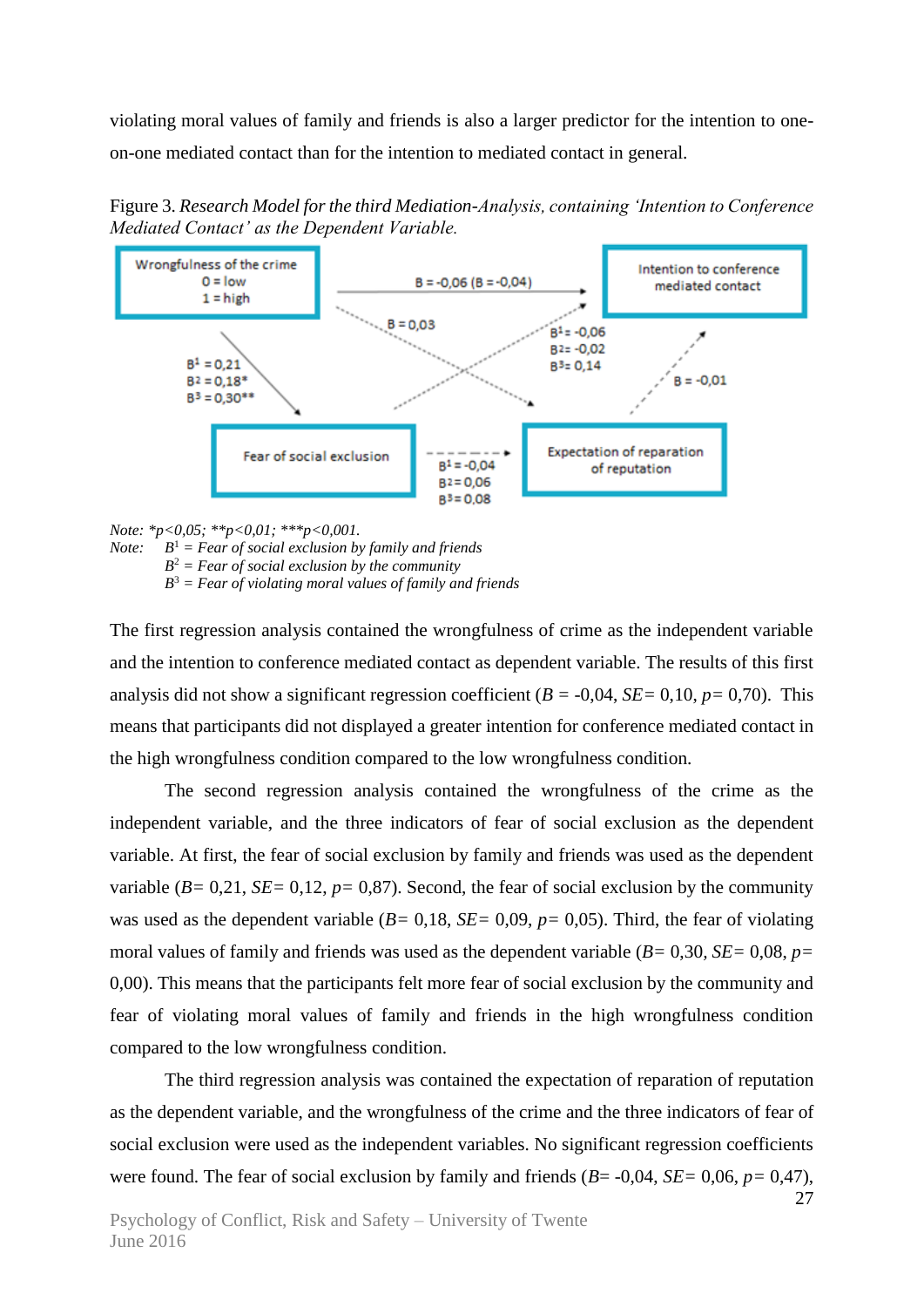violating moral values of family and friends is also a larger predictor for the intention to oneon-one mediated contact than for the intention to mediated contact in general.

Figure 3. *Research Model for the third Mediation-Analysis, containing 'Intention to Conference Mediated Contact' as the Dependent Variable.*



*Note: \*p<0,05; \*\*p<0,01; \*\*\*p<0,001.*

*Note:*  $B<sup>1</sup>$  = Fear of social exclusion by family and friends *B* <sup>2</sup> *= Fear of social exclusion by the community B* <sup>3</sup> *= Fear of violating moral values of family and friends*

The first regression analysis contained the wrongfulness of crime as the independent variable and the intention to conference mediated contact as dependent variable. The results of this first analysis did not show a significant regression coefficient  $(B = -0.04, SE = 0.10, p = 0.70)$ . This means that participants did not displayed a greater intention for conference mediated contact in the high wrongfulness condition compared to the low wrongfulness condition.

The second regression analysis contained the wrongfulness of the crime as the independent variable, and the three indicators of fear of social exclusion as the dependent variable. At first, the fear of social exclusion by family and friends was used as the dependent variable  $(B=0,21, SE=0,12, p=0,87)$ . Second, the fear of social exclusion by the community was used as the dependent variable (*B=* 0,18, *SE=* 0,09, *p=* 0,05). Third, the fear of violating moral values of family and friends was used as the dependent variable (*B=* 0,30*, SE=* 0,08, *p=*  0,00). This means that the participants felt more fear of social exclusion by the community and fear of violating moral values of family and friends in the high wrongfulness condition compared to the low wrongfulness condition.

The third regression analysis was contained the expectation of reparation of reputation as the dependent variable, and the wrongfulness of the crime and the three indicators of fear of social exclusion were used as the independent variables. No significant regression coefficients were found. The fear of social exclusion by family and friends (*B*= -0,04, *SE=* 0,06, *p=* 0,47),

27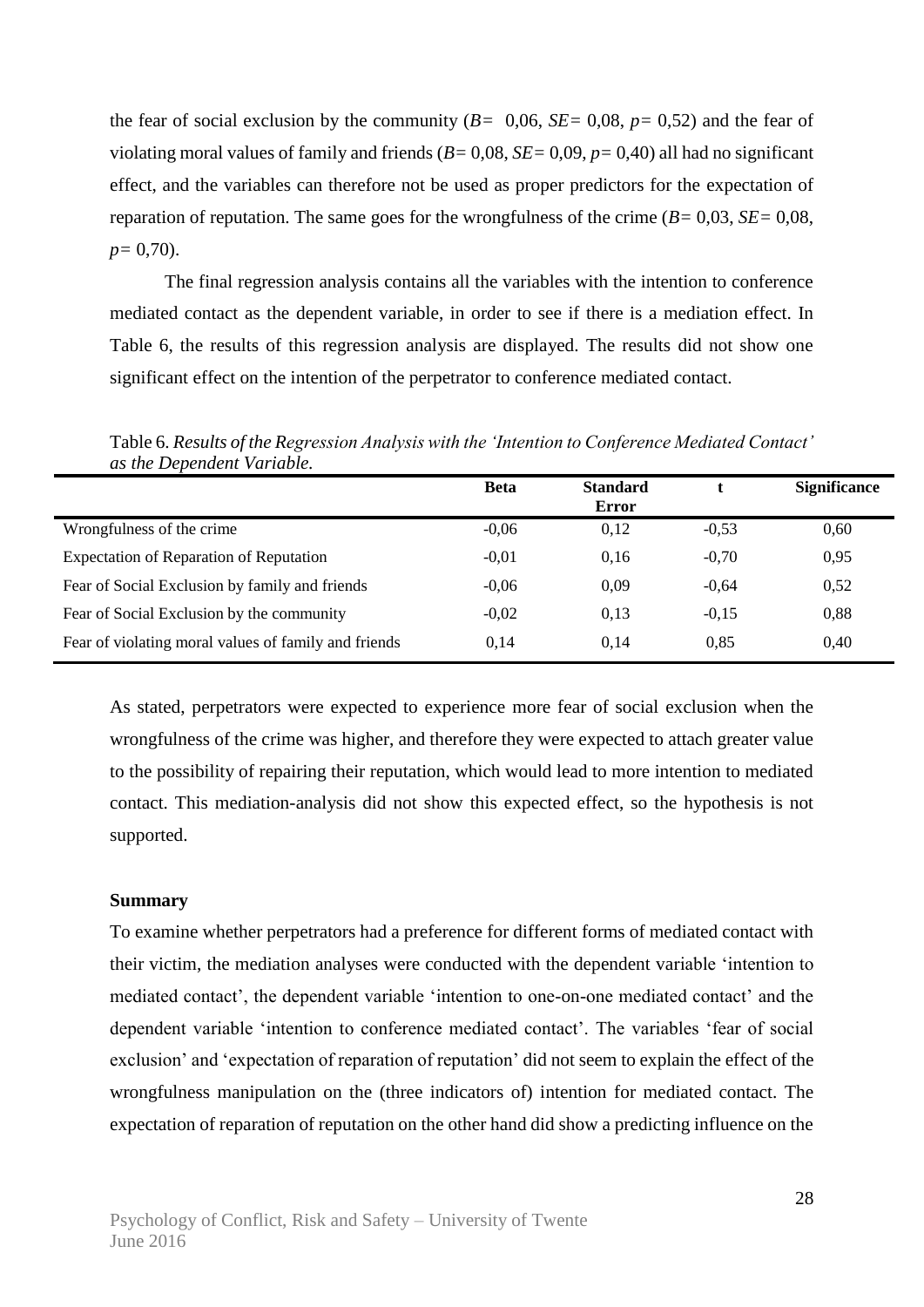the fear of social exclusion by the community  $(B= 0.06, SE= 0.08, p= 0.52)$  and the fear of violating moral values of family and friends (*B=* 0,08, *SE=* 0,09, *p=* 0,40) all had no significant effect, and the variables can therefore not be used as proper predictors for the expectation of reparation of reputation. The same goes for the wrongfulness of the crime (*B=* 0,03, *SE=* 0,08, *p=* 0,70).

The final regression analysis contains all the variables with the intention to conference mediated contact as the dependent variable, in order to see if there is a mediation effect. In Table 6, the results of this regression analysis are displayed. The results did not show one significant effect on the intention of the perpetrator to conference mediated contact.

| as ine Dependent variable.                           |             |                          |         |                     |
|------------------------------------------------------|-------------|--------------------------|---------|---------------------|
|                                                      | <b>Beta</b> | <b>Standard</b><br>Error |         | <b>Significance</b> |
| Wrongfulness of the crime                            | $-0.06$     | 0,12                     | $-0,53$ | 0,60                |
| <b>Expectation of Reparation of Reputation</b>       | $-0.01$     | 0,16                     | $-0,70$ | 0,95                |
| Fear of Social Exclusion by family and friends       | $-0.06$     | 0,09                     | $-0.64$ | 0,52                |
| Fear of Social Exclusion by the community            | $-0.02$     | 0.13                     | $-0.15$ | 0,88                |
| Fear of violating moral values of family and friends | 0.14        | 0.14                     | 0,85    | 0,40                |

Table 6. *Results of the Regression Analysis with the 'Intention to Conference Mediated Contact' as the Dependent Variable.*

As stated, perpetrators were expected to experience more fear of social exclusion when the wrongfulness of the crime was higher, and therefore they were expected to attach greater value to the possibility of repairing their reputation, which would lead to more intention to mediated contact. This mediation-analysis did not show this expected effect, so the hypothesis is not supported.

#### **Summary**

To examine whether perpetrators had a preference for different forms of mediated contact with their victim, the mediation analyses were conducted with the dependent variable 'intention to mediated contact', the dependent variable 'intention to one-on-one mediated contact' and the dependent variable 'intention to conference mediated contact'. The variables 'fear of social exclusion' and 'expectation of reparation of reputation' did not seem to explain the effect of the wrongfulness manipulation on the (three indicators of) intention for mediated contact. The expectation of reparation of reputation on the other hand did show a predicting influence on the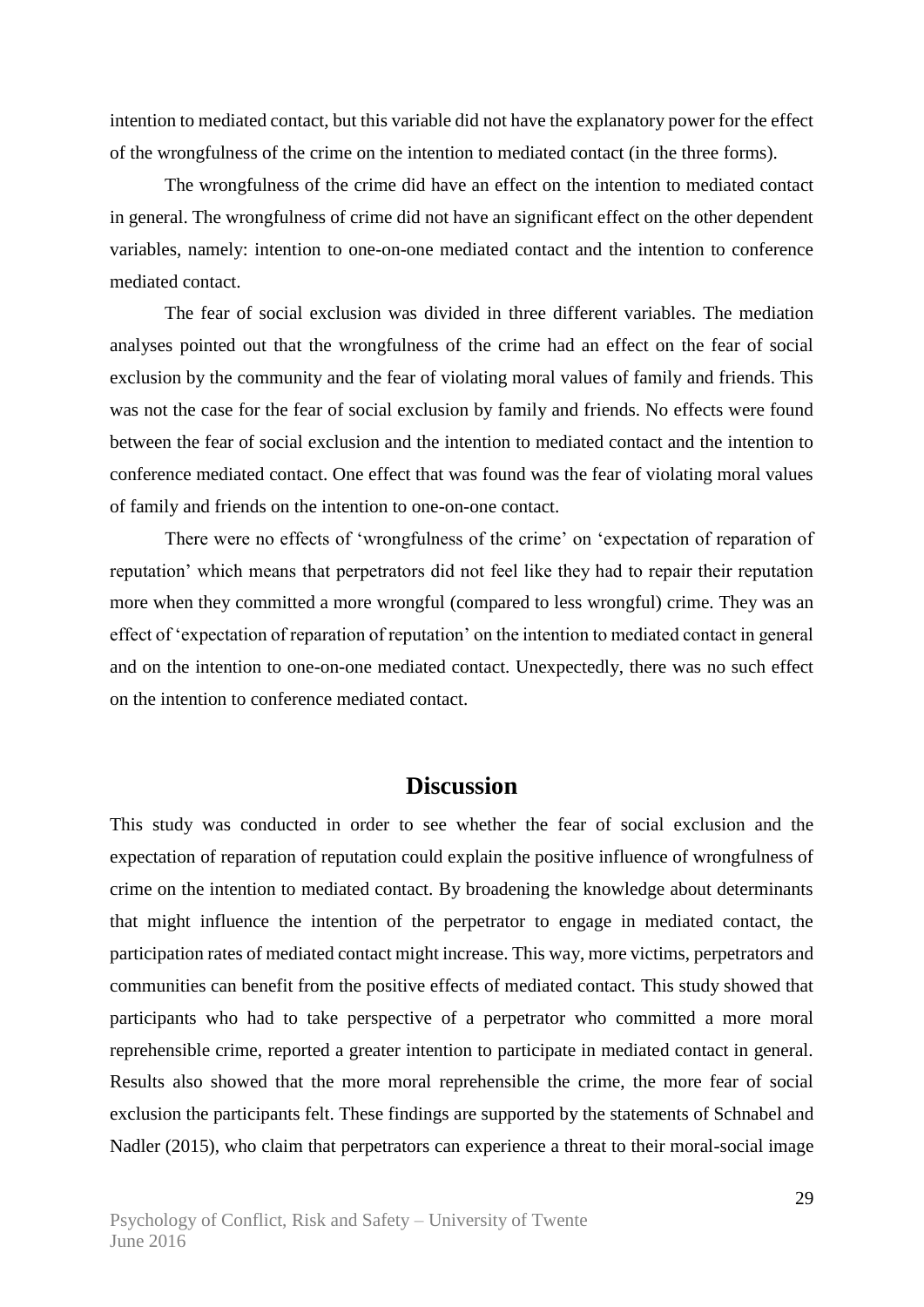intention to mediated contact, but this variable did not have the explanatory power for the effect of the wrongfulness of the crime on the intention to mediated contact (in the three forms).

The wrongfulness of the crime did have an effect on the intention to mediated contact in general. The wrongfulness of crime did not have an significant effect on the other dependent variables, namely: intention to one-on-one mediated contact and the intention to conference mediated contact.

The fear of social exclusion was divided in three different variables. The mediation analyses pointed out that the wrongfulness of the crime had an effect on the fear of social exclusion by the community and the fear of violating moral values of family and friends. This was not the case for the fear of social exclusion by family and friends. No effects were found between the fear of social exclusion and the intention to mediated contact and the intention to conference mediated contact. One effect that was found was the fear of violating moral values of family and friends on the intention to one-on-one contact.

There were no effects of 'wrongfulness of the crime' on 'expectation of reparation of reputation' which means that perpetrators did not feel like they had to repair their reputation more when they committed a more wrongful (compared to less wrongful) crime. They was an effect of 'expectation of reparation of reputation' on the intention to mediated contact in general and on the intention to one-on-one mediated contact. Unexpectedly, there was no such effect on the intention to conference mediated contact.

### **Discussion**

This study was conducted in order to see whether the fear of social exclusion and the expectation of reparation of reputation could explain the positive influence of wrongfulness of crime on the intention to mediated contact. By broadening the knowledge about determinants that might influence the intention of the perpetrator to engage in mediated contact, the participation rates of mediated contact might increase. This way, more victims, perpetrators and communities can benefit from the positive effects of mediated contact. This study showed that participants who had to take perspective of a perpetrator who committed a more moral reprehensible crime, reported a greater intention to participate in mediated contact in general. Results also showed that the more moral reprehensible the crime, the more fear of social exclusion the participants felt. These findings are supported by the statements of Schnabel and Nadler (2015), who claim that perpetrators can experience a threat to their moral-social image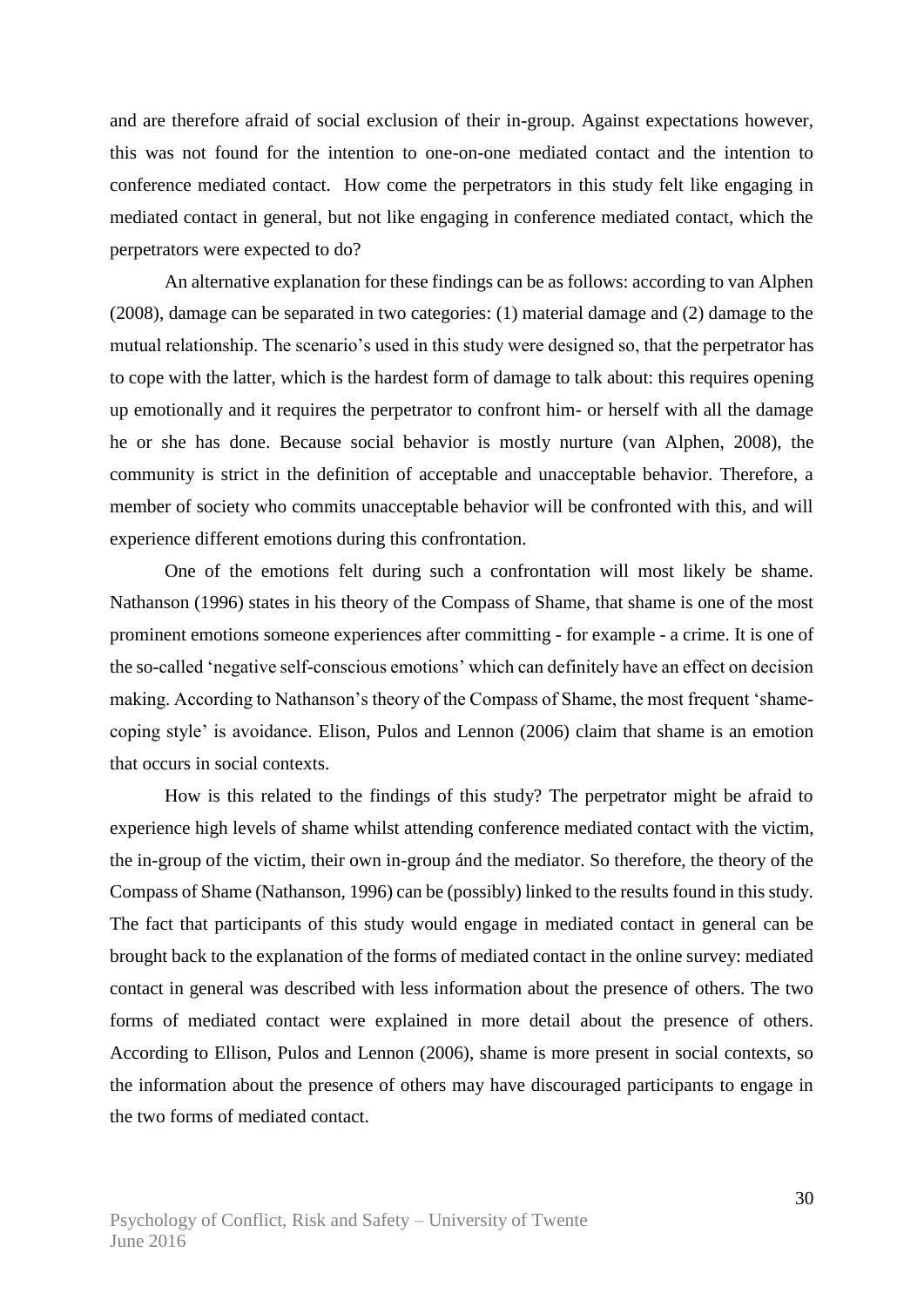and are therefore afraid of social exclusion of their in-group. Against expectations however, this was not found for the intention to one-on-one mediated contact and the intention to conference mediated contact. How come the perpetrators in this study felt like engaging in mediated contact in general, but not like engaging in conference mediated contact, which the perpetrators were expected to do?

An alternative explanation for these findings can be as follows: according to van Alphen (2008), damage can be separated in two categories: (1) material damage and (2) damage to the mutual relationship. The scenario's used in this study were designed so, that the perpetrator has to cope with the latter, which is the hardest form of damage to talk about: this requires opening up emotionally and it requires the perpetrator to confront him- or herself with all the damage he or she has done. Because social behavior is mostly nurture (van Alphen, 2008), the community is strict in the definition of acceptable and unacceptable behavior. Therefore, a member of society who commits unacceptable behavior will be confronted with this, and will experience different emotions during this confrontation.

One of the emotions felt during such a confrontation will most likely be shame. Nathanson (1996) states in his theory of the Compass of Shame, that shame is one of the most prominent emotions someone experiences after committing - for example - a crime. It is one of the so-called 'negative self-conscious emotions' which can definitely have an effect on decision making. According to Nathanson's theory of the Compass of Shame, the most frequent 'shamecoping style' is avoidance. Elison, Pulos and Lennon (2006) claim that shame is an emotion that occurs in social contexts.

How is this related to the findings of this study? The perpetrator might be afraid to experience high levels of shame whilst attending conference mediated contact with the victim, the in-group of the victim, their own in-group ánd the mediator. So therefore, the theory of the Compass of Shame (Nathanson, 1996) can be (possibly) linked to the results found in this study. The fact that participants of this study would engage in mediated contact in general can be brought back to the explanation of the forms of mediated contact in the online survey: mediated contact in general was described with less information about the presence of others. The two forms of mediated contact were explained in more detail about the presence of others. According to Ellison, Pulos and Lennon (2006), shame is more present in social contexts, so the information about the presence of others may have discouraged participants to engage in the two forms of mediated contact.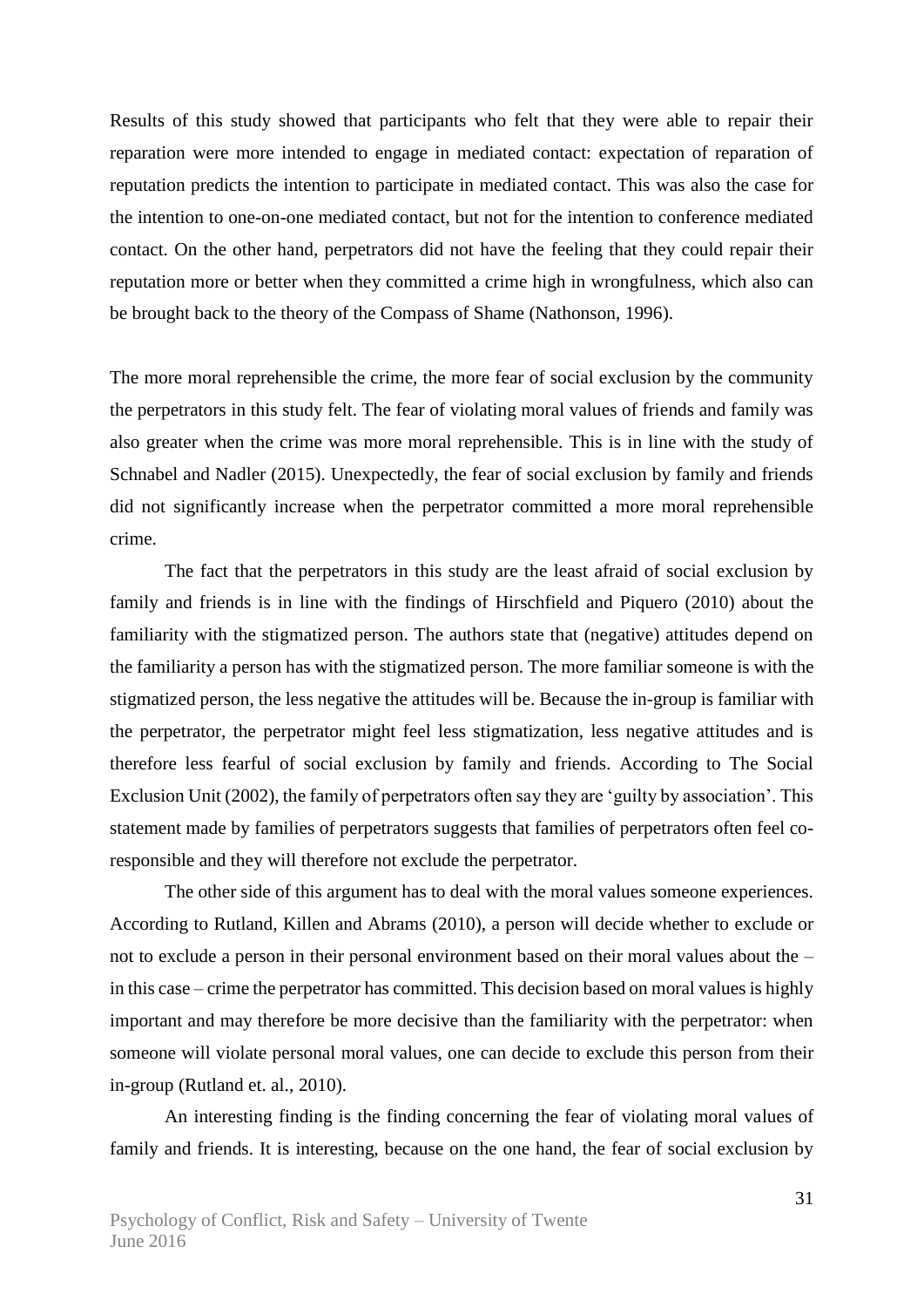Results of this study showed that participants who felt that they were able to repair their reparation were more intended to engage in mediated contact: expectation of reparation of reputation predicts the intention to participate in mediated contact. This was also the case for the intention to one-on-one mediated contact, but not for the intention to conference mediated contact. On the other hand, perpetrators did not have the feeling that they could repair their reputation more or better when they committed a crime high in wrongfulness, which also can be brought back to the theory of the Compass of Shame (Nathonson, 1996).

The more moral reprehensible the crime, the more fear of social exclusion by the community the perpetrators in this study felt. The fear of violating moral values of friends and family was also greater when the crime was more moral reprehensible. This is in line with the study of Schnabel and Nadler (2015). Unexpectedly, the fear of social exclusion by family and friends did not significantly increase when the perpetrator committed a more moral reprehensible crime.

The fact that the perpetrators in this study are the least afraid of social exclusion by family and friends is in line with the findings of Hirschfield and Piquero (2010) about the familiarity with the stigmatized person. The authors state that (negative) attitudes depend on the familiarity a person has with the stigmatized person. The more familiar someone is with the stigmatized person, the less negative the attitudes will be. Because the in-group is familiar with the perpetrator, the perpetrator might feel less stigmatization, less negative attitudes and is therefore less fearful of social exclusion by family and friends. According to The Social Exclusion Unit (2002), the family of perpetrators often say they are 'guilty by association'. This statement made by families of perpetrators suggests that families of perpetrators often feel coresponsible and they will therefore not exclude the perpetrator.

The other side of this argument has to deal with the moral values someone experiences. According to Rutland, Killen and Abrams (2010), a person will decide whether to exclude or not to exclude a person in their personal environment based on their moral values about the – in this case – crime the perpetrator has committed. This decision based on moral values is highly important and may therefore be more decisive than the familiarity with the perpetrator: when someone will violate personal moral values, one can decide to exclude this person from their in-group (Rutland et. al., 2010).

An interesting finding is the finding concerning the fear of violating moral values of family and friends. It is interesting, because on the one hand, the fear of social exclusion by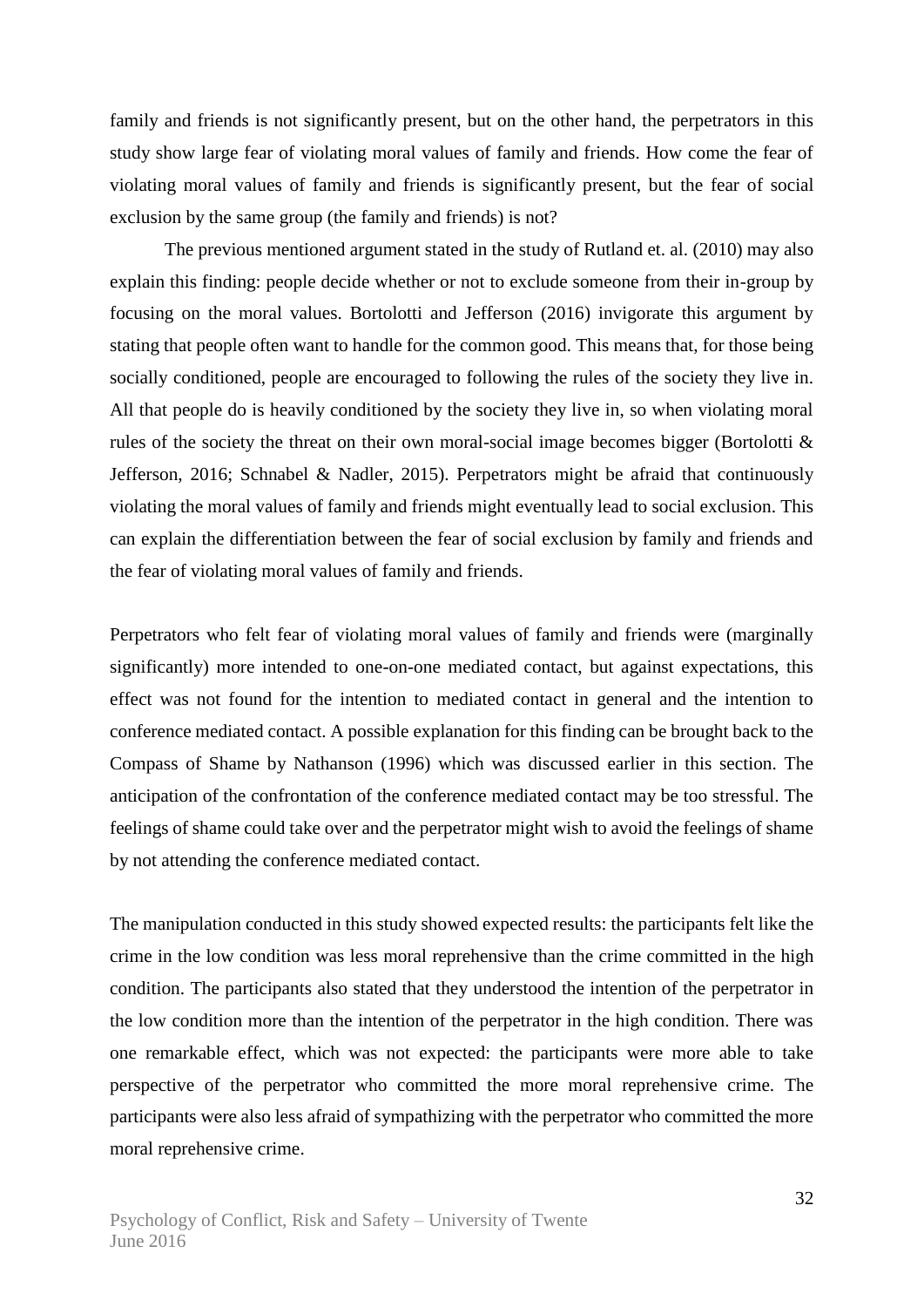family and friends is not significantly present, but on the other hand, the perpetrators in this study show large fear of violating moral values of family and friends. How come the fear of violating moral values of family and friends is significantly present, but the fear of social exclusion by the same group (the family and friends) is not?

The previous mentioned argument stated in the study of Rutland et. al. (2010) may also explain this finding: people decide whether or not to exclude someone from their in-group by focusing on the moral values. Bortolotti and Jefferson (2016) invigorate this argument by stating that people often want to handle for the common good. This means that, for those being socially conditioned, people are encouraged to following the rules of the society they live in. All that people do is heavily conditioned by the society they live in, so when violating moral rules of the society the threat on their own moral-social image becomes bigger (Bortolotti & Jefferson, 2016; Schnabel & Nadler, 2015). Perpetrators might be afraid that continuously violating the moral values of family and friends might eventually lead to social exclusion. This can explain the differentiation between the fear of social exclusion by family and friends and the fear of violating moral values of family and friends.

Perpetrators who felt fear of violating moral values of family and friends were (marginally significantly) more intended to one-on-one mediated contact, but against expectations, this effect was not found for the intention to mediated contact in general and the intention to conference mediated contact. A possible explanation for this finding can be brought back to the Compass of Shame by Nathanson (1996) which was discussed earlier in this section. The anticipation of the confrontation of the conference mediated contact may be too stressful. The feelings of shame could take over and the perpetrator might wish to avoid the feelings of shame by not attending the conference mediated contact.

The manipulation conducted in this study showed expected results: the participants felt like the crime in the low condition was less moral reprehensive than the crime committed in the high condition. The participants also stated that they understood the intention of the perpetrator in the low condition more than the intention of the perpetrator in the high condition. There was one remarkable effect, which was not expected: the participants were more able to take perspective of the perpetrator who committed the more moral reprehensive crime. The participants were also less afraid of sympathizing with the perpetrator who committed the more moral reprehensive crime.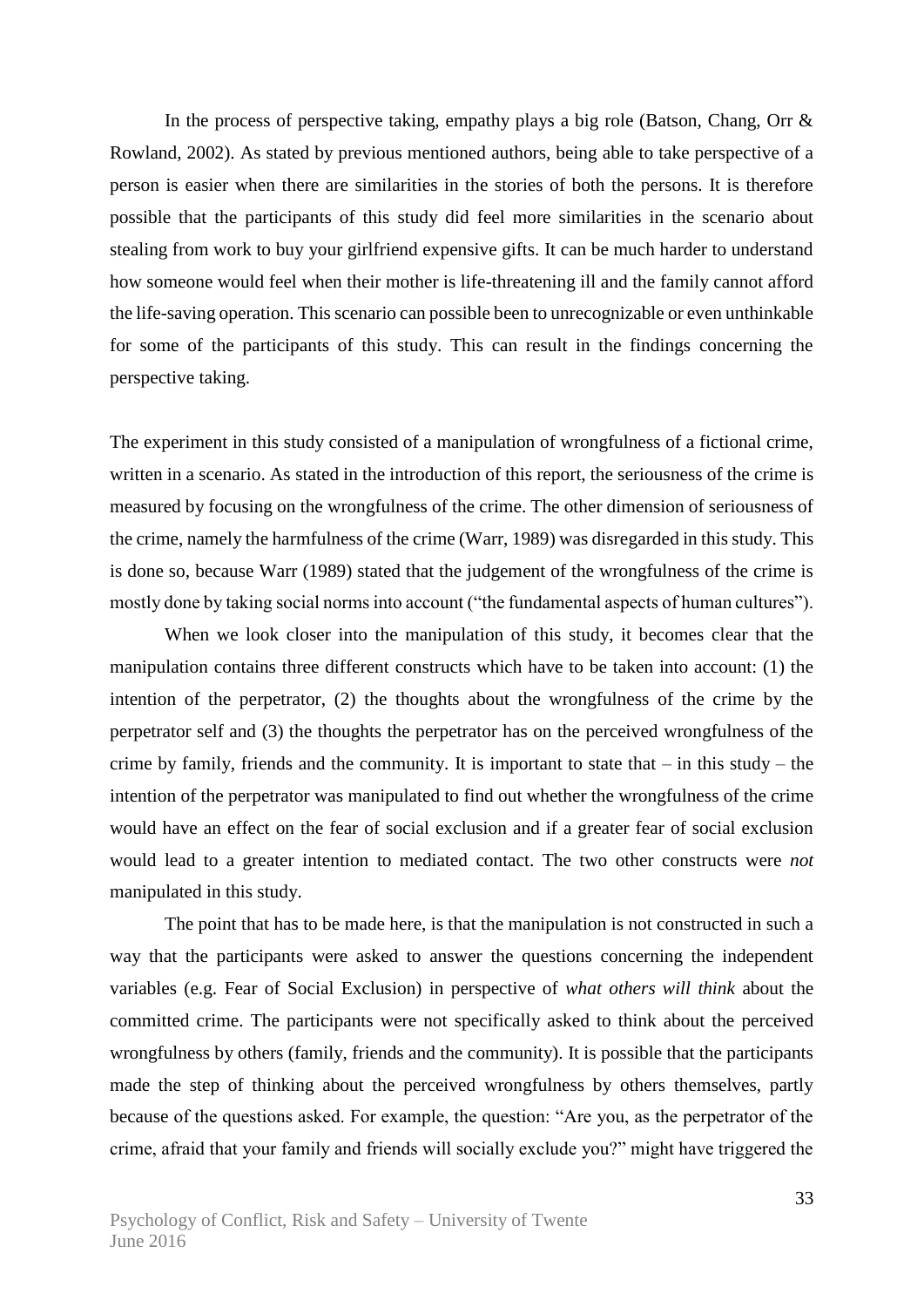In the process of perspective taking, empathy plays a big role (Batson, Chang, Orr  $\&$ Rowland, 2002). As stated by previous mentioned authors, being able to take perspective of a person is easier when there are similarities in the stories of both the persons. It is therefore possible that the participants of this study did feel more similarities in the scenario about stealing from work to buy your girlfriend expensive gifts. It can be much harder to understand how someone would feel when their mother is life-threatening ill and the family cannot afford the life-saving operation. This scenario can possible been to unrecognizable or even unthinkable for some of the participants of this study. This can result in the findings concerning the perspective taking.

The experiment in this study consisted of a manipulation of wrongfulness of a fictional crime, written in a scenario. As stated in the introduction of this report, the seriousness of the crime is measured by focusing on the wrongfulness of the crime. The other dimension of seriousness of the crime, namely the harmfulness of the crime (Warr, 1989) was disregarded in this study. This is done so, because Warr (1989) stated that the judgement of the wrongfulness of the crime is mostly done by taking social norms into account ("the fundamental aspects of human cultures").

When we look closer into the manipulation of this study, it becomes clear that the manipulation contains three different constructs which have to be taken into account: (1) the intention of the perpetrator, (2) the thoughts about the wrongfulness of the crime by the perpetrator self and (3) the thoughts the perpetrator has on the perceived wrongfulness of the crime by family, friends and the community. It is important to state that  $-$  in this study  $-$  the intention of the perpetrator was manipulated to find out whether the wrongfulness of the crime would have an effect on the fear of social exclusion and if a greater fear of social exclusion would lead to a greater intention to mediated contact. The two other constructs were *not* manipulated in this study.

The point that has to be made here, is that the manipulation is not constructed in such a way that the participants were asked to answer the questions concerning the independent variables (e.g. Fear of Social Exclusion) in perspective of *what others will think* about the committed crime. The participants were not specifically asked to think about the perceived wrongfulness by others (family, friends and the community). It is possible that the participants made the step of thinking about the perceived wrongfulness by others themselves, partly because of the questions asked. For example, the question: "Are you, as the perpetrator of the crime, afraid that your family and friends will socially exclude you?" might have triggered the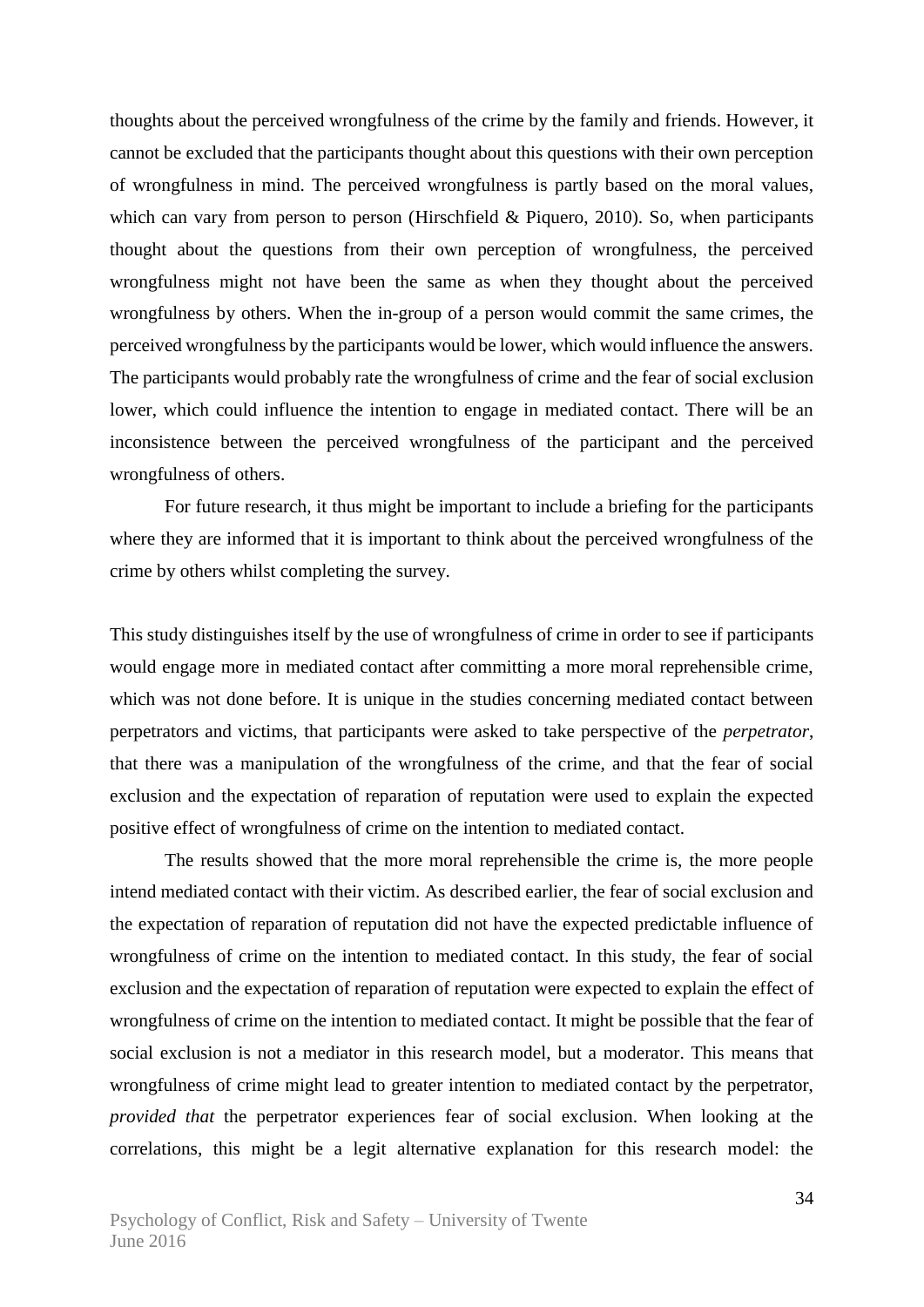thoughts about the perceived wrongfulness of the crime by the family and friends. However, it cannot be excluded that the participants thought about this questions with their own perception of wrongfulness in mind. The perceived wrongfulness is partly based on the moral values, which can vary from person to person (Hirschfield  $\&$  Piquero, 2010). So, when participants thought about the questions from their own perception of wrongfulness, the perceived wrongfulness might not have been the same as when they thought about the perceived wrongfulness by others. When the in-group of a person would commit the same crimes, the perceived wrongfulness by the participants would be lower, which would influence the answers. The participants would probably rate the wrongfulness of crime and the fear of social exclusion lower, which could influence the intention to engage in mediated contact. There will be an inconsistence between the perceived wrongfulness of the participant and the perceived wrongfulness of others.

For future research, it thus might be important to include a briefing for the participants where they are informed that it is important to think about the perceived wrongfulness of the crime by others whilst completing the survey.

This study distinguishes itself by the use of wrongfulness of crime in order to see if participants would engage more in mediated contact after committing a more moral reprehensible crime, which was not done before. It is unique in the studies concerning mediated contact between perpetrators and victims, that participants were asked to take perspective of the *perpetrator*, that there was a manipulation of the wrongfulness of the crime, and that the fear of social exclusion and the expectation of reparation of reputation were used to explain the expected positive effect of wrongfulness of crime on the intention to mediated contact.

The results showed that the more moral reprehensible the crime is, the more people intend mediated contact with their victim. As described earlier, the fear of social exclusion and the expectation of reparation of reputation did not have the expected predictable influence of wrongfulness of crime on the intention to mediated contact. In this study, the fear of social exclusion and the expectation of reparation of reputation were expected to explain the effect of wrongfulness of crime on the intention to mediated contact. It might be possible that the fear of social exclusion is not a mediator in this research model, but a moderator. This means that wrongfulness of crime might lead to greater intention to mediated contact by the perpetrator, *provided that* the perpetrator experiences fear of social exclusion. When looking at the correlations, this might be a legit alternative explanation for this research model: the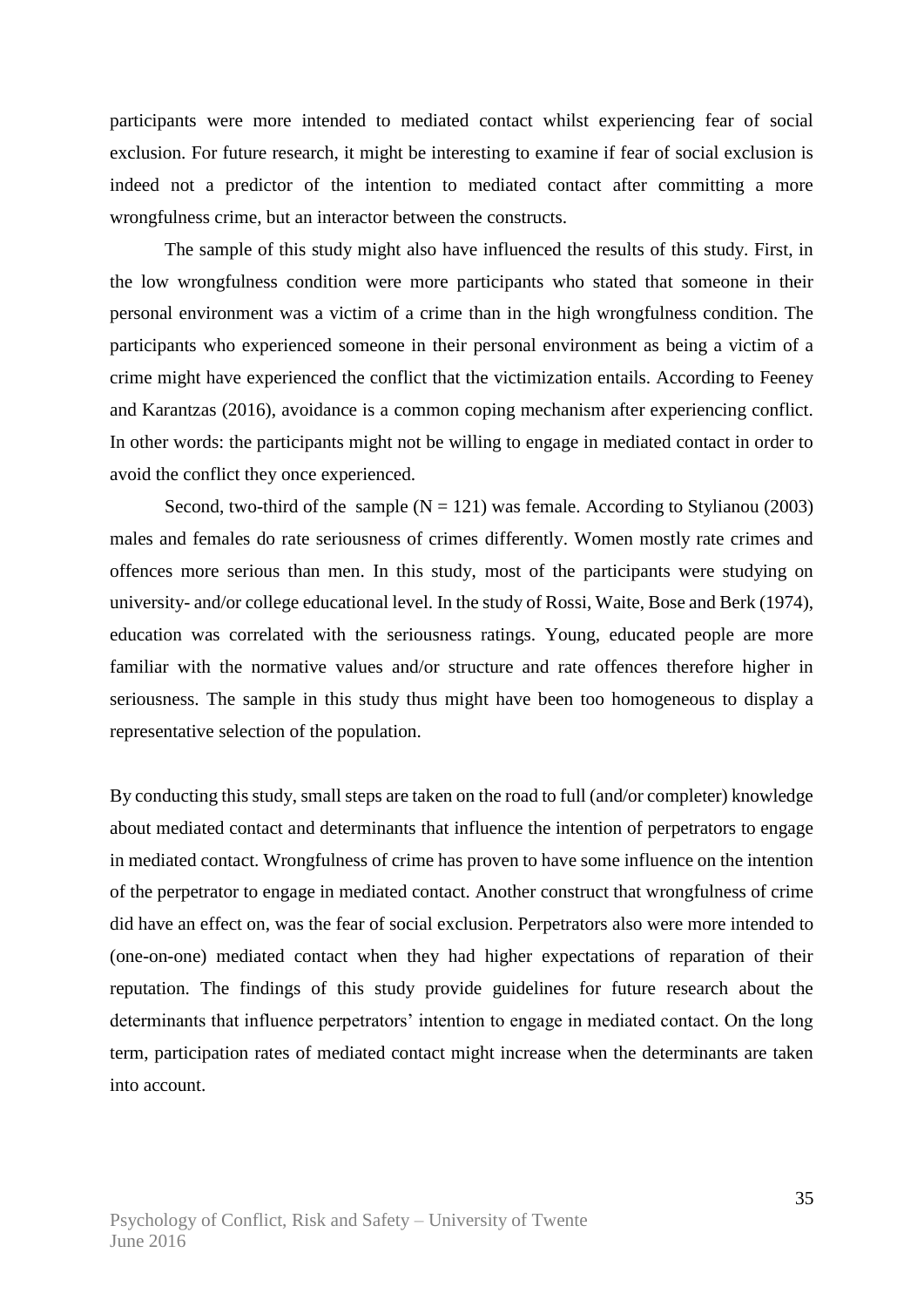participants were more intended to mediated contact whilst experiencing fear of social exclusion. For future research, it might be interesting to examine if fear of social exclusion is indeed not a predictor of the intention to mediated contact after committing a more wrongfulness crime, but an interactor between the constructs.

The sample of this study might also have influenced the results of this study. First, in the low wrongfulness condition were more participants who stated that someone in their personal environment was a victim of a crime than in the high wrongfulness condition. The participants who experienced someone in their personal environment as being a victim of a crime might have experienced the conflict that the victimization entails. According to Feeney and Karantzas (2016), avoidance is a common coping mechanism after experiencing conflict. In other words: the participants might not be willing to engage in mediated contact in order to avoid the conflict they once experienced.

Second, two-third of the sample  $(N = 121)$  was female. According to Stylianou (2003) males and females do rate seriousness of crimes differently. Women mostly rate crimes and offences more serious than men. In this study, most of the participants were studying on university- and/or college educational level. In the study of Rossi, Waite, Bose and Berk (1974), education was correlated with the seriousness ratings. Young, educated people are more familiar with the normative values and/or structure and rate offences therefore higher in seriousness. The sample in this study thus might have been too homogeneous to display a representative selection of the population.

By conducting this study, small steps are taken on the road to full (and/or completer) knowledge about mediated contact and determinants that influence the intention of perpetrators to engage in mediated contact. Wrongfulness of crime has proven to have some influence on the intention of the perpetrator to engage in mediated contact. Another construct that wrongfulness of crime did have an effect on, was the fear of social exclusion. Perpetrators also were more intended to (one-on-one) mediated contact when they had higher expectations of reparation of their reputation. The findings of this study provide guidelines for future research about the determinants that influence perpetrators' intention to engage in mediated contact. On the long term, participation rates of mediated contact might increase when the determinants are taken into account.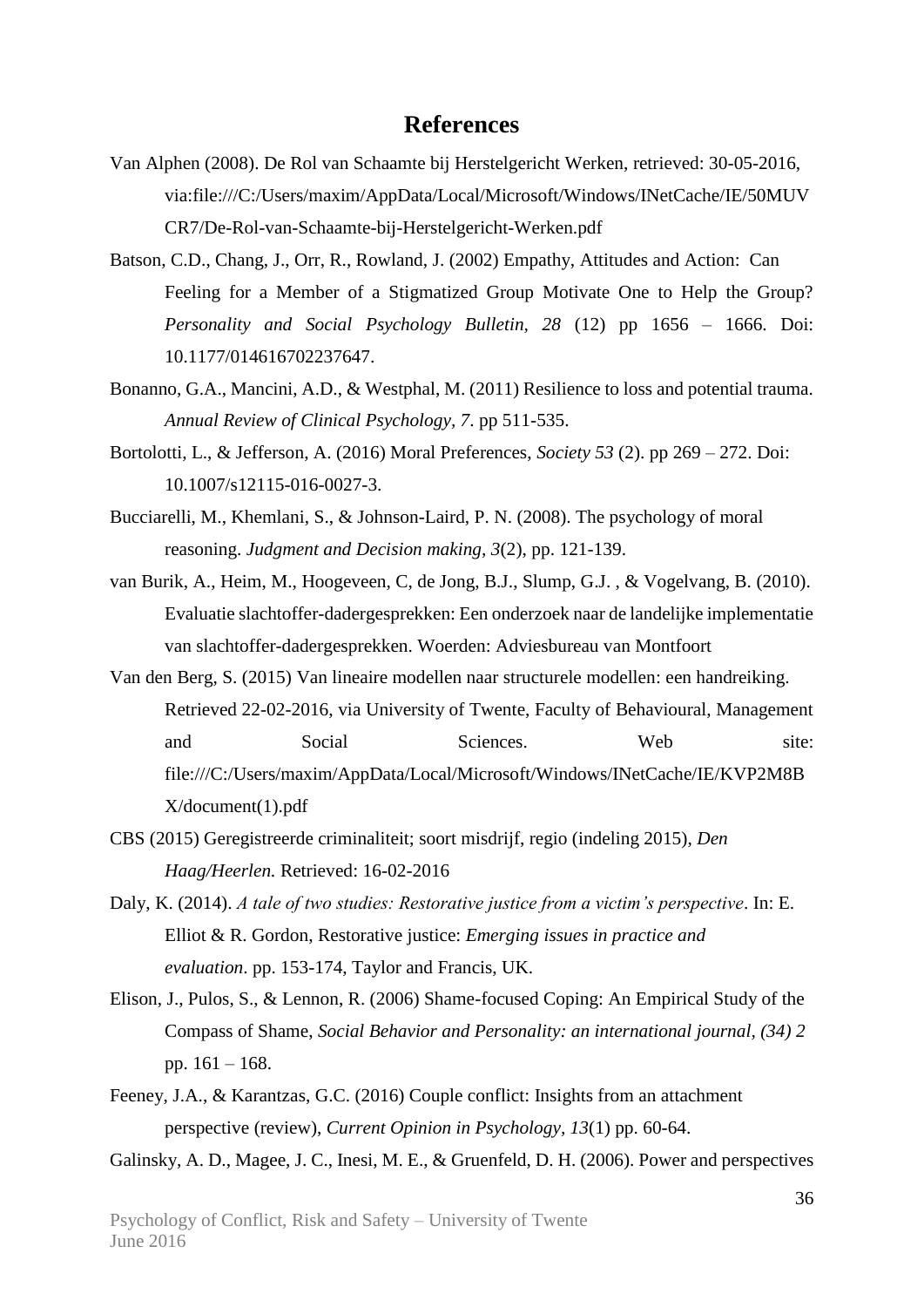### **References**

- Van Alphen (2008). De Rol van Schaamte bij Herstelgericht Werken, retrieved: 30-05-2016, via:file:///C:/Users/maxim/AppData/Local/Microsoft/Windows/INetCache/IE/50MUV CR7/De-Rol-van-Schaamte-bij-Herstelgericht-Werken.pdf
- Batson, C.D., Chang, J., Orr, R., Rowland, J. (2002) Empathy, Attitudes and Action: Can Feeling for a Member of a Stigmatized Group Motivate One to Help the Group? *Personality and Social Psychology Bulletin, 28* (12) pp 1656 – 1666. Doi: 10.1177/014616702237647.
- Bonanno, G.A., Mancini, A.D., & Westphal, M. (2011) Resilience to loss and potential trauma. *Annual Review of Clinical Psychology, 7*. pp 511-535.
- Bortolotti, L., & Jefferson, A. (2016) Moral Preferences, *Society 53* (2). pp 269 272. Doi: 10.1007/s12115-016-0027-3.
- Bucciarelli, M., Khemlani, S., & Johnson-Laird, P. N. (2008). The psychology of moral reasoning. *Judgment and Decision making, 3*(2), pp. 121-139.
- van Burik, A., Heim, M., Hoogeveen, C, de Jong, B.J., Slump, G.J. , & Vogelvang, B. (2010). Evaluatie slachtoffer-dadergesprekken: Een onderzoek naar de landelijke implementatie van slachtoffer-dadergesprekken. Woerden: Adviesbureau van Montfoort
- Van den Berg, S. (2015) Van lineaire modellen naar structurele modellen: een handreiking. Retrieved 22-02-2016, via University of Twente, Faculty of Behavioural, Management and Social Sciences. Web site: file:///C:/Users/maxim/AppData/Local/Microsoft/Windows/INetCache/IE/KVP2M8B X/document(1).pdf
- CBS (2015) Geregistreerde criminaliteit; soort misdrijf, regio (indeling 2015), *Den Haag/Heerlen.* Retrieved: 16-02-2016
- Daly, K. (2014). *A tale of two studies: Restorative justice from a victim's perspective*. In: E. Elliot & R. Gordon, Restorative justice: *Emerging issues in practice and evaluation*. pp. 153-174, Taylor and Francis, UK.
- Elison, J., Pulos, S., & Lennon, R. (2006) Shame-focused Coping: An Empirical Study of the Compass of Shame, *Social Behavior and Personality: an international journal, (34) 2* pp. 161 – 168.
- Feeney, J.A., & Karantzas, G.C. (2016) Couple conflict: Insights from an attachment perspective (review), *Current Opinion in Psychology, 13*(1) pp. 60-64.

Galinsky, A. D., Magee, J. C., Inesi, M. E., & Gruenfeld, D. H. (2006). Power and perspectives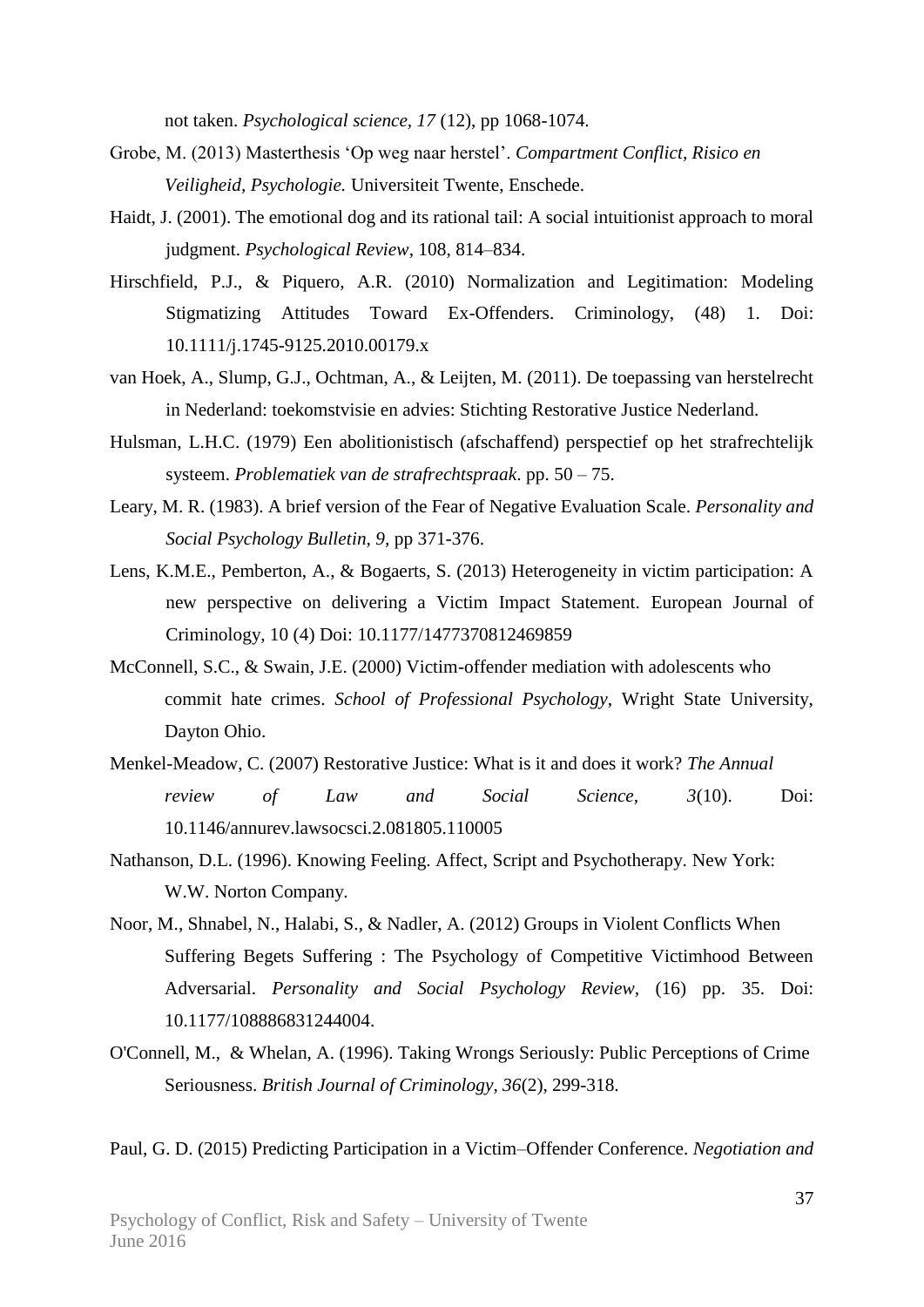not taken. *Psychological science, 17* (12), pp 1068-1074.

- Grobe, M. (2013) Masterthesis 'Op weg naar herstel'. *Compartment Conflict, Risico en Veiligheid, Psychologie.* Universiteit Twente, Enschede.
- Haidt, J. (2001). The emotional dog and its rational tail: A social intuitionist approach to moral judgment. *Psychological Review*, 108, 814–834.
- Hirschfield, P.J., & Piquero, A.R. (2010) Normalization and Legitimation: Modeling Stigmatizing Attitudes Toward Ex-Offenders. Criminology, (48) 1. Doi: 10.1111/j.1745-9125.2010.00179.x
- van Hoek, A., Slump, G.J., Ochtman, A., & Leijten, M. (2011). De toepassing van herstelrecht in Nederland: toekomstvisie en advies: Stichting Restorative Justice Nederland.
- Hulsman, L.H.C. (1979) Een abolitionistisch (afschaffend) perspectief op het strafrechtelijk systeem. *Problematiek van de strafrechtspraak*. pp. 50 – 75.
- Leary, M. R. (1983). A brief version of the Fear of Negative Evaluation Scale. *Personality and Social Psychology Bulletin, 9,* pp 371-376.
- Lens, K.M.E., Pemberton, A., & Bogaerts, S. (2013) Heterogeneity in victim participation: A new perspective on delivering a Victim Impact Statement. European Journal of Criminology, 10 (4) Doi: 10.1177/1477370812469859
- McConnell, S.C., & Swain, J.E. (2000) Victim-offender mediation with adolescents who commit hate crimes. *School of Professional Psychology*, Wright State University, Dayton Ohio.
- Menkel-Meadow, C. (2007) Restorative Justice: What is it and does it work? *The Annual review of Law and Social Science, 3*(10). Doi: 10.1146/annurev.lawsocsci.2.081805.110005
- Nathanson, D.L. (1996). Knowing Feeling. Affect, Script and Psychotherapy. New York: W.W. Norton Company.
- Noor, M., Shnabel, N., Halabi, S., & Nadler, A. (2012) Groups in Violent Conflicts When Suffering Begets Suffering : The Psychology of Competitive Victimhood Between Adversarial. *Personality and Social Psychology Review,* (16) pp. 35. Doi: 10.1177/108886831244004.
- O'Connell, M., & Whelan, A. (1996). Taking Wrongs Seriously: Public Perceptions of Crime Seriousness. *British Journal of Criminology, 36*(2), 299-318.

Paul, G. D. (2015) Predicting Participation in a Victim–Offender Conference. *Negotiation and*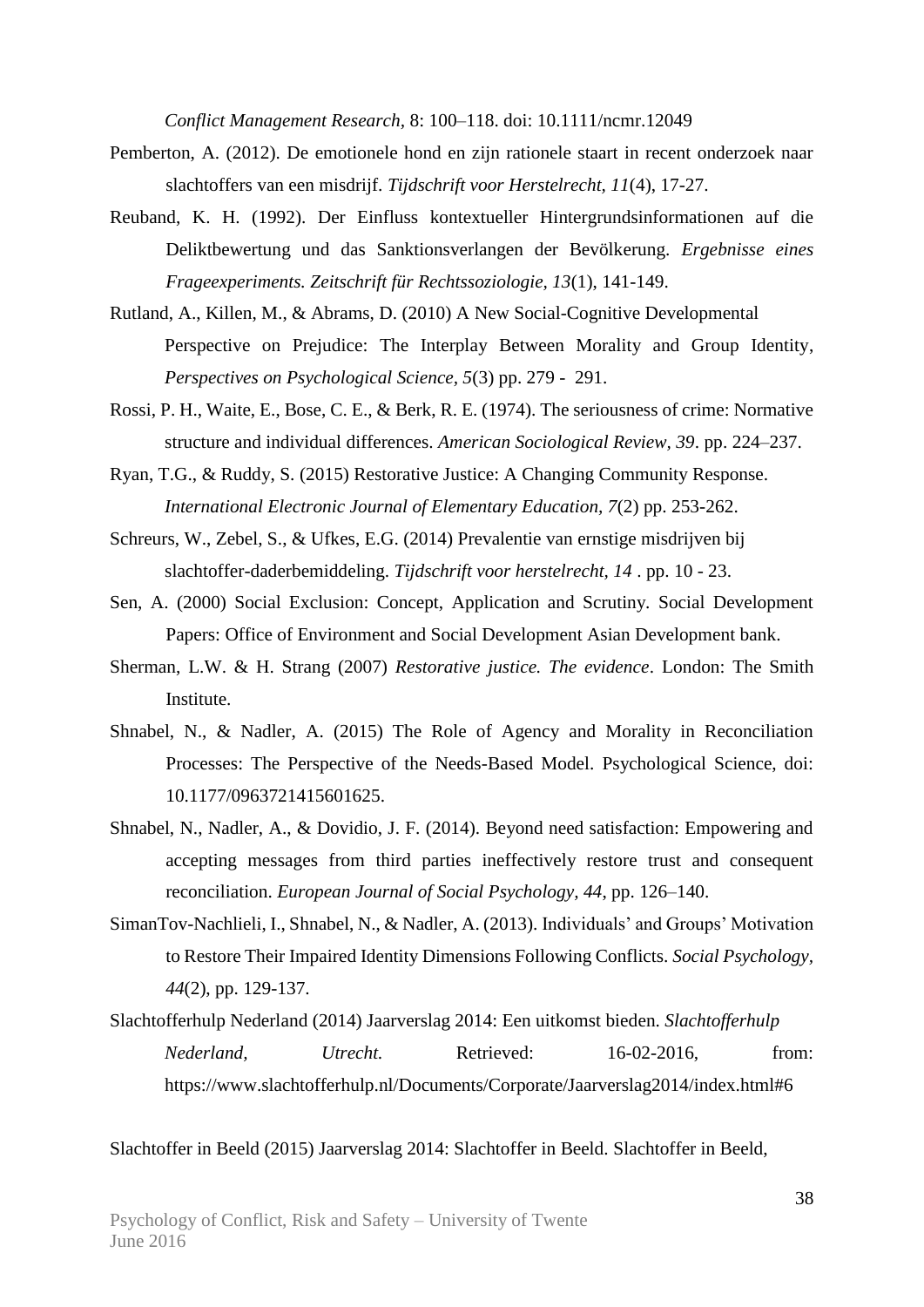*Conflict Management Research,* 8: 100–118. doi: 10.1111/ncmr.12049

- Pemberton, A. (2012). De emotionele hond en zijn rationele staart in recent onderzoek naar slachtoffers van een misdrijf. *Tijdschrift voor Herstelrecht, 11*(4), 17-27.
- Reuband, K. H. (1992). Der Einfluss kontextueller Hintergrundsinformationen auf die Deliktbewertung und das Sanktionsverlangen der Bevölkerung. *Ergebnisse eines Frageexperiments. Zeitschrift für Rechtssoziologie, 13*(1), 141-149.
- Rutland, A., Killen, M., & Abrams, D. (2010) A New Social-Cognitive Developmental Perspective on Prejudice: The Interplay Between Morality and Group Identity, *Perspectives on Psychological Science, 5*(3) pp. 279 - 291.
- Rossi, P. H., Waite, E., Bose, C. E., & Berk, R. E. (1974). The seriousness of crime: Normative structure and individual differences. *American Sociological Review, 39*. pp. 224–237.
- Ryan, T.G., & Ruddy, S. (2015) Restorative Justice: A Changing Community Response. *International Electronic Journal of Elementary Education, 7*(2) pp. 253-262.
- Schreurs, W., Zebel, S., & Ufkes, E.G. (2014) Prevalentie van ernstige misdrijven bij slachtoffer-daderbemiddeling. *Tijdschrift voor herstelrecht, 14* . pp. 10 - 23.
- Sen, A. (2000) Social Exclusion: Concept, Application and Scrutiny. Social Development Papers: Office of Environment and Social Development Asian Development bank.
- Sherman, L.W. & H. Strang (2007) *Restorative justice. The evidence*. London: The Smith Institute.
- Shnabel, N., & Nadler, A. (2015) The Role of Agency and Morality in Reconciliation Processes: The Perspective of the Needs-Based Model. Psychological Science, doi: 10.1177/0963721415601625.
- Shnabel, N., Nadler, A., & Dovidio, J. F. (2014). Beyond need satisfaction: Empowering and accepting messages from third parties ineffectively restore trust and consequent reconciliation. *European Journal of Social Psychology, 44*, pp. 126–140.
- SimanTov-Nachlieli, I., Shnabel, N., & Nadler, A. (2013). Individuals' and Groups' Motivation to Restore Their Impaired Identity Dimensions Following Conflicts. *Social Psychology, 44*(2), pp. 129-137.
- Slachtofferhulp Nederland (2014) Jaarverslag 2014: Een uitkomst bieden. *Slachtofferhulp Nederland, Utrecht.* Retrieved: 16-02-2016, from: https://www.slachtofferhulp.nl/Documents/Corporate/Jaarverslag2014/index.html#6

Slachtoffer in Beeld (2015) Jaarverslag 2014: Slachtoffer in Beeld. Slachtoffer in Beeld,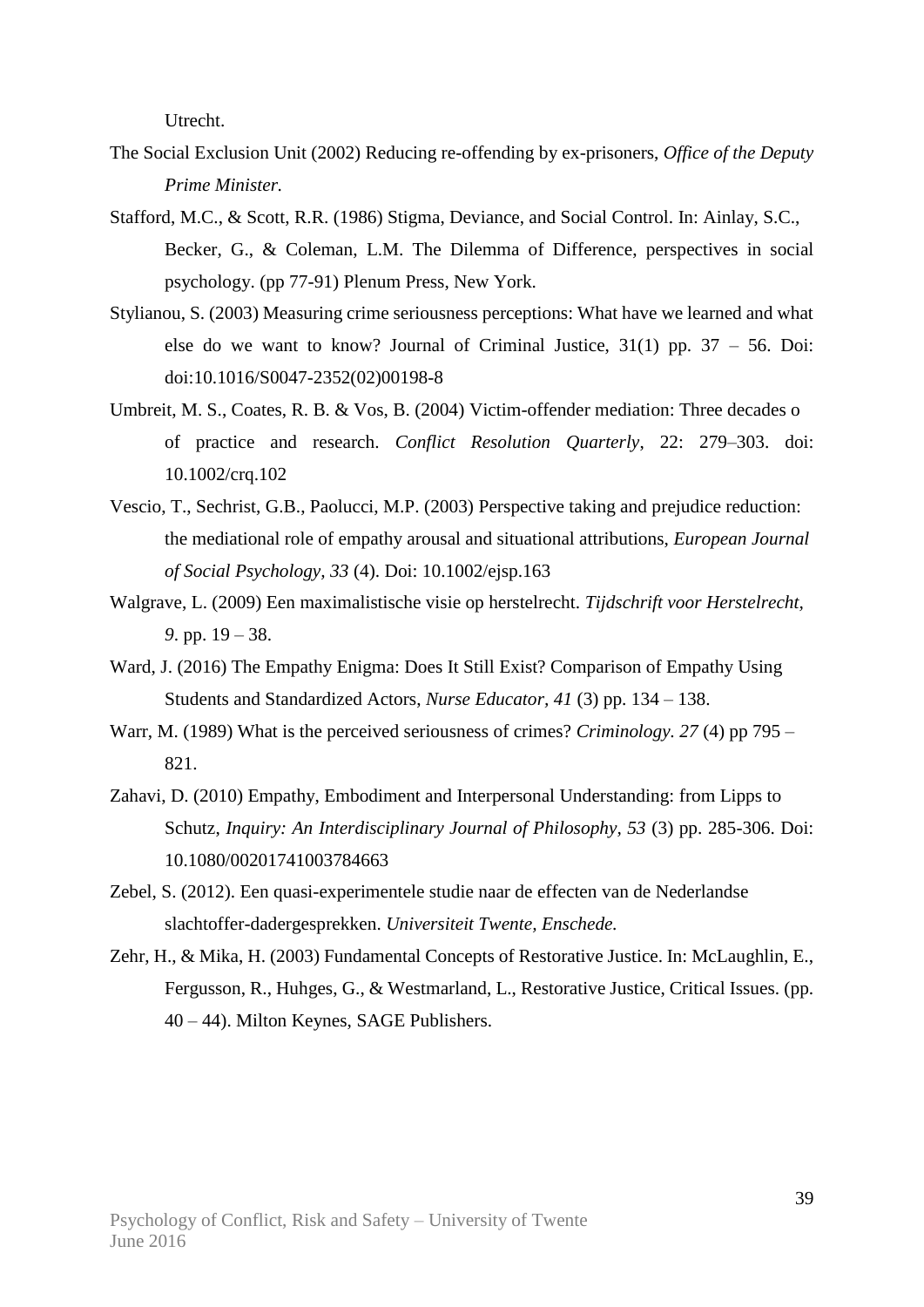Utrecht.

- The Social Exclusion Unit (2002) Reducing re-offending by ex-prisoners, *Office of the Deputy Prime Minister.*
- Stafford, M.C., & Scott, R.R. (1986) Stigma, Deviance, and Social Control. In: Ainlay, S.C., Becker, G., & Coleman, L.M. The Dilemma of Difference, perspectives in social psychology. (pp 77-91) Plenum Press, New York.
- Stylianou, S. (2003) Measuring crime seriousness perceptions: What have we learned and what else do we want to know? Journal of Criminal Justice,  $31(1)$  pp.  $37 - 56$ . Doi: doi:10.1016/S0047-2352(02)00198-8
- Umbreit, M. S., Coates, R. B. & Vos, B. (2004) Victim-offender mediation: Three decades o of practice and research. *Conflict Resolution Quarterly*, 22: 279–303. doi: 10.1002/crq.102
- Vescio, T., Sechrist, G.B., Paolucci, M.P. (2003) Perspective taking and prejudice reduction: the mediational role of empathy arousal and situational attributions, *European Journal of Social Psychology, 33* (4). Doi: 10.1002/ejsp.163
- Walgrave, L. (2009) Een maximalistische visie op herstelrecht. *Tijdschrift voor Herstelrecht, 9*. pp. 19 – 38.
- Ward, J. (2016) The Empathy Enigma: Does It Still Exist? Comparison of Empathy Using Students and Standardized Actors, *Nurse Educator, 41* (3) pp. 134 – 138.
- Warr, M. (1989) What is the perceived seriousness of crimes? *Criminology. 27* (4) pp 795 821.
- Zahavi, D. (2010) Empathy, Embodiment and Interpersonal Understanding: from Lipps to Schutz, *Inquiry: An Interdisciplinary Journal of Philosophy, 53* (3) pp. 285-306. Doi: 10.1080/00201741003784663
- Zebel, S. (2012). Een quasi-experimentele studie naar de effecten van de Nederlandse slachtoffer-dadergesprekken. *Universiteit Twente, Enschede.*
- Zehr, H., & Mika, H. (2003) Fundamental Concepts of Restorative Justice. In: McLaughlin, E., Fergusson, R., Huhges, G., & Westmarland, L., Restorative Justice, Critical Issues. (pp. 40 – 44). Milton Keynes, SAGE Publishers.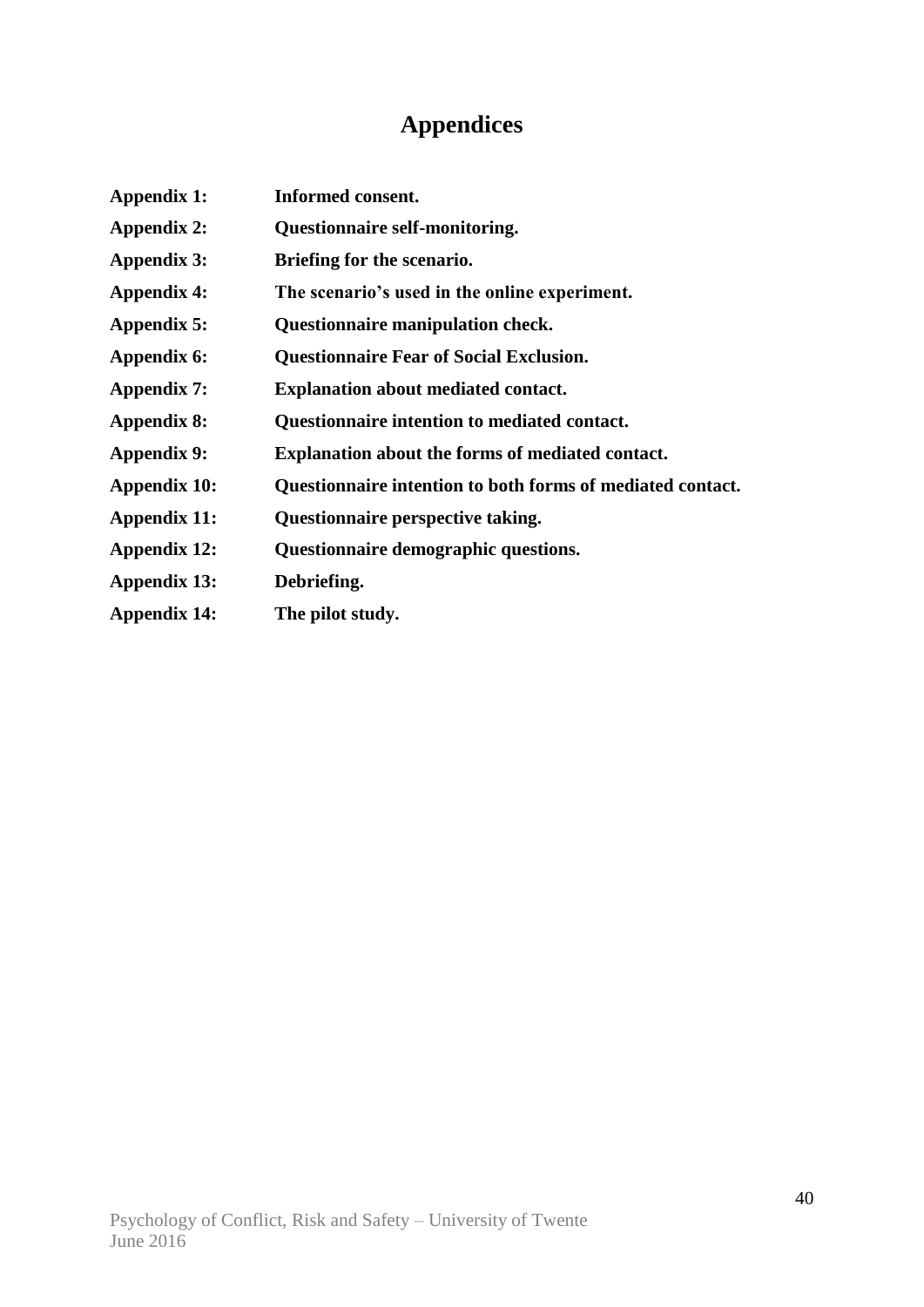# **Appendices**

| <b>Appendix 1:</b>  | Informed consent.                                          |
|---------------------|------------------------------------------------------------|
| Appendix 2:         | <b>Questionnaire self-monitoring.</b>                      |
| <b>Appendix 3:</b>  | Briefing for the scenario.                                 |
| <b>Appendix 4:</b>  | The scenario's used in the online experiment.              |
| Appendix 5:         | Questionnaire manipulation check.                          |
| Appendix 6:         | <b>Questionnaire Fear of Social Exclusion.</b>             |
| Appendix 7:         | <b>Explanation about mediated contact.</b>                 |
| Appendix 8:         | Questionnaire intention to mediated contact.               |
| <b>Appendix 9:</b>  | <b>Explanation about the forms of mediated contact.</b>    |
| Appendix 10:        | Questionnaire intention to both forms of mediated contact. |
| Appendix 11:        | Questionnaire perspective taking.                          |
| <b>Appendix 12:</b> | Questionnaire demographic questions.                       |
| Appendix 13:        | Debriefing.                                                |
| <b>Appendix 14:</b> | The pilot study.                                           |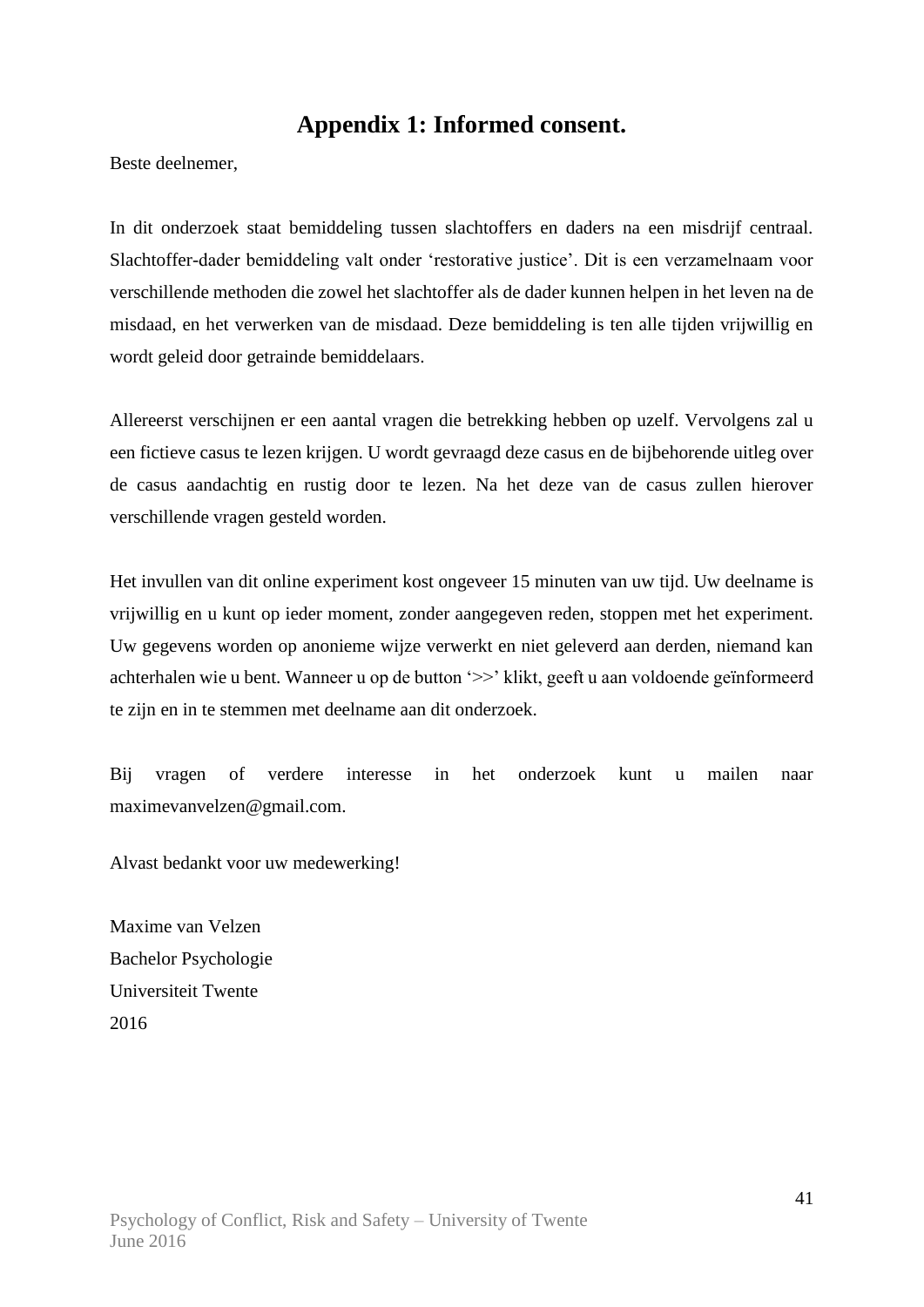### **Appendix 1: Informed consent.**

Beste deelnemer,

In dit onderzoek staat bemiddeling tussen slachtoffers en daders na een misdrijf centraal. Slachtoffer-dader bemiddeling valt onder 'restorative justice'. Dit is een verzamelnaam voor verschillende methoden die zowel het slachtoffer als de dader kunnen helpen in het leven na de misdaad, en het verwerken van de misdaad. Deze bemiddeling is ten alle tijden vrijwillig en wordt geleid door getrainde bemiddelaars.

Allereerst verschijnen er een aantal vragen die betrekking hebben op uzelf. Vervolgens zal u een fictieve casus te lezen krijgen. U wordt gevraagd deze casus en de bijbehorende uitleg over de casus aandachtig en rustig door te lezen. Na het deze van de casus zullen hierover verschillende vragen gesteld worden.

Het invullen van dit online experiment kost ongeveer 15 minuten van uw tijd. Uw deelname is vrijwillig en u kunt op ieder moment, zonder aangegeven reden, stoppen met het experiment. Uw gegevens worden op anonieme wijze verwerkt en niet geleverd aan derden, niemand kan achterhalen wie u bent. Wanneer u op de button '>>' klikt, geeft u aan voldoende geïnformeerd te zijn en in te stemmen met deelname aan dit onderzoek.

Bij vragen of verdere interesse in het onderzoek kunt u mailen naar maximevanvelzen@gmail.com.

Alvast bedankt voor uw medewerking!

Maxime van Velzen Bachelor Psychologie Universiteit Twente 2016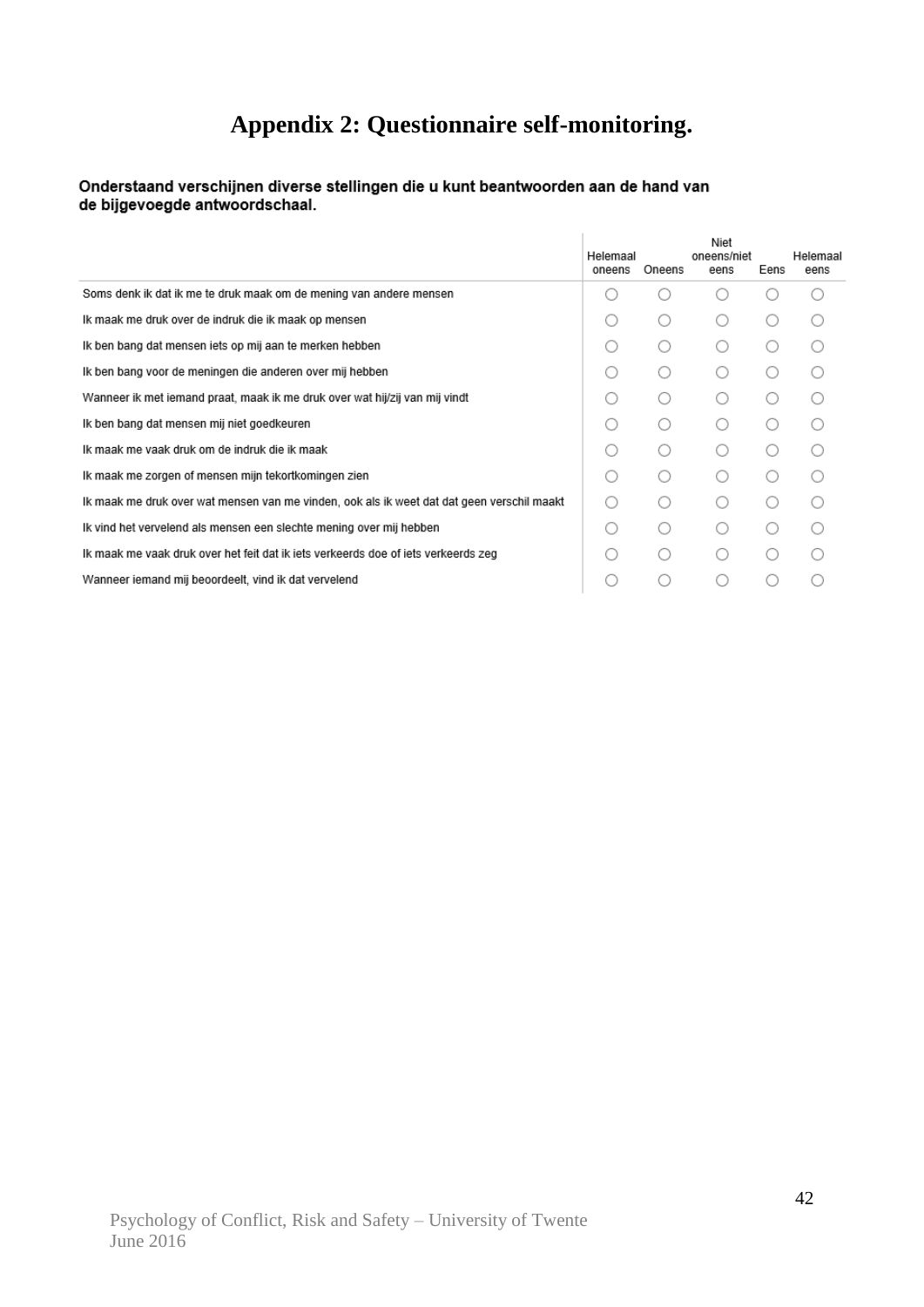# **Appendix 2: Questionnaire self-monitoring.**

#### Onderstaand verschijnen diverse stellingen die u kunt beantwoorden aan de hand van de bijgevoegde antwoordschaal.

|                                                                                            | Helemaal<br>oneens                          | Oneens | Niet<br>oneens/niet<br>eens | Eens | Helemaal<br>eens |
|--------------------------------------------------------------------------------------------|---------------------------------------------|--------|-----------------------------|------|------------------|
| Soms denk ik dat ik me te druk maak om de mening van andere mensen                         |                                             |        |                             |      |                  |
| Ik maak me druk over de indruk die ik maak op mensen                                       |                                             |        |                             |      |                  |
| Ik ben bang dat mensen iets op mij aan te merken hebben                                    | ( )                                         | ( )    |                             |      |                  |
| Ik ben bang voor de meningen die anderen over mij hebben                                   |                                             |        |                             |      |                  |
| Wanneer ik met iemand praat, maak ik me druk over wat hij/zij van mij vindt                | ( )                                         | ◯      |                             |      |                  |
| Ik ben bang dat mensen mij niet goedkeuren                                                 | ( )                                         |        |                             |      |                  |
| Ik maak me vaak druk om de indruk die ik maak                                              | ( )                                         |        |                             |      |                  |
| Ik maak me zorgen of mensen mijn tekortkomingen zien                                       | ∩                                           | ( )    |                             |      |                  |
| Ik maak me druk over wat mensen van me vinden, ook als ik weet dat dat geen verschil maakt | $\left(\begin{array}{c} \end{array}\right)$ |        |                             |      |                  |
| Ik vind het vervelend als mensen een slechte mening over mij hebben                        | ( )                                         |        |                             |      |                  |
| Ik maak me vaak druk over het feit dat ik iets verkeerds doe of iets verkeerds zeg         | ( )                                         |        |                             |      |                  |
| Wanneer iemand mij beoordeelt, vind ik dat vervelend                                       |                                             |        |                             |      |                  |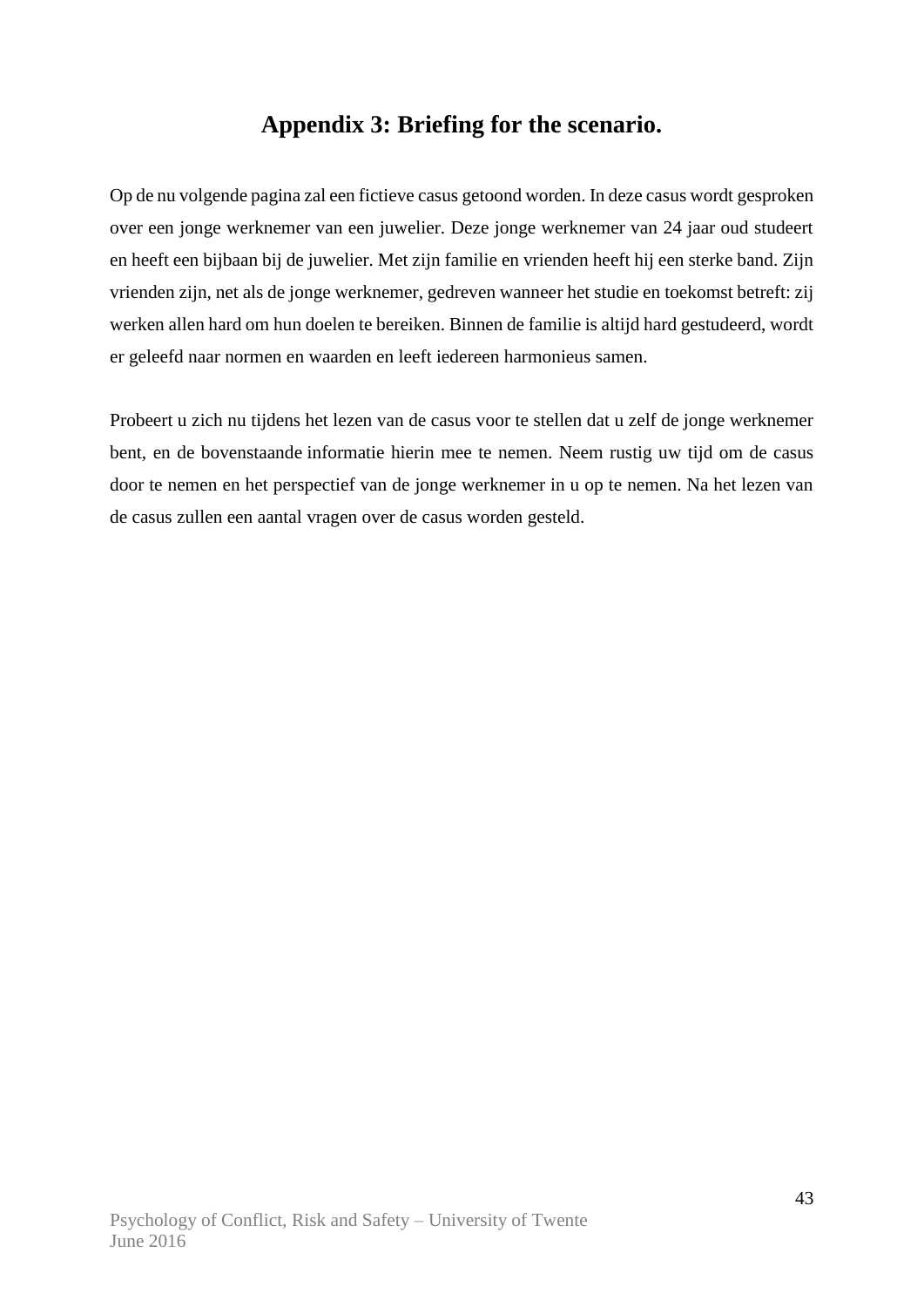### **Appendix 3: Briefing for the scenario.**

Op de nu volgende pagina zal een fictieve casus getoond worden. In deze casus wordt gesproken over een jonge werknemer van een juwelier. Deze jonge werknemer van 24 jaar oud studeert en heeft een bijbaan bij de juwelier. Met zijn familie en vrienden heeft hij een sterke band. Zijn vrienden zijn, net als de jonge werknemer, gedreven wanneer het studie en toekomst betreft: zij werken allen hard om hun doelen te bereiken. Binnen de familie is altijd hard gestudeerd, wordt er geleefd naar normen en waarden en leeft iedereen harmonieus samen.

Probeert u zich nu tijdens het lezen van de casus voor te stellen dat u zelf de jonge werknemer bent, en de bovenstaande informatie hierin mee te nemen. Neem rustig uw tijd om de casus door te nemen en het perspectief van de jonge werknemer in u op te nemen. Na het lezen van de casus zullen een aantal vragen over de casus worden gesteld.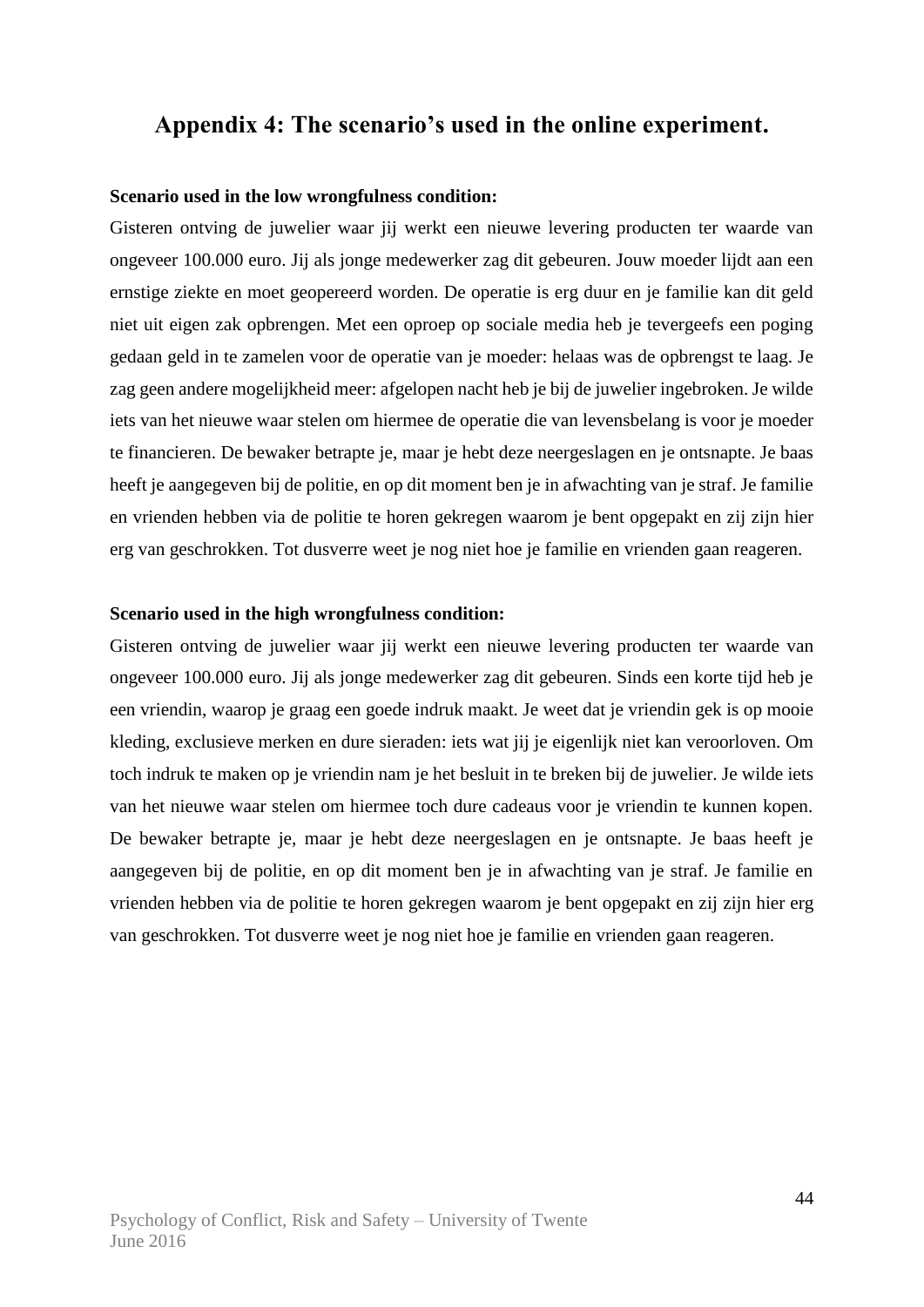### **Appendix 4: The scenario's used in the online experiment.**

#### **Scenario used in the low wrongfulness condition:**

Gisteren ontving de juwelier waar jij werkt een nieuwe levering producten ter waarde van ongeveer 100.000 euro. Jij als jonge medewerker zag dit gebeuren. Jouw moeder lijdt aan een ernstige ziekte en moet geopereerd worden. De operatie is erg duur en je familie kan dit geld niet uit eigen zak opbrengen. Met een oproep op sociale media heb je tevergeefs een poging gedaan geld in te zamelen voor de operatie van je moeder: helaas was de opbrengst te laag. Je zag geen andere mogelijkheid meer: afgelopen nacht heb je bij de juwelier ingebroken. Je wilde iets van het nieuwe waar stelen om hiermee de operatie die van levensbelang is voor je moeder te financieren. De bewaker betrapte je, maar je hebt deze neergeslagen en je ontsnapte. Je baas heeft je aangegeven bij de politie, en op dit moment ben je in afwachting van je straf. Je familie en vrienden hebben via de politie te horen gekregen waarom je bent opgepakt en zij zijn hier erg van geschrokken. Tot dusverre weet je nog niet hoe je familie en vrienden gaan reageren.

#### **Scenario used in the high wrongfulness condition:**

Gisteren ontving de juwelier waar jij werkt een nieuwe levering producten ter waarde van ongeveer 100.000 euro. Jij als jonge medewerker zag dit gebeuren. Sinds een korte tijd heb je een vriendin, waarop je graag een goede indruk maakt. Je weet dat je vriendin gek is op mooie kleding, exclusieve merken en dure sieraden: iets wat jij je eigenlijk niet kan veroorloven. Om toch indruk te maken op je vriendin nam je het besluit in te breken bij de juwelier. Je wilde iets van het nieuwe waar stelen om hiermee toch dure cadeaus voor je vriendin te kunnen kopen. De bewaker betrapte je, maar je hebt deze neergeslagen en je ontsnapte. Je baas heeft je aangegeven bij de politie, en op dit moment ben je in afwachting van je straf. Je familie en vrienden hebben via de politie te horen gekregen waarom je bent opgepakt en zij zijn hier erg van geschrokken. Tot dusverre weet je nog niet hoe je familie en vrienden gaan reageren.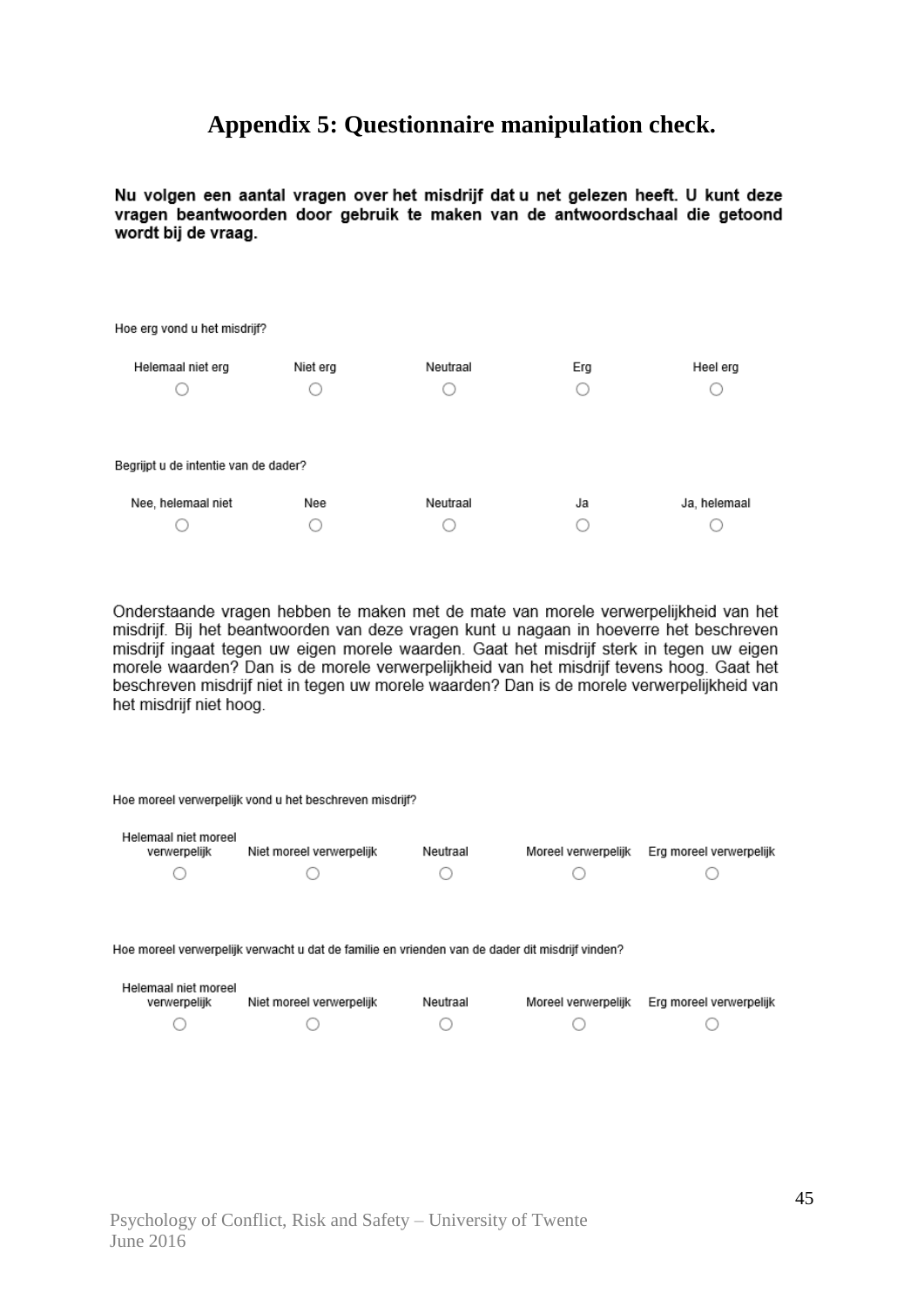### **Appendix 5: Questionnaire manipulation check.**

Nu volgen een aantal vragen over het misdrijf dat u net gelezen heeft. U kunt deze vragen beantwoorden door gebruik te maken van de antwoordschaal die getoond wordt bij de vraag.

| Hoe erg vond u het misdrijf?         |          |          |     |              |  |  |  |  |  |
|--------------------------------------|----------|----------|-----|--------------|--|--|--|--|--|
| Helemaal niet erg                    | Niet erg | Neutraal | Erg | Heel erg     |  |  |  |  |  |
|                                      |          |          |     |              |  |  |  |  |  |
|                                      |          |          |     |              |  |  |  |  |  |
| Begrijpt u de intentie van de dader? |          |          |     |              |  |  |  |  |  |
| Nee, helemaal niet                   | Nee      | Neutraal | Ja  | Ja, helemaal |  |  |  |  |  |
|                                      |          |          |     |              |  |  |  |  |  |

Onderstaande vragen hebben te maken met de mate van morele verwerpelijkheid van het misdrijf. Bij het beantwoorden van deze vragen kunt u nagaan in hoeverre het beschreven misdrijf ingaat tegen uw eigen morele waarden. Gaat het misdrijf sterk in tegen uw eigen morele waarden? Dan is de morele verwerpelijkheid van het misdrijf tevens hoog. Gaat het beschreven misdrijf niet in tegen uw morele waarden? Dan is de morele verwerpelijkheid van het misdrijf niet hoog.

|                                      | Hoe moreel verwerpelijk vond u het beschreven misdrijf?                                                                     |          |                     |                         |
|--------------------------------------|-----------------------------------------------------------------------------------------------------------------------------|----------|---------------------|-------------------------|
| Helemaal niet moreel<br>verwerpelijk | Niet moreel verwerpelijk                                                                                                    | Neutraal | Moreel verwerpelijk | Erg moreel verwerpelijk |
|                                      |                                                                                                                             |          |                     |                         |
| Helemaal niet moreel<br>verwerpelijk | Hoe moreel verwerpelijk verwacht u dat de familie en vrienden van de dader dit misdrijf vinden?<br>Niet moreel verwerpelijk | Neutraal | Moreel verwerpelijk | Erg moreel verwerpelijk |
|                                      |                                                                                                                             |          |                     |                         |
|                                      |                                                                                                                             |          |                     |                         |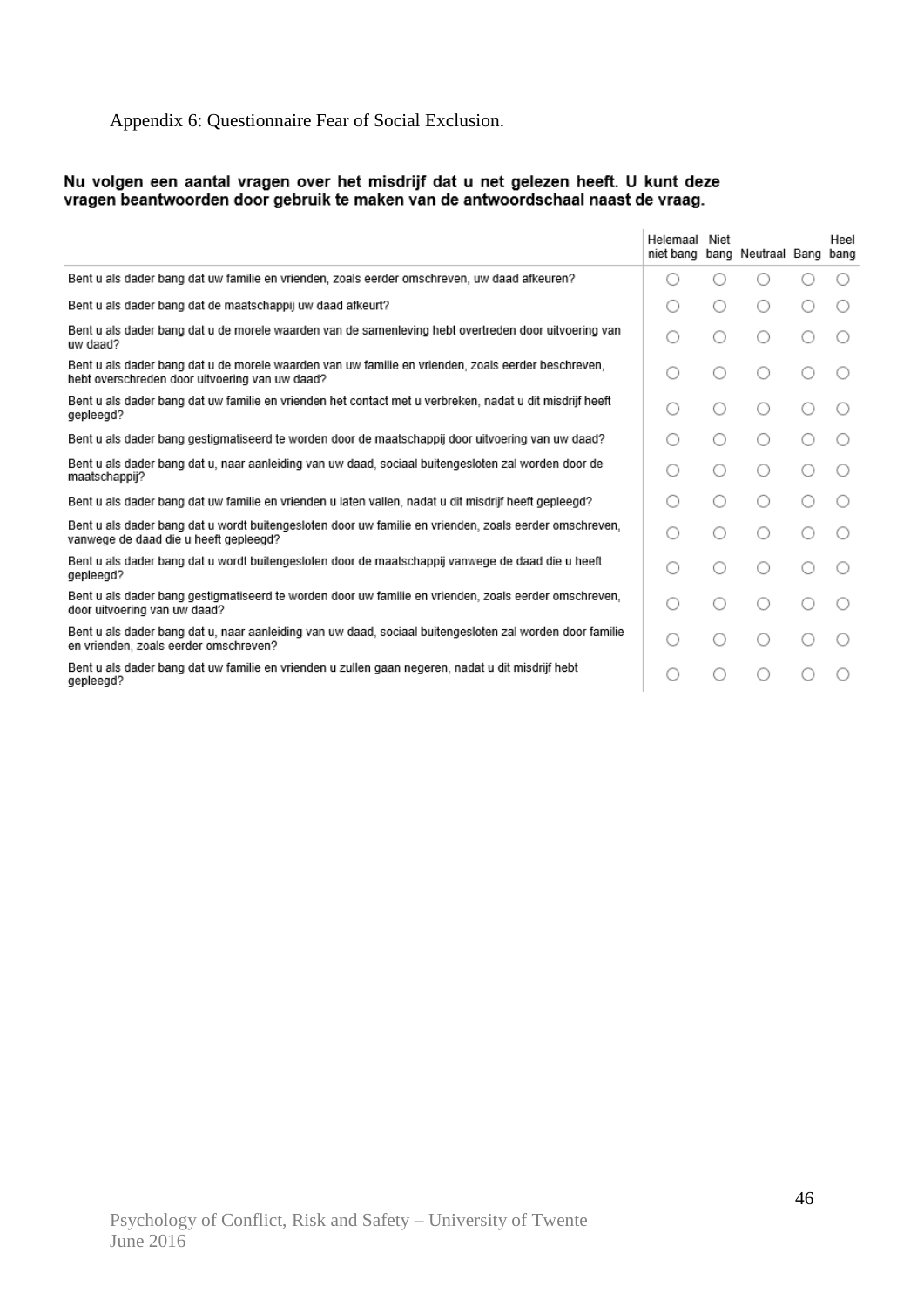### Appendix 6: Questionnaire Fear of Social Exclusion.

# Nu volgen een aantal vragen over het misdrijf dat u net gelezen heeft. U kunt deze<br>vragen beantwoorden door gebruik te maken van de antwoordschaal naast de vraag.

|                                                                                                                                                      | Helemaal<br>niet bang | Niet | bang Neutraal Bang bang | Heel |
|------------------------------------------------------------------------------------------------------------------------------------------------------|-----------------------|------|-------------------------|------|
| Bent u als dader bang dat uw familie en vrienden, zoals eerder omschreven, uw daad afkeuren?                                                         |                       |      |                         |      |
| Bent u als dader bang dat de maatschappij uw daad afkeurt?                                                                                           |                       | 0    | ()                      |      |
| Bent u als dader bang dat u de morele waarden van de samenleving hebt overtreden door uitvoering van<br>uw daad?                                     |                       |      | ∩                       |      |
| Bent u als dader bang dat u de morele waarden van uw familie en vrienden, zoals eerder beschreven,<br>hebt overschreden door uitvoering van uw daad? |                       |      | ◯                       |      |
| Bent u als dader bang dat uw familie en vrienden het contact met u verbreken, nadat u dit misdrijf heeft<br>gepleegd?                                | Ω.                    | ()   | ◯                       |      |
| Bent u als dader bang gestigmatiseerd te worden door de maatschappij door uitvoering van uw daad?                                                    |                       | ()   |                         |      |
| Bent u als dader bang dat u, naar aanleiding van uw daad, sociaal buitengesloten zal worden door de<br>maatschappij?                                 |                       | ()   | ◯                       |      |
| Bent u als dader bang dat uw familie en vrienden u laten vallen, nadat u dit misdrijf heeft gepleegd?                                                |                       | ()   | ◯                       |      |
| Bent u als dader bang dat u wordt buitengesloten door uw familie en vrienden, zoals eerder omschreven,<br>vanwege de daad die u heeft gepleegd?      |                       |      | ∩                       |      |
| Bent u als dader bang dat u wordt buitengesloten door de maatschappij vanwege de daad die u heeft<br>gepleegd?                                       |                       |      |                         |      |
| Bent u als dader bang gestigmatiseerd te worden door uw familie en vrienden, zoals eerder omschreven,<br>door uitvoering van uw daad?                | . )                   | ()   | ⊖                       |      |
| Bent u als dader bang dat u, naar aanleiding van uw daad, sociaal buitengesloten zal worden door familie<br>en vrienden, zoals eerder omschreven?    |                       |      |                         |      |
| Bent u als dader bang dat uw familie en vrienden u zullen gaan negeren, nadat u dit misdrijf hebt<br>gepleegd?                                       |                       |      |                         |      |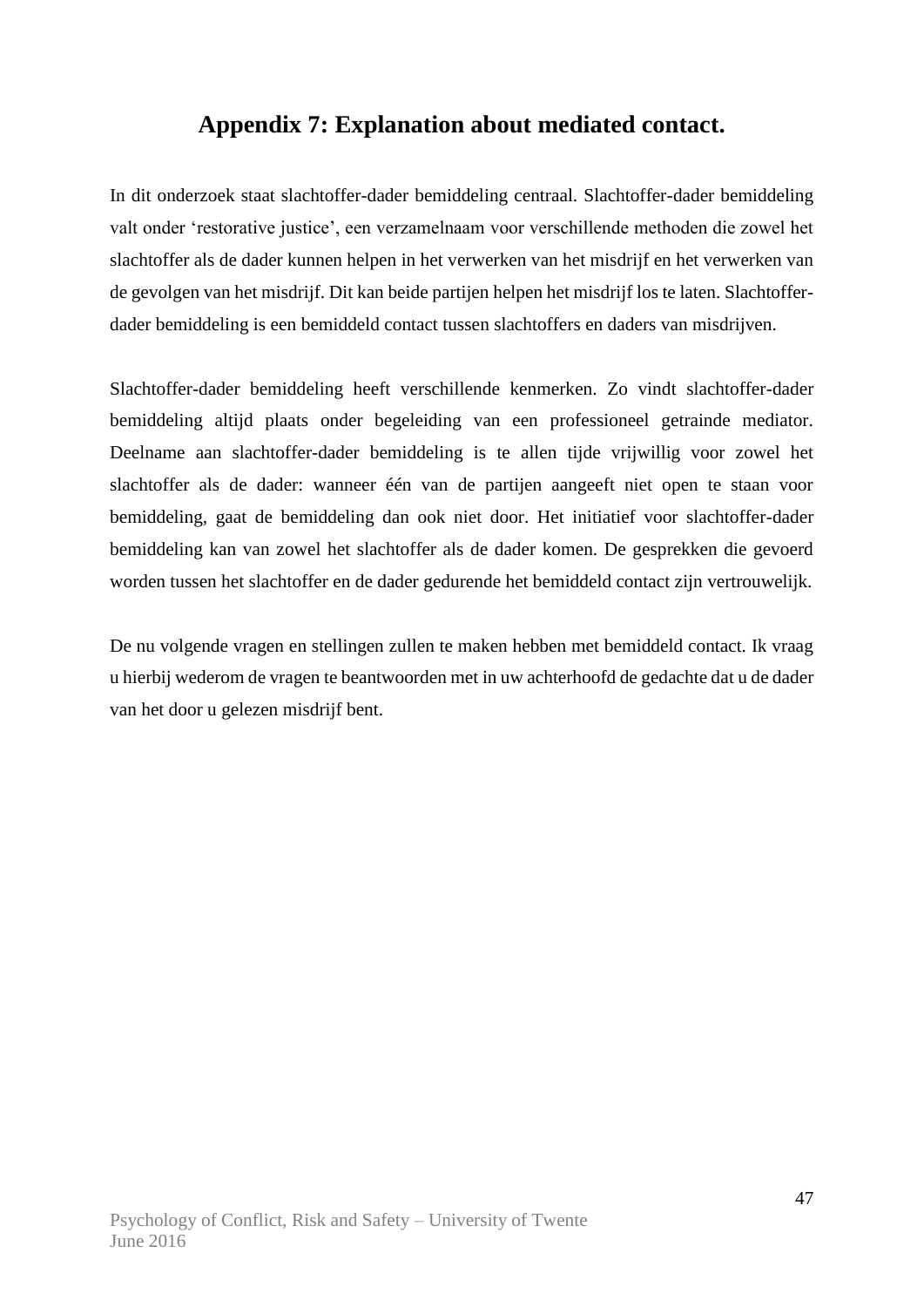### **Appendix 7: Explanation about mediated contact.**

In dit onderzoek staat slachtoffer-dader bemiddeling centraal. Slachtoffer-dader bemiddeling valt onder 'restorative justice', een verzamelnaam voor verschillende methoden die zowel het slachtoffer als de dader kunnen helpen in het verwerken van het misdrijf en het verwerken van de gevolgen van het misdrijf. Dit kan beide partijen helpen het misdrijf los te laten. Slachtofferdader bemiddeling is een bemiddeld contact tussen slachtoffers en daders van misdrijven.

Slachtoffer-dader bemiddeling heeft verschillende kenmerken. Zo vindt slachtoffer-dader bemiddeling altijd plaats onder begeleiding van een professioneel getrainde mediator. Deelname aan slachtoffer-dader bemiddeling is te allen tijde vrijwillig voor zowel het slachtoffer als de dader: wanneer één van de partijen aangeeft niet open te staan voor bemiddeling, gaat de bemiddeling dan ook niet door. Het initiatief voor slachtoffer-dader bemiddeling kan van zowel het slachtoffer als de dader komen. De gesprekken die gevoerd worden tussen het slachtoffer en de dader gedurende het bemiddeld contact zijn vertrouwelijk.

De nu volgende vragen en stellingen zullen te maken hebben met bemiddeld contact. Ik vraag u hierbij wederom de vragen te beantwoorden met in uw achterhoofd de gedachte dat u de dader van het door u gelezen misdrijf bent.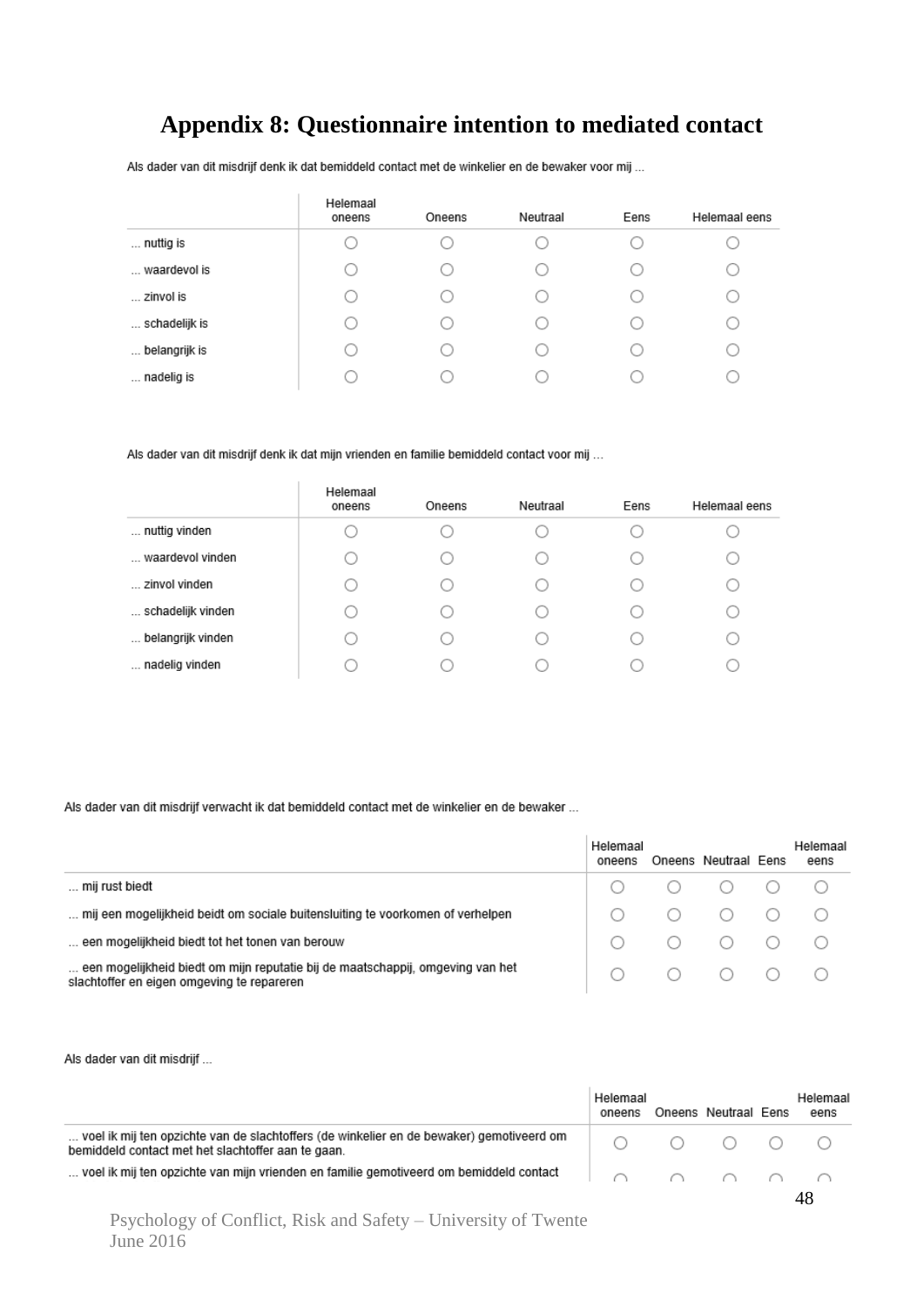### **Appendix 8: Questionnaire intention to mediated contact**

Als dader van dit misdrijf denk ik dat bemiddeld contact met de winkelier en de bewaker voor mij ...

÷.

|               | Helemaal<br>oneens | Oneens | Neutraal | Eens | Helemaal eens |
|---------------|--------------------|--------|----------|------|---------------|
| nuttig is     |                    |        |          |      |               |
| waardevol is  |                    |        |          |      |               |
| zinvol is     |                    |        |          |      |               |
| schadelijk is |                    | ( )    |          |      |               |
| belangrijk is |                    |        |          | c    |               |
| nadelig is    |                    |        |          |      |               |

Als dader van dit misdrijf denk ik dat mijn vrienden en familie bemiddeld contact voor mij ...

|                   | Helemaal<br>oneens | Oneens | Neutraal | Eens | Helemaal eens |
|-------------------|--------------------|--------|----------|------|---------------|
| nuttig vinden     |                    |        |          |      |               |
| waardevol vinden  |                    |        |          |      |               |
| zinvol vinden     |                    |        |          |      |               |
| schadelijk vinden |                    |        |          |      |               |
| belangrijk vinden |                    |        |          |      |               |
| nadelig vinden    |                    |        |          |      |               |

Als dader van dit misdrijf verwacht ik dat bemiddeld contact met de winkelier en de bewaker ...

|                                                                                                                              | Helemaal<br>oneens | Oneens Neutraal Eens | Helemaal<br>eens |
|------------------------------------------------------------------------------------------------------------------------------|--------------------|----------------------|------------------|
| mij rust biedt                                                                                                               |                    |                      |                  |
| mij een mogelijkheid beidt om sociale buitensluiting te voorkomen of verhelpen                                               |                    |                      |                  |
| een mogelijkheid biedt tot het tonen van berouw                                                                              |                    | $O$ $O$ $O$ $O$ $O$  |                  |
| een mogelijkheid biedt om mijn reputatie bij de maatschappij, omgeving van het<br>slachtoffer en eigen omgeving te repareren |                    |                      |                  |

Als dader van dit misdrijf ...

|                                                                                                                                                          | Helemaal<br>oneens | Oneens Neutraal Eens                                                                                 | Helemaal<br>eens |  |
|----------------------------------------------------------------------------------------------------------------------------------------------------------|--------------------|------------------------------------------------------------------------------------------------------|------------------|--|
| voel ik mij ten opzichte van de slachtoffers (de winkelier en de bewaker) gemotiveerd om<br>bemiddeld contact met het slachtoffer aan te gaan.           |                    | $\begin{array}{ccccccccccccccccc} \circ & \circ & \circ & \circ & \circ & \circ & \circ \end{array}$ |                  |  |
| voel ik mij ten opzichte van mijn vrienden en familie gemotiveerd om bemiddeld contact $\qquad \qquad   \qquad \cap \qquad \cap \qquad \cap \qquad \cap$ |                    |                                                                                                      |                  |  |
|                                                                                                                                                          |                    |                                                                                                      |                  |  |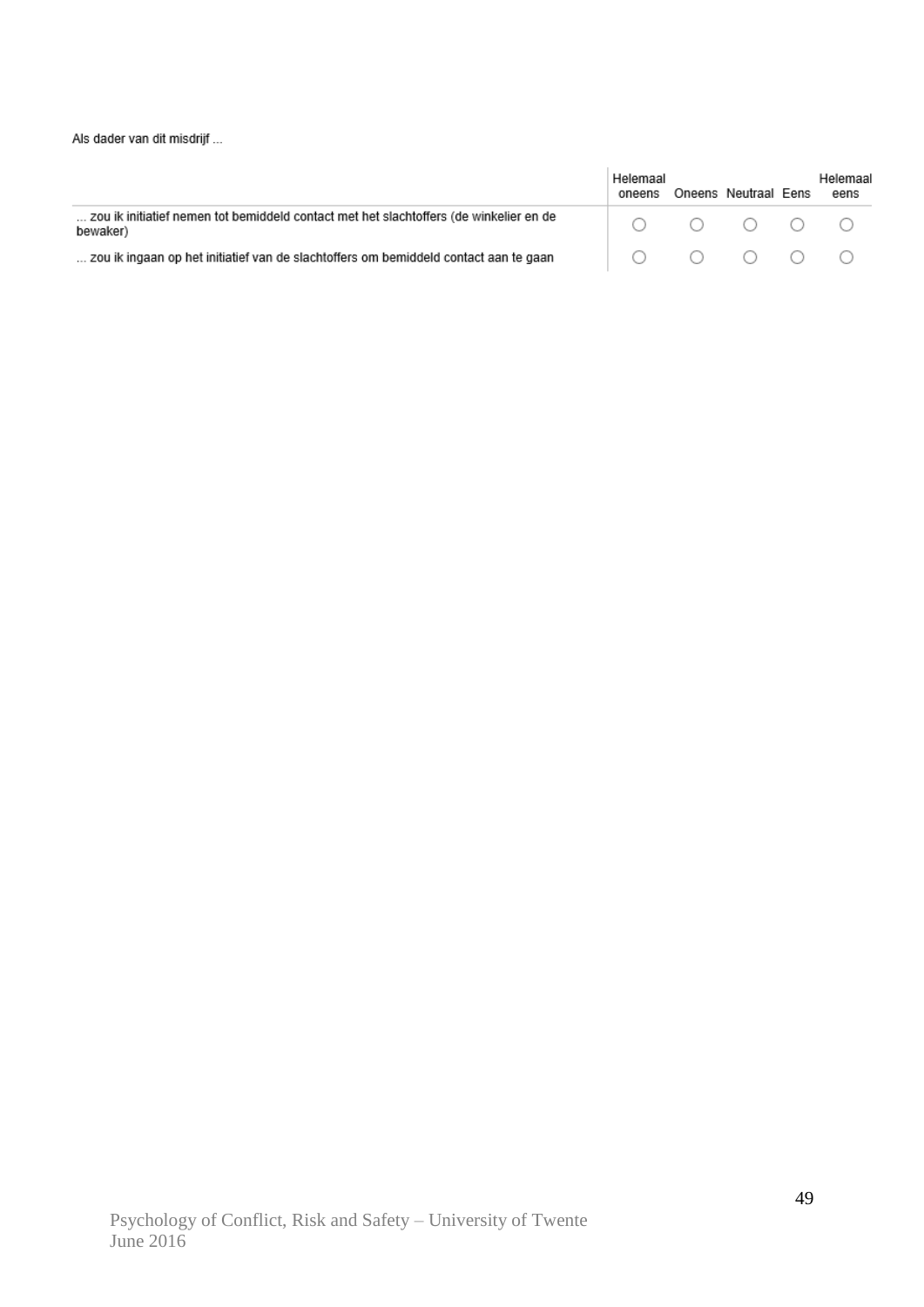Als dader van dit misdrijf ...

|                                                                                                    | Helemaal<br>oneens                                                                                   | Oneens Neutraal Eens                                                                                 | Helemaal<br>eens |
|----------------------------------------------------------------------------------------------------|------------------------------------------------------------------------------------------------------|------------------------------------------------------------------------------------------------------|------------------|
| zou ik initiatief nemen tot bemiddeld contact met het slachtoffers (de winkelier en de<br>bewaker) |                                                                                                      | $\begin{array}{ccccccccccccccccc} \circ & \circ & \circ & \circ & \circ & \circ & \circ \end{array}$ |                  |
| zou ik ingaan op het initiatief van de slachtoffers om bemiddeld contact aan te gaan               | $\begin{array}{ccccccccccccccccc} \circ & \circ & \circ & \circ & \circ & \circ & \circ \end{array}$ |                                                                                                      |                  |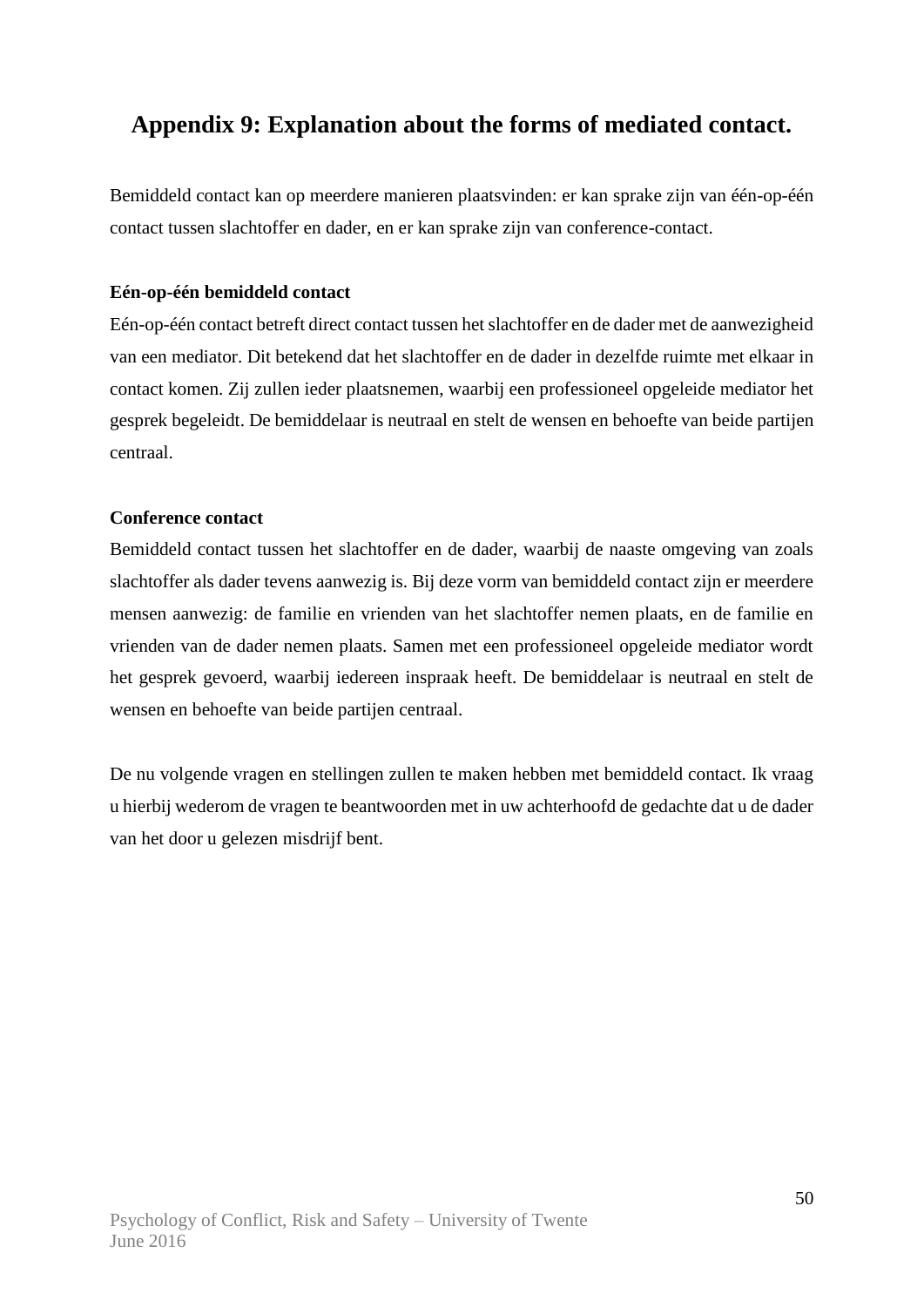### **Appendix 9: Explanation about the forms of mediated contact.**

Bemiddeld contact kan op meerdere manieren plaatsvinden: er kan sprake zijn van één-op-één contact tussen slachtoffer en dader, en er kan sprake zijn van conference-contact.

### **Eén-op-één bemiddeld contact**

Eén-op-één contact betreft direct contact tussen het slachtoffer en de dader met de aanwezigheid van een mediator. Dit betekend dat het slachtoffer en de dader in dezelfde ruimte met elkaar in contact komen. Zij zullen ieder plaatsnemen, waarbij een professioneel opgeleide mediator het gesprek begeleidt. De bemiddelaar is neutraal en stelt de wensen en behoefte van beide partijen centraal.

### **Conference contact**

Bemiddeld contact tussen het slachtoffer en de dader, waarbij de naaste omgeving van zoals slachtoffer als dader tevens aanwezig is. Bij deze vorm van bemiddeld contact zijn er meerdere mensen aanwezig: de familie en vrienden van het slachtoffer nemen plaats, en de familie en vrienden van de dader nemen plaats. Samen met een professioneel opgeleide mediator wordt het gesprek gevoerd, waarbij iedereen inspraak heeft. De bemiddelaar is neutraal en stelt de wensen en behoefte van beide partijen centraal.

De nu volgende vragen en stellingen zullen te maken hebben met bemiddeld contact. Ik vraag u hierbij wederom de vragen te beantwoorden met in uw achterhoofd de gedachte dat u de dader van het door u gelezen misdrijf bent.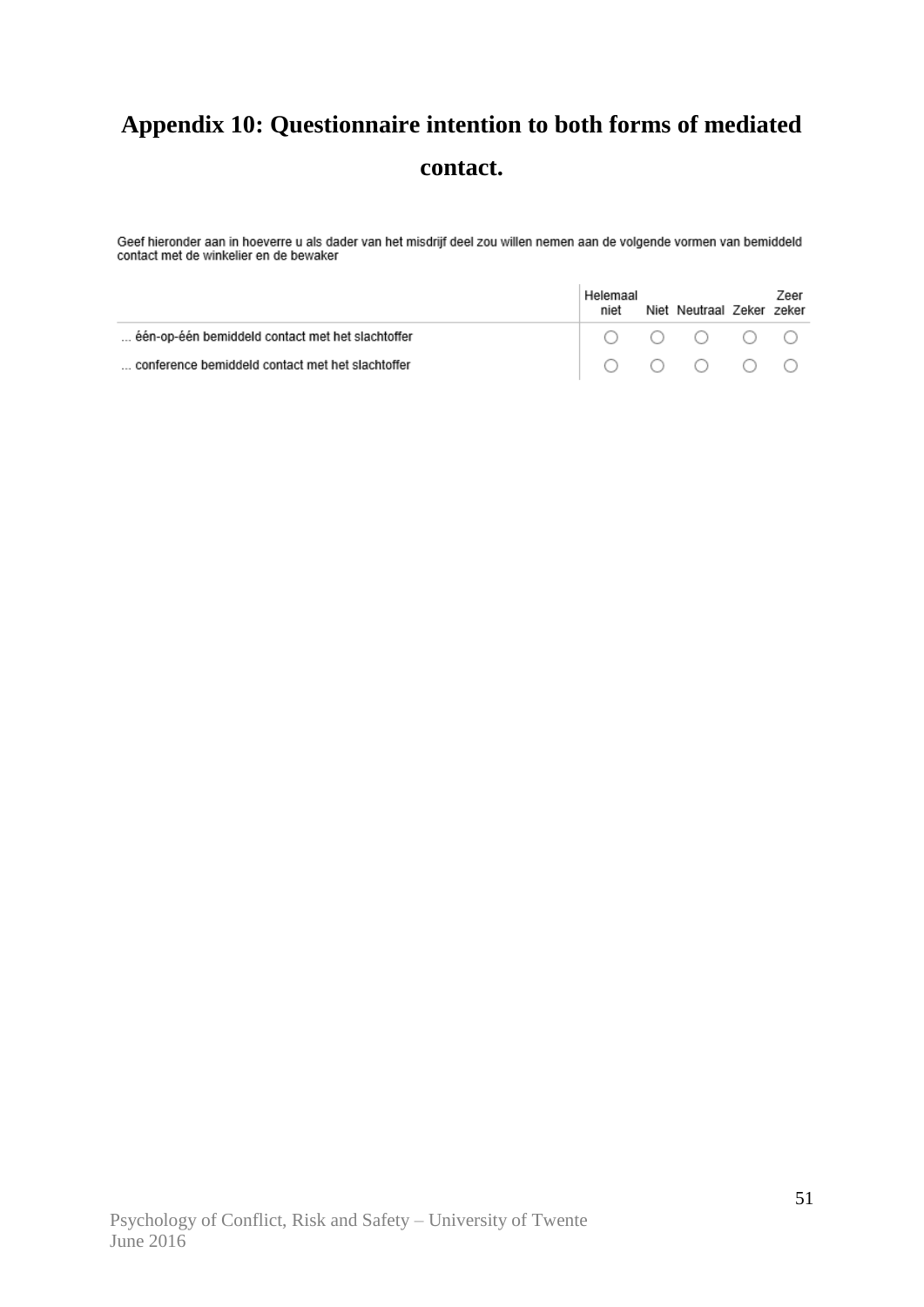# **Appendix 10: Questionnaire intention to both forms of mediated contact.**

Geef hieronder aan in hoeverre u als dader van het misdrijf deel zou willen nemen aan de volgende vormen van bemiddeld<br>contact met de winkelier en de bewaker

|                                                  | Helemaal<br>niet | Niet Neutraal Zeker zeker                                                                    | Zeer |
|--------------------------------------------------|------------------|----------------------------------------------------------------------------------------------|------|
| één-op-één bemiddeld contact met het slachtoffer |                  | $\begin{array}{ccccccccccccccccc} \circ & \circ & \circ & \circ & \circ & \circ \end{array}$ |      |
| conference bemiddeld contact met het slachtoffer |                  | $\begin{array}{ccccccccccccccccc} \circ & \circ & \circ & \circ & \circ & \circ \end{array}$ |      |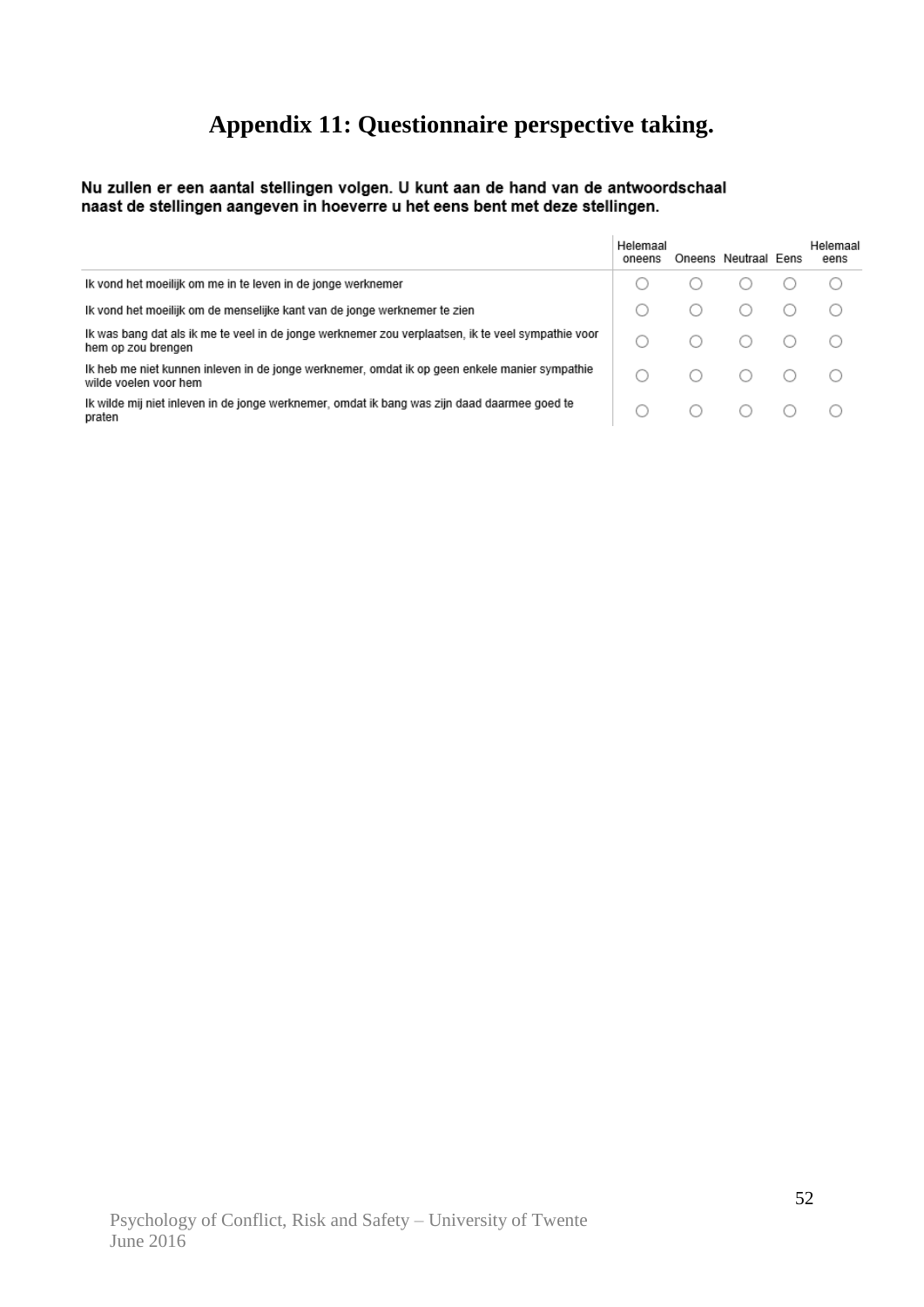# **Appendix 11: Questionnaire perspective taking.**

Nu zullen er een aantal stellingen volgen. U kunt aan de hand van de antwoordschaal<br>naast de stellingen aangeven in hoeverre u het eens bent met deze stellingen.

|                                                                                                                          | Helemaal<br>oneens | Oneens Neutraal Eens  | Helemaal<br>eens |
|--------------------------------------------------------------------------------------------------------------------------|--------------------|-----------------------|------------------|
| Ik vond het moeilijk om me in te leven in de jonge werknemer                                                             |                    |                       |                  |
| Ik vond het moeilijk om de menselijke kant van de jonge werknemer te zien                                                |                    |                       |                  |
| Ik was bang dat als ik me te veel in de jonge werknemer zou verplaatsen, ik te veel sympathie voor<br>hem op zou brengen |                    | $\circ$ $\circ$       |                  |
| Ik heb me niet kunnen inleven in de jonge werknemer, omdat ik op geen enkele manier sympathie<br>wilde voelen voor hem   |                    | $\bigcirc$ $\bigcirc$ |                  |
| Ik wilde mij niet inleven in de jonge werknemer, omdat ik bang was zijn daad daarmee goed te<br>praten                   |                    | ( )                   |                  |

÷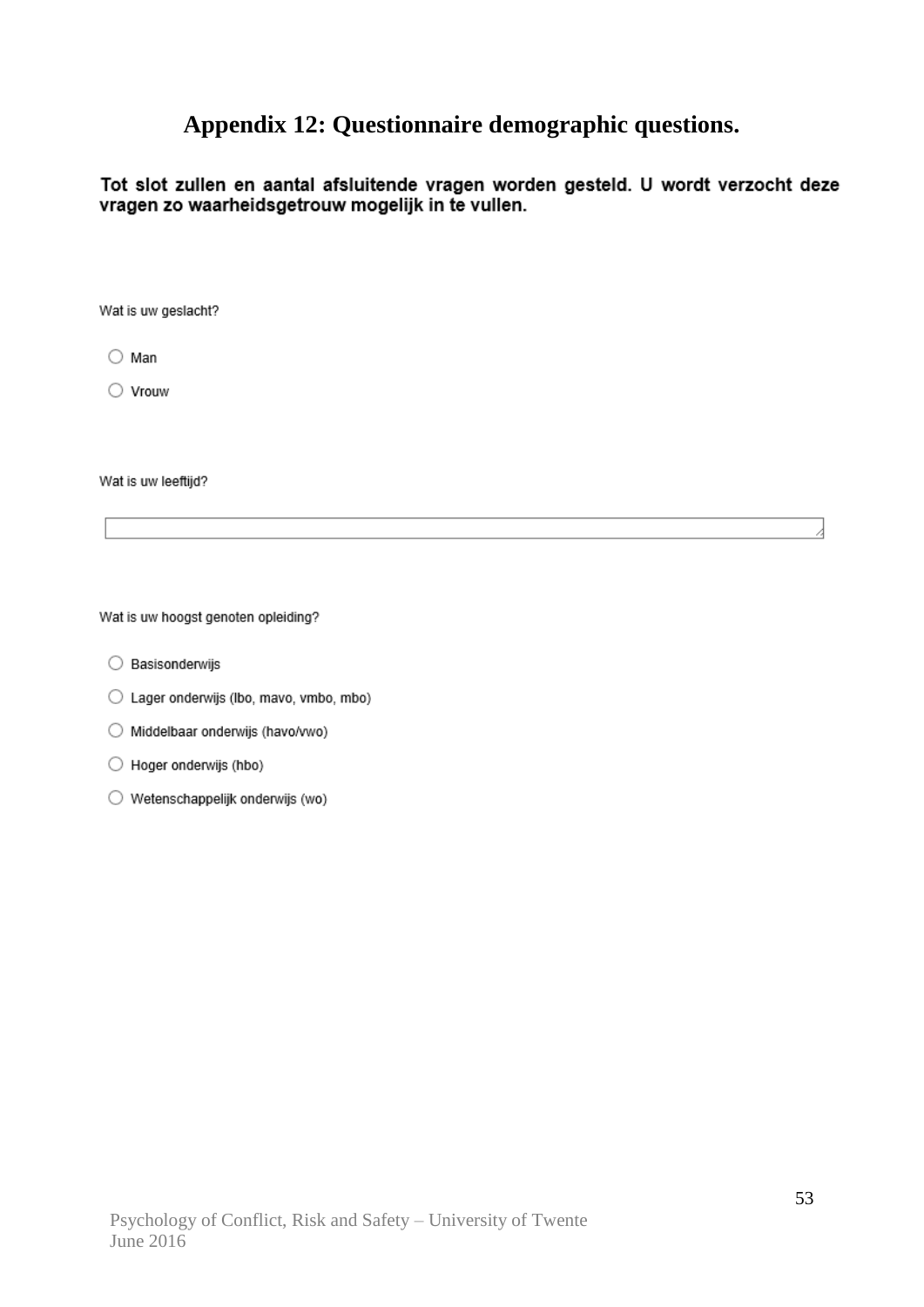### **Appendix 12: Questionnaire demographic questions.**

Tot slot zullen en aantal afsluitende vragen worden gesteld. U wordt verzocht deze vragen zo waarheidsgetrouw mogelijk in te vullen.

Wat is uw geslacht?

 $\bigcirc$  Man

 $\bigcirc$  Vrouw

Wat is uw leeftijd?

Wat is uw hoogst genoten opleiding?

- ◯ Basisonderwijs
- Lager onderwijs (lbo, mavo, vmbo, mbo)
- O Middelbaar onderwijs (havo/vwo)
- ◯ Hoger onderwijs (hbo)
- ◯ Wetenschappelijk onderwijs (wo)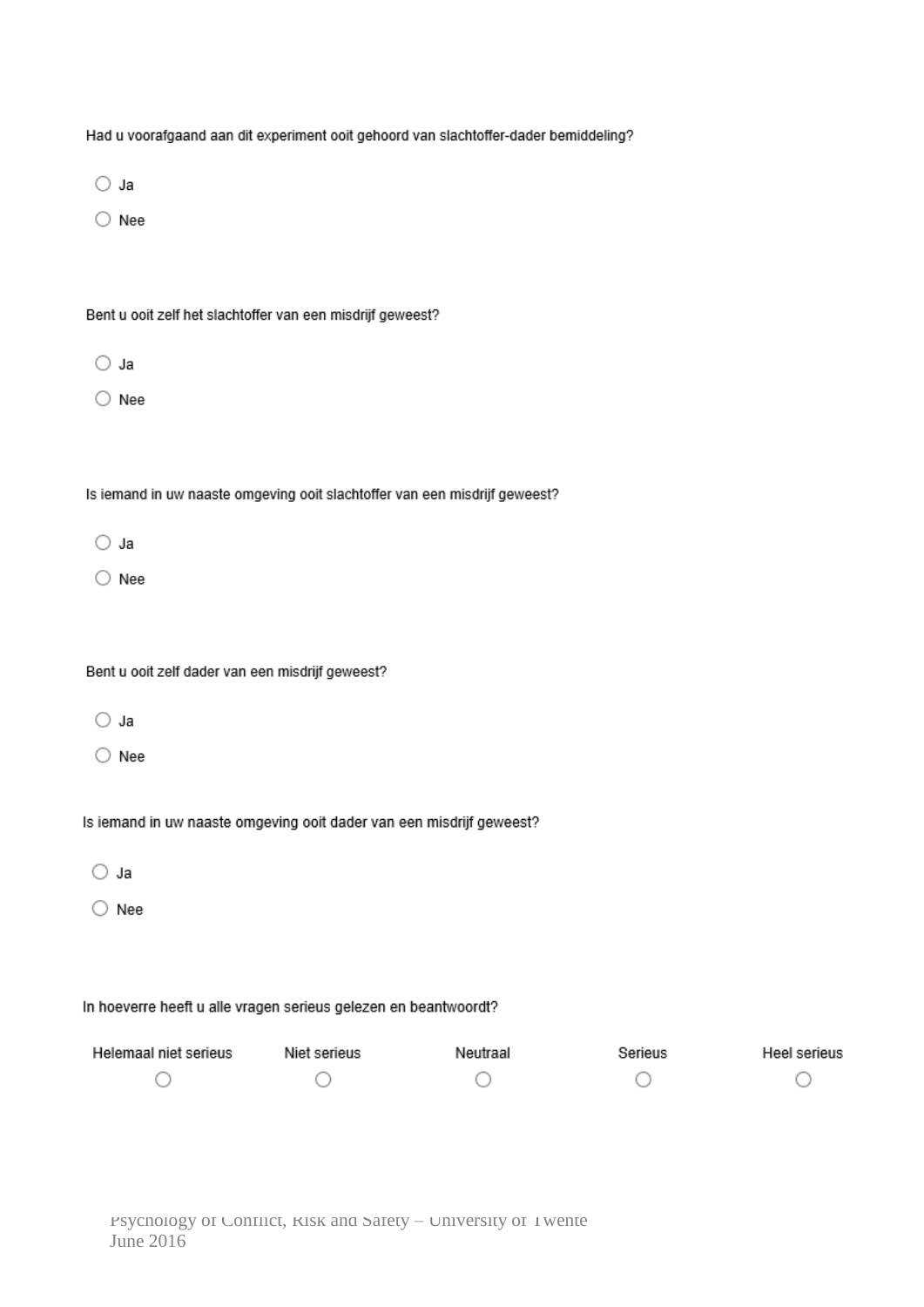| Had u voorafgaand aan dit experiment ooit gehoord van slachtoffer-dader bemiddeling? |              |          |         |              |
|--------------------------------------------------------------------------------------|--------------|----------|---------|--------------|
| ○ Ja                                                                                 |              |          |         |              |
| Nee                                                                                  |              |          |         |              |
|                                                                                      |              |          |         |              |
| Bent u ooit zelf het slachtoffer van een misdrijf geweest?                           |              |          |         |              |
| ○ Ja                                                                                 |              |          |         |              |
| Nee                                                                                  |              |          |         |              |
|                                                                                      |              |          |         |              |
| Is iemand in uw naaste omgeving ooit slachtoffer van een misdrijf geweest?           |              |          |         |              |
| ○ Ja                                                                                 |              |          |         |              |
| $\bigcirc$ Nee                                                                       |              |          |         |              |
|                                                                                      |              |          |         |              |
| Bent u ooit zelf dader van een misdrijf geweest?                                     |              |          |         |              |
| ○ Ja                                                                                 |              |          |         |              |
| Nee                                                                                  |              |          |         |              |
|                                                                                      |              |          |         |              |
| Is iemand in uw naaste omgeving ooit dader van een misdrijf geweest?                 |              |          |         |              |
| Ja                                                                                   |              |          |         |              |
| Nee                                                                                  |              |          |         |              |
|                                                                                      |              |          |         |              |
| In hoeverre heeft u alle vragen serieus gelezen en beantwoordt?                      |              |          |         |              |
| Helemaal niet serieus                                                                | Niet serieus | Neutraal | Serieus | Heel serieus |
|                                                                                      |              |          |         |              |
|                                                                                      |              |          |         |              |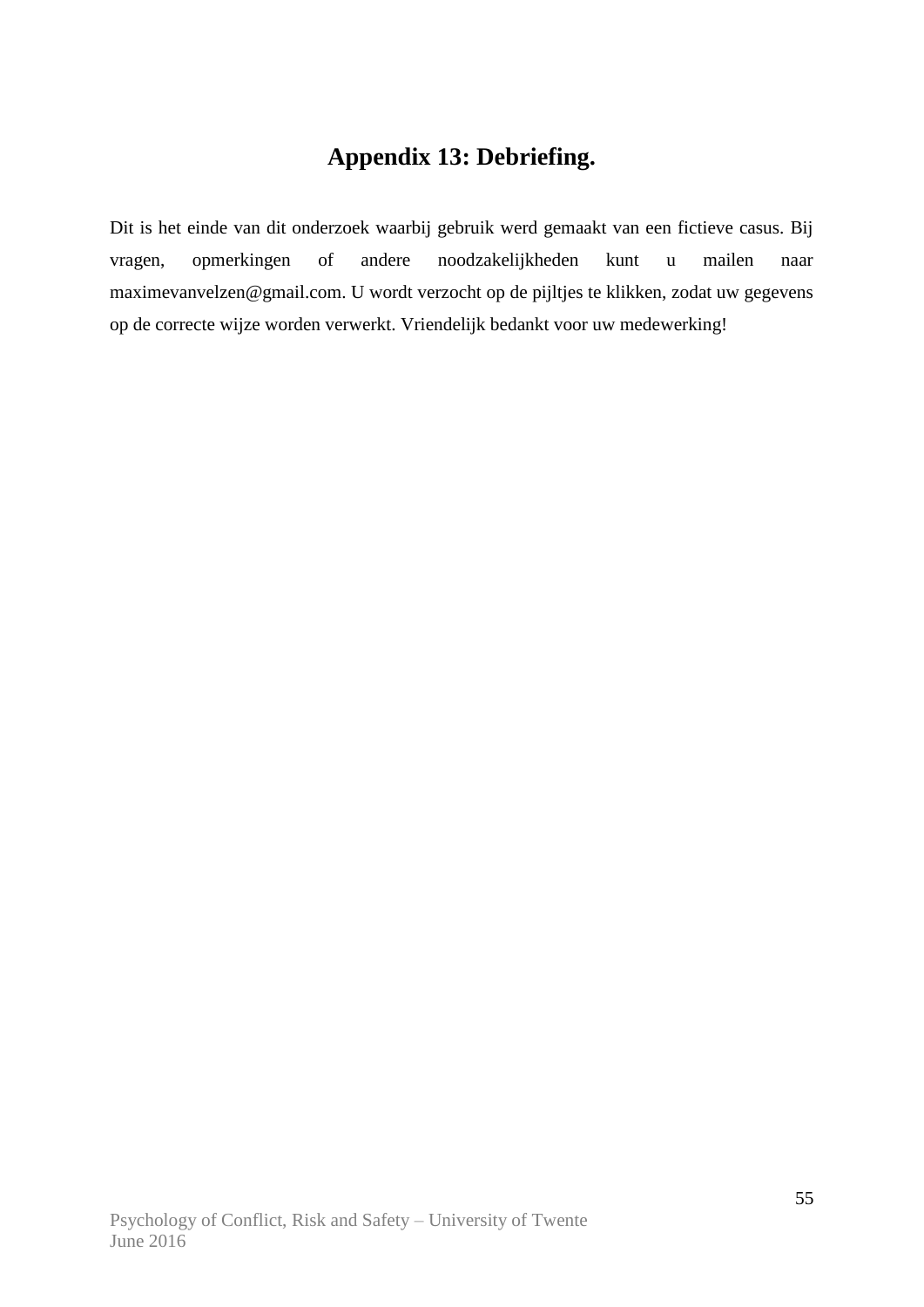## **Appendix 13: Debriefing.**

Dit is het einde van dit onderzoek waarbij gebruik werd gemaakt van een fictieve casus. Bij vragen, opmerkingen of andere noodzakelijkheden kunt u mailen naar maximevanvelzen@gmail.com. U wordt verzocht op de pijltjes te klikken, zodat uw gegevens op de correcte wijze worden verwerkt. Vriendelijk bedankt voor uw medewerking!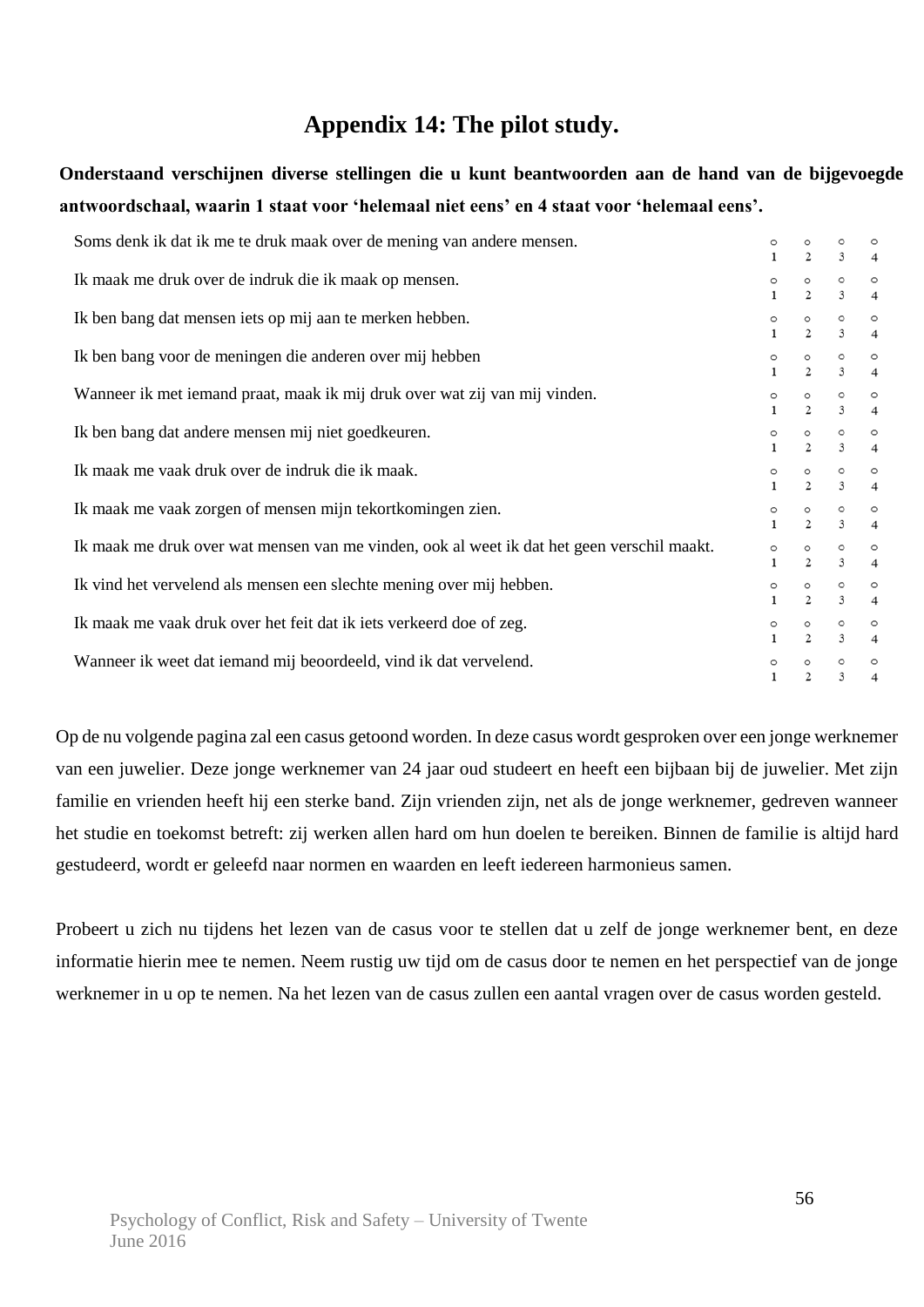### **Appendix 14: The pilot study.**

**Onderstaand verschijnen diverse stellingen die u kunt beantwoorden aan de hand van de bijgevoegde antwoordschaal, waarin 1 staat voor 'helemaal niet eens' en 4 staat voor 'helemaal eens'.**

| Soms denk ik dat ik me te druk maak over de mening van andere mensen.                      | $\mathbf{1}$            | 2                         | 3                         | $\overline{4}$            |
|--------------------------------------------------------------------------------------------|-------------------------|---------------------------|---------------------------|---------------------------|
| Ik maak me druk over de indruk die ik maak op mensen.                                      | $\circ$<br>$\mathbf{1}$ | $\frac{0}{2}$             | $\circ$<br>$\overline{3}$ | $\circ$<br>$\overline{4}$ |
| Ik ben bang dat mensen iets op mij aan te merken hebben.                                   | $\circ$<br>$\mathbf{1}$ | $\frac{0}{2}$             | $\circ$<br>3              | $\circ$<br>$\overline{4}$ |
| Ik ben bang voor de meningen die anderen over mij hebben                                   | $\circ$<br>$\mathbf{1}$ | $\frac{0}{2}$             | $\circ$<br>3              | $\circ$<br>$\overline{4}$ |
| Wanneer ik met iemand praat, maak ik mij druk over wat zij van mij vinden.                 | $\circ$<br>$\mathbf{1}$ | $\circ$<br>$\overline{c}$ | $\circ$<br>3              | $\circ$<br>$\overline{4}$ |
| Ik ben bang dat andere mensen mij niet goedkeuren.                                         | $\circ$<br>$\mathbf{1}$ | O<br>$\overline{a}$       | $\circ$<br>3              | $\circ$<br>$\overline{4}$ |
| Ik maak me vaak druk over de indruk die ik maak.                                           | $\circ$<br>$\mathbf{1}$ | $\overline{a}$            | $\circ$<br>$\overline{3}$ | $\circ$<br>$\overline{4}$ |
| Ik maak me vaak zorgen of mensen mijn tekortkomingen zien.                                 | $\mathbf{1}$            | $\frac{0}{2}$             | $\frac{0}{3}$             | $\circ$<br>$\overline{4}$ |
| Ik maak me druk over wat mensen van me vinden, ook al weet ik dat het geen verschil maakt. | $\circ$                 | $^{\circ}_{2}$            | $\frac{0}{3}$             | $\circ$<br>$\overline{4}$ |
| Ik vind het vervelend als mensen een slechte mening over mij hebben.                       | $\circ$<br>$\mathbf{1}$ | $\circ$<br>$\overline{2}$ | $\circ$<br>3              | $\circ$<br>$\overline{4}$ |
| Ik maak me vaak druk over het feit dat ik iets verkeerd doe of zeg.                        | $\circ$                 | $\circ$<br>$\overline{2}$ | $\circ$<br>3              | $\circ$<br>$\overline{4}$ |
| Wanneer ik weet dat iemand mij beoordeeld, vind ik dat vervelend.                          |                         | $\circ$<br>2              | $\circ$<br>3              | $\circ$<br>$\overline{4}$ |

Op de nu volgende pagina zal een casus getoond worden. In deze casus wordt gesproken over een jonge werknemer van een juwelier. Deze jonge werknemer van 24 jaar oud studeert en heeft een bijbaan bij de juwelier. Met zijn familie en vrienden heeft hij een sterke band. Zijn vrienden zijn, net als de jonge werknemer, gedreven wanneer het studie en toekomst betreft: zij werken allen hard om hun doelen te bereiken. Binnen de familie is altijd hard gestudeerd, wordt er geleefd naar normen en waarden en leeft iedereen harmonieus samen.

Probeert u zich nu tijdens het lezen van de casus voor te stellen dat u zelf de jonge werknemer bent, en deze informatie hierin mee te nemen. Neem rustig uw tijd om de casus door te nemen en het perspectief van de jonge werknemer in u op te nemen. Na het lezen van de casus zullen een aantal vragen over de casus worden gesteld.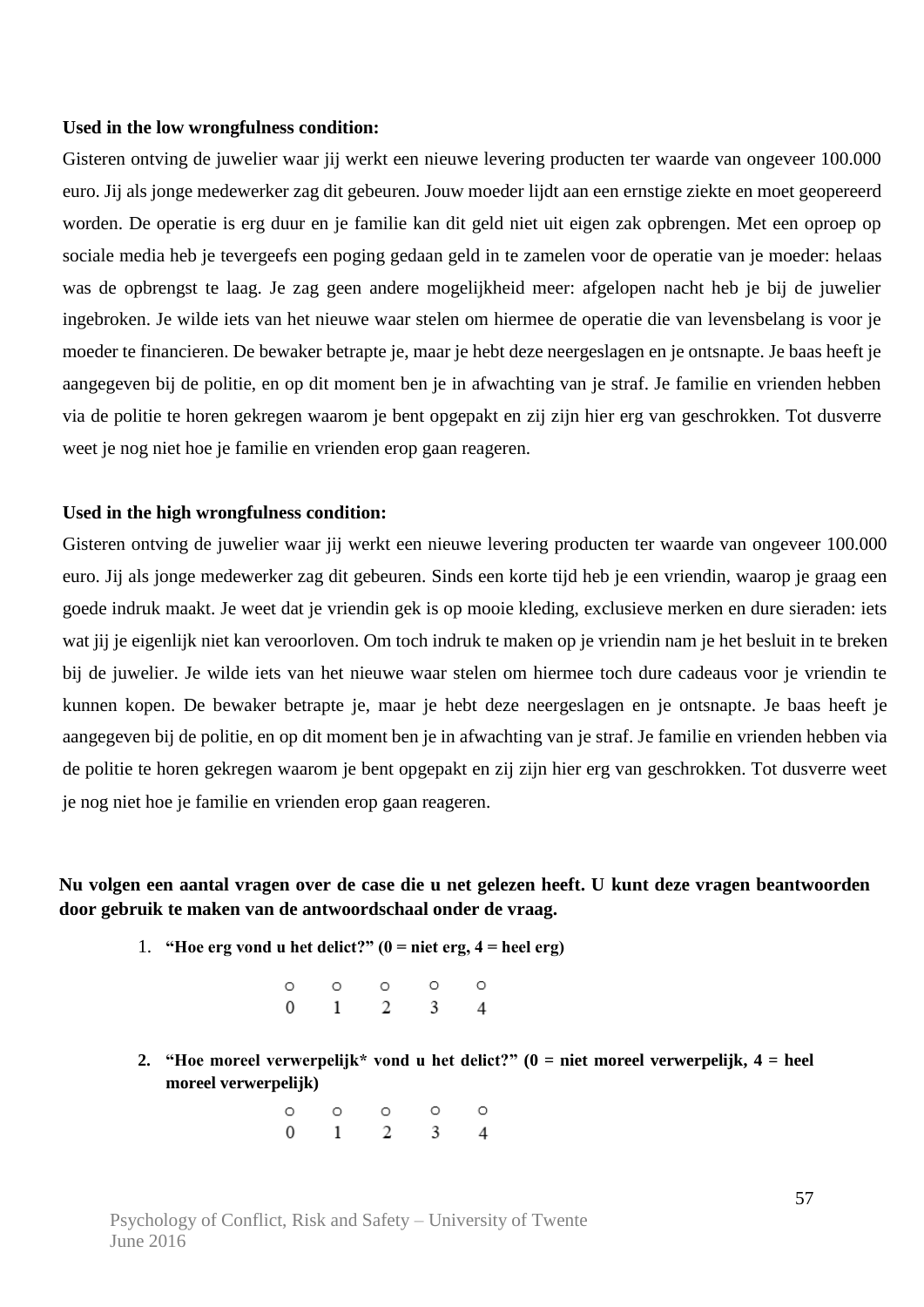#### **Used in the low wrongfulness condition:**

Gisteren ontving de juwelier waar jij werkt een nieuwe levering producten ter waarde van ongeveer 100.000 euro. Jij als jonge medewerker zag dit gebeuren. Jouw moeder lijdt aan een ernstige ziekte en moet geopereerd worden. De operatie is erg duur en je familie kan dit geld niet uit eigen zak opbrengen. Met een oproep op sociale media heb je tevergeefs een poging gedaan geld in te zamelen voor de operatie van je moeder: helaas was de opbrengst te laag. Je zag geen andere mogelijkheid meer: afgelopen nacht heb je bij de juwelier ingebroken. Je wilde iets van het nieuwe waar stelen om hiermee de operatie die van levensbelang is voor je moeder te financieren. De bewaker betrapte je, maar je hebt deze neergeslagen en je ontsnapte. Je baas heeft je aangegeven bij de politie, en op dit moment ben je in afwachting van je straf. Je familie en vrienden hebben via de politie te horen gekregen waarom je bent opgepakt en zij zijn hier erg van geschrokken. Tot dusverre weet je nog niet hoe je familie en vrienden erop gaan reageren.

#### **Used in the high wrongfulness condition:**

Gisteren ontving de juwelier waar jij werkt een nieuwe levering producten ter waarde van ongeveer 100.000 euro. Jij als jonge medewerker zag dit gebeuren. Sinds een korte tijd heb je een vriendin, waarop je graag een goede indruk maakt. Je weet dat je vriendin gek is op mooie kleding, exclusieve merken en dure sieraden: iets wat jij je eigenlijk niet kan veroorloven. Om toch indruk te maken op je vriendin nam je het besluit in te breken bij de juwelier. Je wilde iets van het nieuwe waar stelen om hiermee toch dure cadeaus voor je vriendin te kunnen kopen. De bewaker betrapte je, maar je hebt deze neergeslagen en je ontsnapte. Je baas heeft je aangegeven bij de politie, en op dit moment ben je in afwachting van je straf. Je familie en vrienden hebben via de politie te horen gekregen waarom je bent opgepakt en zij zijn hier erg van geschrokken. Tot dusverre weet je nog niet hoe je familie en vrienden erop gaan reageren.

### **Nu volgen een aantal vragen over de case die u net gelezen heeft. U kunt deze vragen beantwoorden door gebruik te maken van de antwoordschaal onder de vraag.**

- 1. **"Hoe erg vond u het delict?"**  $(0 = \text{niet erg}, 4 = \text{heel erg})$ 
	- $\circ$  $\circ$ O  $\Omega$  $\Omega$  $1 \quad 2 \quad 3$  $\Omega$  $\overline{4}$
- **2. "Hoe moreel verwerpelijk\* vond u het delict?" (0 = niet moreel verwerpelijk, 4 = heel moreel verwerpelijk)**
	- $\Omega$  $\circ$  $\circ$  $\circ$  $\circ$  $2^{\circ}$  $\Omega$  $\mathbf{1}$  $\overline{3}$  $\overline{A}$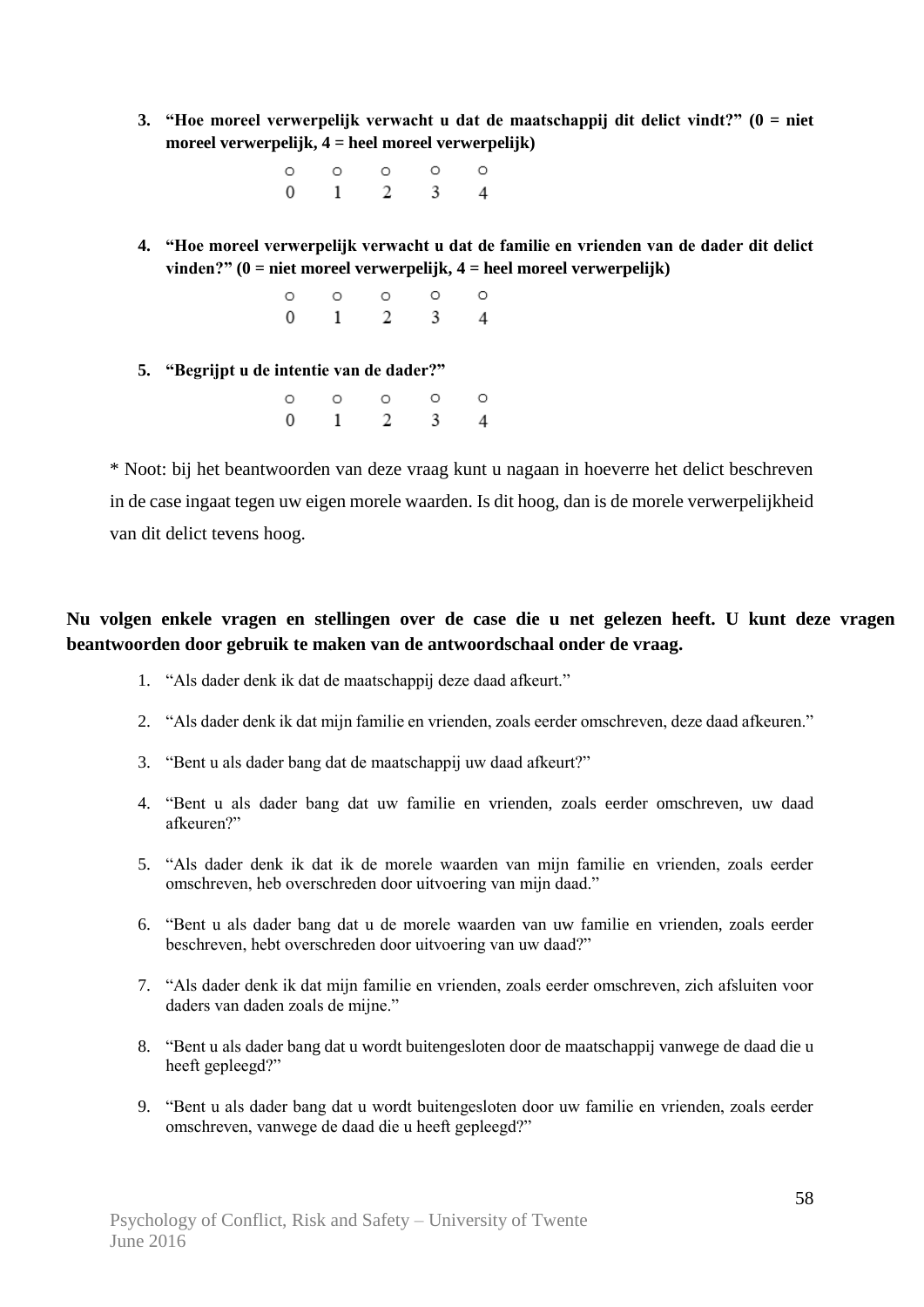**3. "Hoe moreel verwerpelijk verwacht u dat de maatschappij dit delict vindt?" (0 = niet moreel verwerpelijk, 4 = heel moreel verwerpelijk)**

> $\circ$  $\circ$  $\circ$ Ō  $\circ$  $\Omega$  $\mathbf{1}$  $\mathfrak{D}$ 3  $\overline{4}$

**4. "Hoe moreel verwerpelijk verwacht u dat de familie en vrienden van de dader dit delict vinden?" (0 = niet moreel verwerpelijk, 4 = heel moreel verwerpelijk)**

|  | $\circ\hspace{0.1in}\circ\hspace{0.1in}\circ\hspace{0.1in}\circ\hspace{0.1in}\circ$ |  |
|--|-------------------------------------------------------------------------------------|--|
|  | $0 \qquad 1 \qquad 2 \qquad 3 \qquad 4$                                             |  |

**5. "Begrijpt u de intentie van de dader?"**

|                |                          | $0$ 0 0 0           | $\circ$ |
|----------------|--------------------------|---------------------|---------|
| $\overline{0}$ | $\overline{\phantom{a}}$ | $2 \quad 3 \quad 4$ |         |

\* Noot: bij het beantwoorden van deze vraag kunt u nagaan in hoeverre het delict beschreven in de case ingaat tegen uw eigen morele waarden. Is dit hoog, dan is de morele verwerpelijkheid van dit delict tevens hoog.

### **Nu volgen enkele vragen en stellingen over de case die u net gelezen heeft. U kunt deze vragen beantwoorden door gebruik te maken van de antwoordschaal onder de vraag.**

- 1. "Als dader denk ik dat de maatschappij deze daad afkeurt."
- 2. "Als dader denk ik dat mijn familie en vrienden, zoals eerder omschreven, deze daad afkeuren."
- 3. "Bent u als dader bang dat de maatschappij uw daad afkeurt?"
- 4. "Bent u als dader bang dat uw familie en vrienden, zoals eerder omschreven, uw daad afkeuren?"
- 5. "Als dader denk ik dat ik de morele waarden van mijn familie en vrienden, zoals eerder omschreven, heb overschreden door uitvoering van mijn daad."
- 6. "Bent u als dader bang dat u de morele waarden van uw familie en vrienden, zoals eerder beschreven, hebt overschreden door uitvoering van uw daad?"
- 7. "Als dader denk ik dat mijn familie en vrienden, zoals eerder omschreven, zich afsluiten voor daders van daden zoals de mijne."
- 8. "Bent u als dader bang dat u wordt buitengesloten door de maatschappij vanwege de daad die u heeft gepleegd?"
- 9. "Bent u als dader bang dat u wordt buitengesloten door uw familie en vrienden, zoals eerder omschreven, vanwege de daad die u heeft gepleegd?"